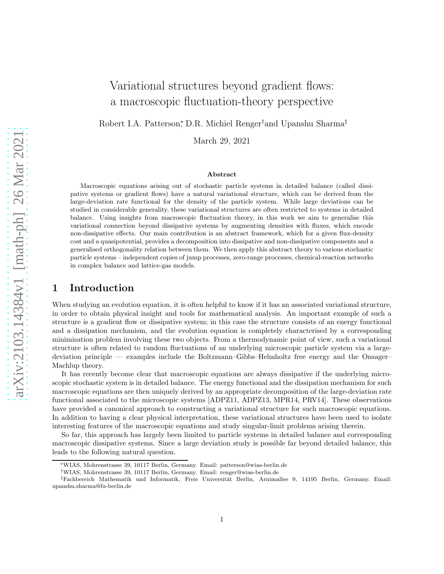# Variational structures beyond gradient flows: a macroscopic fluctuation-theory perspective

Robert I.A. Patterson,<sup>\*</sup> D.R. Michiel Renger<sup>†</sup>and Upanshu Sharma<sup>‡</sup>

March 29, 2021

#### Abstract

Macroscopic equations arising out of stochastic particle systems in detailed balance (called dissipative systems or gradient flows) have a natural variational structure, which can be derived from the large-deviation rate functional for the density of the particle system. While large deviations can be studied in considerable generality, these variational structures are often restricted to systems in detailed balance. Using insights from macroscopic fluctuation theory, in this work we aim to generalise this variational connection beyond dissipative systems by augmenting densities with fluxes, which encode non-dissipative effects. Our main contribution is an abstract framework, which for a given flux-density cost and a quasipotential, provides a decomposition into dissipative and non-dissipative components and a generalised orthogonality relation between them. We then apply this abstract theory to various stochastic particle systems – independent copies of jump processes, zero-range processes, chemical-reaction networks in complex balance and lattice-gas models.

## 1 Introduction

When studying an evolution equation, it is often helpful to know if it has an associated variational structure, in order to obtain physical insight and tools for mathematical analysis. An important example of such a structure is a gradient flow or dissipative system; in this case the structure consists of an energy functional and a dissipation mechanism, and the evolution equation is completely characterised by a corresponding minimisation problem involving these two objects. From a thermodynamic point of view, such a variational structure is often related to random fluctuations of an underlying microscopic particle system via a largedeviation principle — examples include the Boltzmann–Gibbs–Helmholtz free energy and the Onsager– Machlup theory.

It has recently become clear that macroscopic equations are always dissipative if the underlying microscopic stochastic system is in detailed balance. The energy functional and the dissipation mechanism for such macroscopic equations are then uniquely derived by an appropriate decomposition of the large-deviation rate functional associated to the microscopic systems [\[ADPZ11,](#page-44-0) [ADPZ13,](#page-44-1) [MPR14,](#page-45-0) [PRV14\]](#page-45-1). These observations have provided a canonical approach to constructing a variational structure for such macroscopic equations. In addition to having a clear physical interpretation, these variational structures have been used to isolate interesting features of the macroscopic equations and study singular-limit problems arising therein.

So far, this approach has largely been limited to particle systems in detailed balance and corresponding macroscopic dissipative systems. Since a large deviation study is possible far beyond detailed balance, this leads to the following natural question.

<sup>∗</sup>WIAS, Mohrenstrasse 39, 10117 Berlin, Germany. Email: [patterson@wias-berlin.de](mailto:patterson@wias-berlin.de)

<sup>†</sup>WIAS, Mohrenstrasse 39, 10117 Berlin, Germany. Email: [renger@wias-berlin.de](mailto:renger@wias-berlin.de)

<sup>‡</sup>Fachbereich Mathematik und Informatik, Freie Universität Berlin, Arnimallee 9, 14195 Berlin, Germany. Email: [upanshu.sharma@fu-berlin.de](mailto:upanshu.sharma@fu-berlin.de)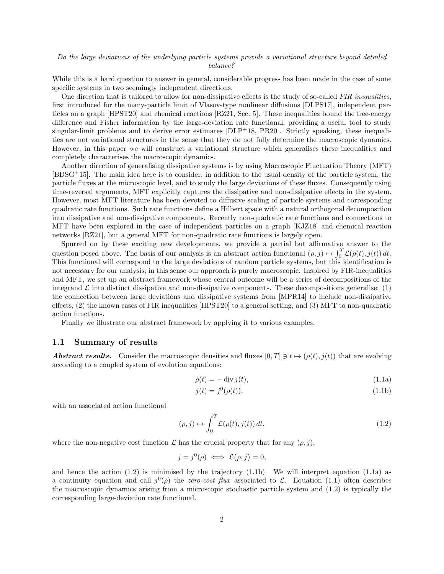#### Do the large deviations of the underlying particle systems provide a variational structure beyond detailed balance?

While this is a hard question to answer in general, considerable progress has been made in the case of some specific systems in two seemingly independent directions.

One direction that is tailored to allow for non-dissipative effects is the study of so-called FIR inequalities, first introduced for the many-particle limit of Vlasov-type nonlinear diffusions [\[DLPS17\]](#page-44-2), independent particles on a graph [\[HPST20\]](#page-44-3) and chemical reactions [\[RZ21,](#page-46-0) Sec. 5]. These inequalities bound the free-energy difference and Fisher information by the large-deviation rate functional, providing a useful tool to study singular-limit problems and to derive error estimates [\[DLP](#page-44-4)+18, [PR20\]](#page-45-2). Strictly speaking, these inequalities are not variational structures in the sense that they do not fully determine the macroscopic dynamics. However, in this paper we will construct a variational structure which generalises these inequalities and completely characterises the macroscopic dynamics.

Another direction of generalising dissipative systems is by using Macroscopic Fluctuation Theory (MFT) [\[BDSG](#page-44-5)+15]. The main idea here is to consider, in addition to the usual density of the particle system, the particle fluxes at the microscopic level, and to study the large deviations of these fluxes. Consequently using time-reversal arguments, MFT explicitly captures the dissipative and non-dissipative effects in the system. However, most MFT literature has been devoted to diffusive scaling of particle systems and corresponding quadratic rate functions. Such rate functions define a Hilbert space with a natural orthogonal decomposition into dissipative and non-dissipative components. Recently non-quadratic rate functions and connections to MFT have been explored in the case of independent particles on a graph [\[KJZ18\]](#page-44-6) and chemical reaction networks [\[RZ21\]](#page-46-0), but a general MFT for non-quadratic rate functions is largely open.

Spurred on by these exciting new developments, we provide a partial but affirmative answer to the question posed above. The basis of our analysis is an abstract action functional  $(\rho, j) \mapsto \int_0^T \mathcal{L}(\rho(t), j(t)) dt$ . This functional will correspond to the large deviations of random particle systems, but this identification is not necessary for our analysis; in this sense our approach is purely macroscopic. Inspired by FIR-inequalities and MFT, we set up an abstract framework whose central outcome will be a series of decompositions of the integrand  $\mathcal L$  into distinct dissipative and non-dissipative components. These decompositions generalise: (1) the connection between large deviations and dissipative systems from [\[MPR14\]](#page-45-0) to include non-dissipative effects, (2) the known cases of FIR inequalities [\[HPST20\]](#page-44-3) to a general setting, and (3) MFT to non-quadratic action functions.

Finally we illustrate our abstract framework by applying it to various examples.

#### <span id="page-1-4"></span>1.1 Summary of results

**Abstract results.** Consider the macroscopic densities and fluxes  $[0, T] \ni t \mapsto (\rho(t), j(t))$  that are evolving according to a coupled system of evolution equations:

<span id="page-1-3"></span><span id="page-1-2"></span>
$$
\dot{\rho}(t) = -\operatorname{div} j(t),\tag{1.1a}
$$

<span id="page-1-1"></span>
$$
j(t) = j^{0}(\rho(t)),
$$
\n(1.1b)

with an associated action functional

<span id="page-1-0"></span>
$$
(\rho, j) \mapsto \int_0^T \mathcal{L}(\rho(t), j(t)) dt,
$$
\n(1.2)

where the non-negative cost function  $\mathcal L$  has the crucial property that for any  $(\rho, j)$ ,

$$
j = j^0(\rho) \iff \mathcal{L}(\rho, j) = 0,
$$

and hence the action  $(1.2)$  is minimised by the trajectory  $(1.1b)$ . We will interpret equation  $(1.1a)$  as a continuity equation and call  $j^0(\rho)$  the *zero-cost flux* associated to  $\mathcal{L}$ . Equation [\(1.1\)](#page-1-3) often describes the macroscopic dynamics arising from a microscopic stochastic particle system and [\(1.2\)](#page-1-0) is typically the corresponding large-deviation rate functional.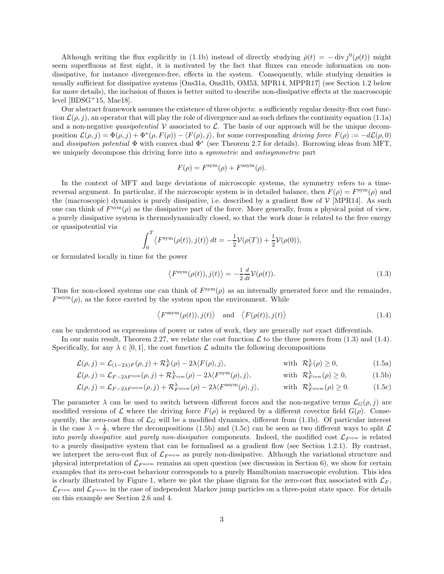Although writing the flux explicitly in [\(1.1b\)](#page-1-1) instead of directly studying  $\dot{\rho}(t) = -\text{div} j^0(\rho(t))$  might seem superfluous at first sight, it is motivated by the fact that fluxes can encode information on nondissipative, for instance divergence-free, effects in the system. Consequently, while studying densities is usually sufficient for dissipative systems [\[Ons31a,](#page-45-3) [Ons31b,](#page-45-4) [OM53,](#page-45-5) [MPR14,](#page-45-0) [MPPR17\]](#page-45-6) (see Section [1.2](#page-4-0) below for more details), the inclusion of fluxes is better suited to describe non-dissipative effects at the macroscopic level  $[BDSG+15, Mae18]$  $[BDSG+15, Mae18]$ .

Our abstract framework assumes the existence of three objects: a sufficiently regular density-flux cost function  $\mathcal{L}(\rho, j)$ , an operator that will play the role of divergence and as such defines the continuity equation [\(1.1a\)](#page-1-2) and a non-negative quasipotential  $V$  associated to  $\mathcal{L}$ . The basis of our approach will be the unique decomposition  $\mathcal{L}(\rho, j) = \Phi(\rho, j) + \Phi^*(\rho, F(\rho)) - \langle F(\rho), j \rangle$ , for some corresponding driving force  $F(\rho) := -d\mathcal{L}(\rho, 0)$ and *dissipation potential*  $\Phi$  with convex dual  $\Phi^*$  (see Theorem [2.7](#page-11-0) for details). Borrowing ideas from MFT, we uniquely decompose this driving force into a symmetric and antisymmetric part

$$
F(\rho) = F^{\text{sym}}(\rho) + F^{\text{asym}}(\rho).
$$

In the context of MFT and large deviations of microscopic systems, the symmetry refers to a timereversal argument. In particular, if the microscopic system is in detailed balance, then  $F(\rho) = F^{sym}(\rho)$  and the (macroscopic) dynamics is purely dissipative, i.e. described by a gradient flow of  $\mathcal{V}$  [\[MPR14\]](#page-45-0). As such one can think of  $F^{sym}(\rho)$  as the dissipative part of the force. More generally, from a physical point of view, a purely dissipative system is thermodynamically closed, so that the work done is related to the free energy or quasipotential via

$$
\int_0^T \langle F^{\text{sym}}(\rho(t)), j(t) \rangle dt = -\frac{1}{2} \mathcal{V}(\rho(T)) + \frac{1}{2} \mathcal{V}(\rho(0)),
$$

or formulated locally in time for the power

<span id="page-2-0"></span>
$$
\langle F^{\text{sym}}(\rho(t)), j(t) \rangle = -\frac{1}{2} \frac{d}{dt} \mathcal{V}(\rho(t)). \tag{1.3}
$$

Thus for non-closed systems one can think of  $F<sup>sym</sup>(\rho)$  as an internally generated force and the remainder,  $F^{\text{asym}}(\rho)$ , as the force exerted by the system upon the environment. While

<span id="page-2-5"></span><span id="page-2-4"></span><span id="page-2-3"></span><span id="page-2-2"></span><span id="page-2-1"></span>
$$
\langle F^{\text{asym}}(\rho(t)), j(t) \rangle
$$
 and  $\langle F(\rho(t)), j(t) \rangle$  (1.4)

can be understood as expressions of power or rates of work, they are generally not exact differentials.

In our main result, Theorem [2.27,](#page-19-0) we relate the cost function  $\mathcal L$  to the three powers from [\(1.3\)](#page-2-0) and [\(1.4\)](#page-2-1). Specifically, for any  $\lambda \in [0, 1]$ , the cost function  $\mathcal L$  admits the following decompositions

$$
\mathcal{L}(\rho, j) = \mathcal{L}_{(1-2\lambda)F}(\rho, j) + \mathcal{R}_F^{\lambda}(\rho) - 2\lambda \langle F(\rho), j \rangle, \quad \text{with } \mathcal{R}_F^{\lambda}(\rho) \ge 0,
$$
\n(1.5a)

$$
\mathcal{L}(\rho, j) = \mathcal{L}_{F-2\lambda F^{\text{sym}}}(\rho, j) + \mathcal{R}_{F^{\text{sym}}}^{\lambda}(\rho) - 2\lambda \langle F^{\text{sym}}(\rho), j \rangle, \qquad \text{with } \mathcal{R}_{F^{\text{sym}}}^{\lambda}(\rho) \ge 0,
$$
 (1.5b)

$$
\mathcal{L}(\rho, j) = \mathcal{L}_{F-2\lambda F^{\text{asym}}}(\rho, j) + \mathcal{R}_{F^{\text{asym}}}^{\lambda}(\rho) - 2\lambda \langle F^{\text{asym}}(\rho), j \rangle, \quad \text{with } \mathcal{R}_{F^{\text{asym}}}^{\lambda}(\rho) \ge 0. \tag{1.5c}
$$

The parameter  $\lambda$  can be used to switch between different forces and the non-negative terms  $\mathcal{L}_G(\rho, j)$  are modified versions of L where the driving force  $F(\rho)$  is replaced by a different covector field  $G(\rho)$ . Consequently, the zero-cost flux of  $\mathcal{L}_G$  will be a modified dynamics, different from [\(1.1b\)](#page-1-1). Of particular interest is the case  $\lambda = \frac{1}{2}$ , where the decompositions [\(1.5b\)](#page-2-2) and [\(1.5c\)](#page-2-3) can be seen as two different ways to split  $\mathcal{L}$ into purely dissipative and purely non-dissipative components. Indeed, the modified cost  $\mathcal{L}_{F^{sym}}$  is related to a purely dissipative system that can be formalised as a gradient flow (see Section [1.2.1\)](#page-4-1). By contrast, we interpret the zero-cost flux of  $\mathcal{L}_{F^{asym}}$  as purely non-dissipative. Although the variational structure and physical interpretation of  $\mathcal{L}_{F^{asym}}$  remains an open question (see discussion in Section [6\)](#page-41-0), we show for certain examples that its zero-cost behaviour corresponds to a purely Hamiltonian macroscopic evolution. This idea is clearly illustrated by Figure [1,](#page-3-0) where we plot the phase digram for the zero-cost flux associated with  $\mathcal{L}_F$ ,  $\mathcal{L}_{F^{\text{sym}}}$  and  $\mathcal{L}_{F^{\text{asym}}}$  in the case of independent Markov jump particles on a three-point state space. For details on this example see Section [2.6](#page-22-0) and [4.](#page-28-0)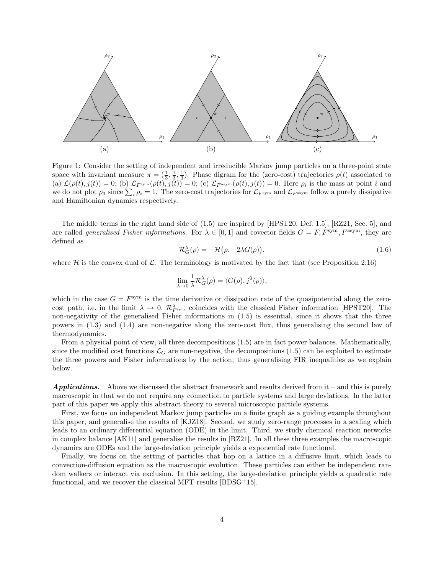

<span id="page-3-0"></span>Figure 1: Consider the setting of independent and irreducible Markov jump particles on a three-point state space with invariant measure  $\pi = (\frac{1}{3}, \frac{1}{3}, \frac{1}{3})$ . Phase digram for the (zero-cost) trajectories  $\rho(t)$  associated to (a)  $\mathcal{L}(\rho(t), j(t)) = 0$ ; (b)  $\mathcal{L}_{F^{sym}}(\rho(t), j(t)) = 0$ ; (c)  $\mathcal{L}_{F^{asym}}(\rho(t), j(t)) = 0$ . Here  $\rho_i$  is the mass at point i and we do not plot  $\rho_3$  since  $\sum_i \rho_i = 1$ . The zero-cost trajectories for  $\mathcal{L}_{F^{sym}}$  and  $\mathcal{L}_{F^{asym}}$  follow a purely dissipative and Hamiltonian dynamics respectively.

The middle terms in the right hand side of [\(1.5\)](#page-2-4) are inspired by [\[HPST20,](#page-44-3) Def. 1.5], [\[RZ21,](#page-46-0) Sec. 5], and are called *generalised Fisher informations*. For  $\lambda \in [0,1]$  and covector fields  $G = F$ ,  $F^{\text{sym}}$ ,  $F^{\text{asym}}$ , they are defined as

<span id="page-3-1"></span>
$$
\mathcal{R}_G^{\lambda}(\rho) = -\mathcal{H}(\rho, -2\lambda G(\rho)),\tag{1.6}
$$

where  $H$  is the convex dual of  $\mathcal L$ . The terminology is motivated by the fact that (see Proposition [2.16\)](#page-14-0)

$$
\lim_{\lambda \to 0} \frac{1}{\lambda} \mathcal{R}_G^{\lambda}(\rho) = \langle G(\rho), j^0(\rho) \rangle,
$$

which in the case  $G = F^{sym}$  is the time derivative or dissipation rate of the quasipotential along the zerocost path, i.e. in the limit  $\lambda \to 0$ ,  $\mathcal{R}_{Fsym}^{\lambda}$  coincides with the classical Fisher information [\[HPST20\]](#page-44-3). The non-negativity of the generalised Fisher informations in [\(1.5\)](#page-2-4) is essential, since it shows that the three powers in [\(1.3\)](#page-2-0) and [\(1.4\)](#page-2-1) are non-negative along the zero-cost flux, thus generalising the second law of thermodynamics.

From a physical point of view, all three decompositions [\(1.5\)](#page-2-4) are in fact power balances. Mathematically, since the modified cost functions  $\mathcal{L}_G$  are non-negative, the decompositions [\(1.5\)](#page-2-4) can be exploited to estimate the three powers and Fisher informations by the action, thus generalising FIR inequalities as we explain below.

**Applications.** Above we discussed the abstract framework and results derived from it – and this is purely macroscopic in that we do not require any connection to particle systems and large deviations. In the latter part of this paper we apply this abstract theory to several microscopic particle systems.

First, we focus on independent Markov jump particles on a finite graph as a guiding example throughout this paper, and generalise the results of [\[KJZ18\]](#page-44-6). Second, we study zero-range processes in a scaling which leads to an ordinary differential equation (ODE) in the limit. Third, we study chemical reaction networks in complex balance [\[AK11\]](#page-44-7) and generalise the results in [\[RZ21\]](#page-46-0). In all these three examples the macroscopic dynamics are ODEs and the large-deviation principle yields a exponential rate functional.

Finally, we focus on the setting of particles that hop on a lattice in a diffusive limit, which leads to convection-diffusion equation as the macroscopic evolution. These particles can either be independent random walkers or interact via exclusion. In this setting, the large-deviation principle yields a quadratic rate functional, and we recover the classical MFT results [\[BDSG](#page-44-5)<sup>+</sup>15].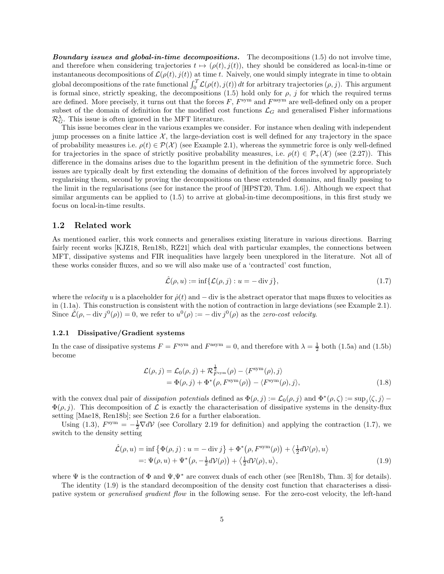**Boundary issues and global-in-time decompositions.** The decompositions  $(1.5)$  do not involve time, and therefore when considering trajectories  $t \mapsto (\rho(t), j(t))$ , they should be considered as local-in-time or instantaneous decompositions of  $\mathcal{L}(\rho(t), j(t))$  at time t. Naively, one would simply integrate in time to obtain global decompositions of the rate functional  $\int_0^T \mathcal{L}(\rho(t), j(t)) dt$  for arbitrary trajectories  $(\rho, j)$ . This argument is formal since, strictly speaking, the decompositions [\(1.5\)](#page-2-4) hold only for  $\rho$ , j for which the required terms are defined. More precisely, it turns out that the forces  $F, F^{\text{sym}}$  and  $F^{\text{asym}}$  are well-defined only on a proper subset of the domain of definition for the modified cost functions  $\mathcal{L}_G$  and generalised Fisher informations  $\mathcal{R}_G^{\lambda}$ . This issue is often ignored in the MFT literature.

This issue becomes clear in the various examples we consider. For instance when dealing with independent jump processes on a finite lattice  $\mathcal{X}$ , the large-deviation cost is well defined for any trajectory in the space of probability measures i.e.  $\rho(t) \in \mathcal{P}(\mathcal{X})$  (see Example [2.1\)](#page-7-0), whereas the symmetric force is only well-defined for trajectories in the space of strictly positive probability measures, i.e.  $\rho(t) \in \mathcal{P}_+(\mathcal{X})$  (see [\(2.27\)](#page-16-0)). This difference in the domains arises due to the logarithm present in the definition of the symmetric force. Such issues are typically dealt by first extending the domains of definition of the forces involved by appropriately regularising them, second by proving the decompositions on these extended domains, and finally passing to the limit in the regularisations (see for instance the proof of [\[HPST20,](#page-44-3) Thm. 1.6]). Although we expect that similar arguments can be applied to [\(1.5\)](#page-2-4) to arrive at global-in-time decompositions, in this first study we focus on local-in-time results.

#### <span id="page-4-0"></span>1.2 Related work

As mentioned earlier, this work connects and generalises existing literature in various directions. Barring fairly recent works [\[KJZ18,](#page-44-6) [Ren18b,](#page-45-8) [RZ21\]](#page-46-0) which deal with particular examples, the connections between MFT, dissipative systems and FIR inequalities have largely been unexplored in the literature. Not all of these works consider fluxes, and so we will also make use of a 'contracted' cost function,

<span id="page-4-4"></span><span id="page-4-2"></span>
$$
\hat{\mathcal{L}}(\rho, u) := \inf \{ \mathcal{L}(\rho, j) : u = -\operatorname{div} j \},\tag{1.7}
$$

where the velocity u is a placeholder for  $\dot{\rho}(t)$  and  $-$  div is the abstract operator that maps fluxes to velocities as in [\(1.1a\)](#page-1-2). This construction is consistent with the notion of contraction in large deviations (see Example [2.1\)](#page-7-0). Since  $\hat{\mathcal{L}}(\rho, -\mathrm{div} j^0(\rho)) = 0$ , we refer to  $u^0(\rho) := -\mathrm{div} j^0(\rho)$  as the zero-cost velocity.

#### <span id="page-4-1"></span>1.2.1 Dissipative/Gradient systems

In the case of dissipative systems  $F = F^{\text{sym}}$  and  $F^{\text{asym}} = 0$ , and therefore with  $\lambda = \frac{1}{2}$  both [\(1.5a\)](#page-2-5) and [\(1.5b\)](#page-2-2) become

<span id="page-4-3"></span>
$$
\mathcal{L}(\rho, j) = \mathcal{L}_0(\rho, j) + \mathcal{R}_{F^{\text{sym}}}^{\frac{1}{2}}(\rho) - \langle F^{\text{sym}}(\rho), j \rangle \n= \Phi(\rho, j) + \Phi^*(\rho, F^{\text{sym}}(\rho)) - \langle F^{\text{sym}}(\rho), j \rangle,
$$
\n(1.8)

with the convex dual pair of dissipation potentials defined as  $\Phi(\rho, j) := \mathcal{L}_0(\rho, j)$  and  $\Phi^*(\rho, \zeta) := \sup_j \langle \zeta, j \rangle \Phi(\rho, j)$ . This decomposition of  $\mathcal L$  is exactly the characterisation of dissipative systems in the density-flux setting [\[Mae18,](#page-45-7) [Ren18b\]](#page-45-8); see Section [2.6](#page-22-0) for a further elaboration.

Using [\(1.3\)](#page-2-0),  $F^{\text{sym}} = -\frac{1}{2} \nabla dV$  (see Corollary [2.19](#page-15-0) for definition) and applying the contraction [\(1.7\)](#page-4-2), we switch to the density setting

$$
\hat{\mathcal{L}}(\rho, u) = \inf \left\{ \Phi(\rho, j) : u = -\operatorname{div} j \right\} + \Phi^*(\rho, F^{\text{sym}}(\rho)) + \left\langle \frac{1}{2} d\mathcal{V}(\rho), u \right\rangle \n=: \Psi(\rho, u) + \Psi^*(\rho, -\frac{1}{2} d\mathcal{V}(\rho)) + \left\langle \frac{1}{2} d\mathcal{V}(\rho), u \right\rangle,
$$
\n(1.9)

where  $\Psi$  is the contraction of  $\Phi$  and  $\Psi, \Psi^*$  are convex duals of each other (see [\[Ren18b,](#page-45-8) Thm. 3] for details).

The identity [\(1.9\)](#page-4-3) is the standard decomposition of the density cost function that characterises a dissipative system or generalised gradient flow in the following sense. For the zero-cost velocity, the left-hand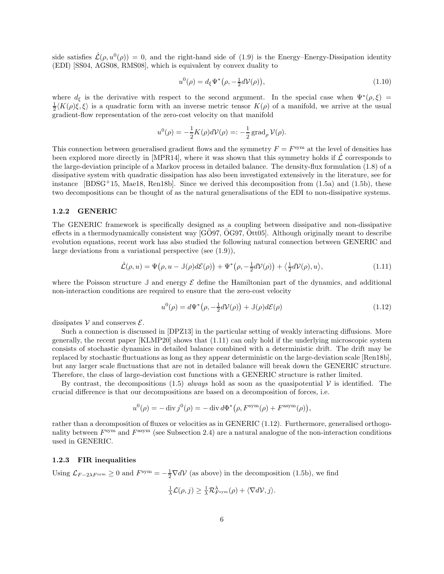side satisfies  $\hat{\mathcal{L}}(\rho, u^0(\rho)) = 0$ , and the right-hand side of [\(1.9\)](#page-4-3) is the Energy–Energy-Dissipation identity (EDI) [\[SS04,](#page-46-1) [AGS08,](#page-44-8) [RMS08\]](#page-46-2), which is equivalent by convex duality to

<span id="page-5-3"></span>
$$
u^{0}(\rho) = d_{\xi} \Psi^{*}(\rho, -\frac{1}{2}d\mathcal{V}(\rho)),
$$
\n(1.10)

where  $d_{\xi}$  is the derivative with respect to the second argument. In the special case when  $\Psi^*(\rho,\xi)$  =  $\frac{1}{2}\langle K(\rho)\xi,\xi\rangle$  is a quadratic form with an inverse metric tensor  $K(\rho)$  of a manifold, we arrive at the usual gradient-flow representation of the zero-cost velocity on that manifold

$$
u^{0}(\rho) = -\frac{1}{2}K(\rho)d\mathcal{V}(\rho) =: -\frac{1}{2}\operatorname{grad}_{\rho}\mathcal{V}(\rho).
$$

This connection between generalised gradient flows and the symmetry  $F = F<sup>sym</sup>$  at the level of densities has been explored more directly in [\[MPR14\]](#page-45-0), where it was shown that this symmetry holds if  $\mathcal L$  corresponds to the large-deviation principle of a Markov process in detailed balance. The density-flux formulation [\(1.8\)](#page-4-4) of a dissipative system with quadratic dissipation has also been investigated extensively in the literature, see for instance [\[BDSG](#page-44-5)+15, [Mae18,](#page-45-7) [Ren18b\]](#page-45-8). Since we derived this decomposition from  $(1.5a)$  and  $(1.5b)$ , these two decompositions can be thought of as the natural generalisations of the EDI to non-dissipative systems.

#### 1.2.2 GENERIC

The GENERIC framework is specifically designed as a coupling between dissipative and non-dissipative effects in a thermodynamically consistent way  $[GO97, OG97, Ott05]$  $[GO97, OG97, Ott05]$  $[GO97, OG97, Ott05]$  $[GO97, OG97, Ott05]$ . Although originally meant to describe evolution equations, recent work has also studied the following natural connection between GENERIC and large deviations from a variational perspective (see [\(1.9\)](#page-4-3)),

<span id="page-5-0"></span>
$$
\hat{\mathcal{L}}(\rho, u) = \Psi(\rho, u - \mathbb{J}(\rho)d\mathcal{E}(\rho)) + \Psi^*(\rho, -\frac{1}{2}d\mathcal{V}(\rho)) + \langle \frac{1}{2}d\mathcal{V}(\rho), u \rangle, \tag{1.11}
$$

where the Poisson structure  $\mathbb{J}$  and energy  $\mathcal{E}$  define the Hamiltonian part of the dynamics, and additional non-interaction conditions are required to ensure that the zero-cost velocity

<span id="page-5-1"></span>
$$
u^{0}(\rho) = d\Psi^{*}\big(\rho, -\frac{1}{2}dV(\rho)\big) + \mathbb{J}(\rho)d\mathcal{E}(\rho)
$$
\n(1.12)

dissipates  $V$  and conserves  $\mathcal{E}$ .

Such a connection is discussed in [\[DPZ13\]](#page-44-10) in the particular setting of weakly interacting diffusions. More generally, the recent paper [\[KLMP20\]](#page-45-11) shows that [\(1.11\)](#page-5-0) can only hold if the underlying microscopic system consists of stochastic dynamics in detailed balance combined with a deterministic drift. The drift may be replaced by stochastic fluctuations as long as they appear deterministic on the large-deviation scale [\[Ren18b\]](#page-45-8), but any larger scale fluctuations that are not in detailed balance will break down the GENERIC structure. Therefore, the class of large-deviation cost functions with a GENERIC structure is rather limited.

By contrast, the decompositions [\(1.5\)](#page-2-4) always hold as soon as the quasipotential  $\mathcal V$  is identified. The crucial difference is that our decompositions are based on a decomposition of forces, i.e.

$$
u^{0}(\rho) = -\operatorname{div} j^{0}(\rho) = -\operatorname{div} d\Phi^{*}(\rho, F^{\text{sym}}(\rho) + F^{\text{asym}}(\rho)),
$$

rather than a decomposition of fluxes or velocities as in GENERIC [\(1.12\)](#page-5-1). Furthermore, generalised orthogonality between  $F<sup>sym</sup>$  and  $F<sup>asym</sup>$  (see Subsection [2.4\)](#page-17-0) are a natural analogue of the non-interaction conditions used in GENERIC.

#### <span id="page-5-2"></span>1.2.3 FIR inequalities

Using  $\mathcal{L}_{F-2\lambda F^{sym}} \ge 0$  and  $F^{sym} = -\frac{1}{2} \nabla dV$  (as above) in the decomposition [\(1.5b\)](#page-2-2), we find

$$
\frac{1}{\lambda}\mathcal{L}(\rho,j) \geq \frac{1}{\lambda}\mathcal{R}_{F^{\text{sym}}}^{\lambda}(\rho) + \langle \nabla d\mathcal{V}, j \rangle.
$$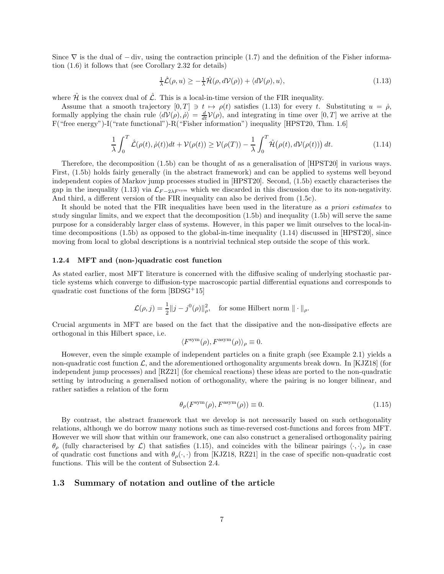Since  $\nabla$  is the dual of  $-\text{div}$ , using the contraction principle [\(1.7\)](#page-4-2) and the definition of the Fisher information [\(1.6\)](#page-3-1) it follows that (see Corollary [2.32](#page-21-0) for details)

<span id="page-6-0"></span>
$$
\frac{1}{\lambda}\hat{\mathcal{L}}(\rho, u) \ge -\frac{1}{\lambda}\hat{\mathcal{H}}(\rho, d\mathcal{V}(\rho)) + \langle d\mathcal{V}(\rho), u \rangle,
$$
\n(1.13)

where  $\hat{\mathcal{H}}$  is the convex dual of  $\hat{\mathcal{L}}$ . This is a local-in-time version of the FIR inequality.

Assume that a smooth trajectory  $[0, T] \ni t \mapsto \rho(t)$  satisfies [\(1.13\)](#page-6-0) for every t. Substituting  $u = \dot{\rho}$ , formally applying the chain rule  $\langle dV(\rho), \dot{\rho} \rangle = \frac{d}{dt}V(\rho)$ , and integrating in time over  $[0, T]$  we arrive at the F("free energy")-I("rate functional")-R("Fisher information") inequality [\[HPST20,](#page-44-3) Thm. 1.6]

<span id="page-6-1"></span>
$$
\frac{1}{\lambda} \int_0^T \hat{\mathcal{L}}(\rho(t), \dot{\rho}(t))dt + \mathcal{V}(\rho(t)) \ge \mathcal{V}(\rho(T)) - \frac{1}{\lambda} \int_0^T \hat{\mathcal{H}}(\rho(t), d\mathcal{V}(\rho(t))) dt.
$$
\n(1.14)

Therefore, the decomposition [\(1.5b\)](#page-2-2) can be thought of as a generalisation of [\[HPST20\]](#page-44-3) in various ways. First, [\(1.5b\)](#page-2-2) holds fairly generally (in the abstract framework) and can be applied to systems well beyond independent copies of Markov jump processes studied in [\[HPST20\]](#page-44-3). Second, [\(1.5b\)](#page-2-2) exactly characterises the gap in the inequality [\(1.13\)](#page-6-0) via  $\mathcal{L}_{F-2\lambda F^{\text{sym}}}$  which we discarded in this discussion due to its non-negativity. And third, a different version of the FIR inequality can also be derived from [\(1.5c\)](#page-2-3).

It should be noted that the FIR inequalities have been used in the literature as a priori estimates to study singular limits, and we expect that the decomposition [\(1.5b\)](#page-2-2) and inequality [\(1.5b\)](#page-2-2) will serve the same purpose for a considerably larger class of systems. However, in this paper we limit ourselves to the local-intime decompositions [\(1.5b\)](#page-2-2) as opposed to the global-in-time inequality [\(1.14\)](#page-6-1) discussed in [\[HPST20\]](#page-44-3), since moving from local to global descriptions is a nontrivial technical step outside the scope of this work.

#### 1.2.4 MFT and (non-)quadratic cost function

As stated earlier, most MFT literature is concerned with the diffusive scaling of underlying stochastic particle systems which converge to diffusion-type macroscopic partial differential equations and corresponds to quadratic cost functions of the form [\[BDSG](#page-44-5)<sup>+</sup>15]

$$
\mathcal{L}(\rho, j) = \frac{1}{2} ||j - j^0(\rho)||_\rho^2, \quad \text{for some Hilbert norm } || \cdot ||_\rho.
$$

Crucial arguments in MFT are based on the fact that the dissipative and the non-dissipative effects are orthogonal in this Hilbert space, i.e.

$$
\langle F^{\rm sym}(\rho), F^{\rm asym}(\rho)\rangle_{\rho}\equiv 0.
$$

However, even the simple example of independent particles on a finite graph (see Example [2.1\)](#page-7-0) yields a non-quadratic cost function  $\mathcal{L}$ , and the aforementioned orthogonality arguments break down. In [\[KJZ18\]](#page-44-6) (for independent jump processes) and [\[RZ21\]](#page-46-0) (for chemical reactions) these ideas are ported to the non-quadratic setting by introducing a generalised notion of orthogonality, where the pairing is no longer bilinear, and rather satisfies a relation of the form

<span id="page-6-2"></span>
$$
\theta_{\rho}(F^{\text{sym}}(\rho), F^{\text{asym}}(\rho)) \equiv 0. \tag{1.15}
$$

By contrast, the abstract framework that we develop is not necessarily based on such orthogonality relations, although we do borrow many notions such as time-reversed cost-functions and forces from MFT. However we will show that within our framework, one can also construct a generalised orthogonality pairing  $\theta_{\rho}$  (fully characterised by  $\mathcal{L}$ ) that satisfies [\(1.15\)](#page-6-2), and coincides with the bilinear pairings  $\langle \cdot, \cdot \rangle_{\rho}$  in case of quadratic cost functions and with  $\theta_{\rho}(\cdot, \cdot)$  from [\[KJZ18,](#page-44-6) [RZ21\]](#page-46-0) in the case of specific non-quadratic cost functions. This will be the content of Subsection [2.4.](#page-17-0)

#### 1.3 Summary of notation and outline of the article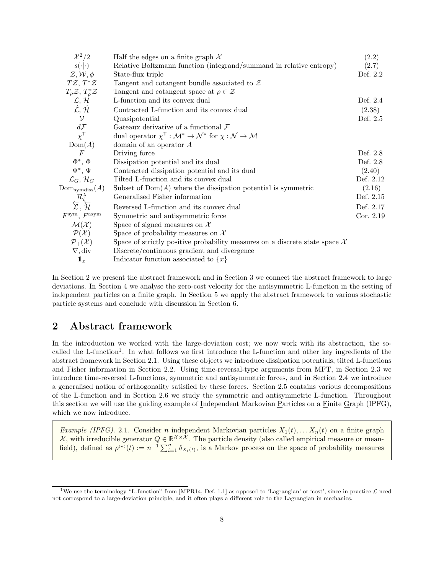| $\mathcal{X}^2/2$                              | Half the edges on a finite graph $\mathcal X$                                                                | (2.2)       |
|------------------------------------------------|--------------------------------------------------------------------------------------------------------------|-------------|
| $s(\cdot \cdot)$                               | Relative Boltzmann function (integrand/summand in relative entropy)                                          | (2.7)       |
| $\mathcal{Z}, \mathcal{W}, \phi$               | State-flux triple                                                                                            | Def. 2.2    |
| $T\mathcal{Z}, T^*\mathcal{Z}$                 | Tangent and cotangent bundle associated to $Z$                                                               |             |
| $T_{\rho}\mathcal{Z}, T_{\rho}^{*}\mathcal{Z}$ | Tangent and cotangent space at $\rho \in \mathcal{Z}$                                                        |             |
| $\mathcal{L}, \mathcal{H}$                     | L-function and its convex dual                                                                               | Def. 2.4    |
| $\hat{\mathcal{L}}, \hat{\mathcal{H}}$         | Contracted L-function and its convex dual                                                                    | (2.38)      |
| $\mathcal{V}$                                  | Quasipotential                                                                                               | Def. 2.5    |
| $d\mathcal{F}$                                 | Gateaux derivative of a functional $\mathcal F$                                                              |             |
| $\chi^{\mathsf{T}}$                            | dual operator $\chi^{\mathsf{T}} : \mathcal{M}^* \to \mathcal{N}^*$ for $\chi : \mathcal{N} \to \mathcal{M}$ |             |
| Dom(A)                                         | domain of an operator $A$                                                                                    |             |
| $\,F$                                          | Driving force                                                                                                | Def. 2.8    |
| $\Phi^*, \Phi$                                 | Dissipation potential and its dual                                                                           | Def. 2.8    |
| $\Psi^*, \Psi$                                 | Contracted dissipation potential and its dual                                                                | (2.40)      |
| $\mathcal{L}_G, \mathcal{H}_G$                 | Tilted L-function and its convex dual                                                                        | Def. 2.12   |
| $\mathrm{Dom}_{\mathrm{symdiss}}(A)$           | Subset of $Dom(A)$ where the dissipation potential is symmetric                                              | (2.16)      |
|                                                | Generalised Fisher information                                                                               | Def. 2.15   |
| $\mathcal{R}_{\zeta}^{\lambda}$                | Reversed L-function and its convex dual                                                                      | Def. 2.17   |
| $F^{\text{sym}}, F^{\text{asym}}$              | Symmetric and antisymmetric force                                                                            | Cor. $2.19$ |
| $\mathcal{M}(\mathcal{X})$                     | Space of signed measures on $\mathcal X$                                                                     |             |
| $\mathcal{P}(\mathcal{X})$                     | Space of probability measures on $\mathcal X$                                                                |             |
| $\mathcal{P}_+(\mathcal{X})$                   | Space of strictly positive probability measures on a discrete state space $\mathcal{X}$                      |             |
| $\nabla$ , div                                 | Discrete/continuous gradient and divergence                                                                  |             |
| $\mathbb{1}_x$                                 | Indicator function associated to $\{x\}$                                                                     |             |
|                                                |                                                                                                              |             |

In Section [2](#page-7-1) we present the abstract framework and in Section [3](#page-23-0) we connect the abstract framework to large deviations. In Section [4](#page-28-0) we analyse the zero-cost velocity for the antisymmetric L-function in the setting of independent particles on a finite graph. In Section [5](#page-31-0) we apply the abstract framework to various stochastic particle systems and conclude with discussion in Section [6.](#page-41-0)

# <span id="page-7-1"></span>2 Abstract framework

In the introduction we worked with the large-deviation cost; we now work with its abstraction, the so-called the L-function<sup>[1](#page-7-2)</sup>. In what follows we first introduce the L-function and other key ingredients of the abstract framework in Section [2.1.](#page-9-1) Using these objects we introduce dissipation potentials, tilted L-functions and Fisher information in Section [2.2.](#page-11-1) Using time-reversal-type arguments from MFT, in Section [2.3](#page-15-2) we introduce time-reversed L-functions, symmetric and antisymmetric forces, and in Section [2.4](#page-17-0) we introduce a generalised notion of orthogonality satisfied by these forces. Section [2.5](#page-19-1) contains various decompositions of the L-function and in Section [2.6](#page-22-0) we study the symmetric and antisymmetric L-function. Throughout this section we will use the guiding example of Independent Markovian Particles on a Finite Graph (IPFG), which we now introduce.

<span id="page-7-0"></span>*Example (IPFG).* 2.1. Consider *n* independent Markovian particles  $X_1(t), \ldots, X_n(t)$  on a finite graph  $\mathcal{X}$ , with irreducible generator  $Q \in \mathbb{R}^{\mathcal{X} \times \mathcal{X}}$ . The particle density (also called empirical measure or meanfield), defined as  $\rho^{(n)}(t) := n^{-1} \sum_{i=1}^n \delta_{X_i(t)}$ , is a Markov process on the space of probability measures

<span id="page-7-2"></span><sup>&</sup>lt;sup>1</sup>We use the terminology "L-function" from [\[MPR14,](#page-45-0) Def. 1.1] as opposed to 'Lagrangian' or 'cost', since in practice  $\mathcal{L}$  need not correspond to a large-deviation principle, and it often plays a different role to the Lagrangian in mechanics.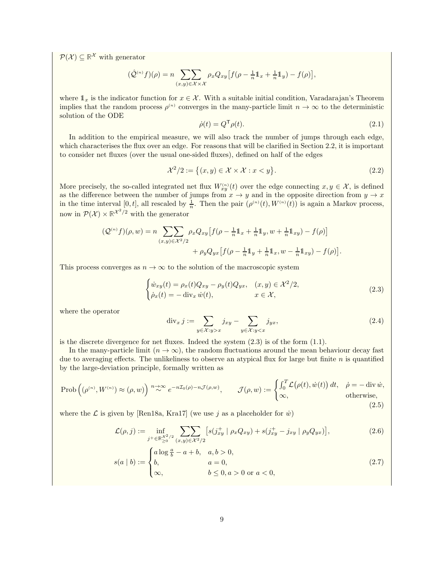$\mathcal{P}(\mathcal{X}) \subseteq \mathbb{R}^{\mathcal{X}}$  with generator

$$
(\hat{\mathcal{Q}}^{(n)}f)(\rho) = n \sum_{(x,y)\in \mathcal{X}\times\mathcal{X}} \rho_x Q_{xy} \left[ f(\rho - \frac{1}{n}1\!1_x + \frac{1}{n}1\!1_y) - f(\rho) \right],
$$

where  $1_x$  is the indicator function for  $x \in \mathcal{X}$ . With a suitable initial condition, Varadarajan's Theorem implies that the random process  $\rho^{(n)}$  converges in the many-particle limit  $n \to \infty$  to the deterministic solution of the ODE

$$
\dot{\rho}(t) = Q^{\mathsf{T}} \rho(t). \tag{2.1}
$$

In addition to the empirical measure, we will also track the number of jumps through each edge, which characterises the flux over an edge. For reasons that will be clarified in Section [2.2,](#page-11-1) it is important to consider net fluxes (over the usual one-sided fluxes), defined on half of the edges

<span id="page-8-0"></span>
$$
\mathcal{X}^2/2 := \left\{ (x, y) \in \mathcal{X} \times \mathcal{X} : x < y \right\}. \tag{2.2}
$$

More precisely, the so-called integrated net flux  $W_{xy}^{(n)}(t)$  over the edge connecting  $x, y \in \mathcal{X}$ , is defined as the difference between the number of jumps from  $x \to y$  and in the opposite direction from  $y \to x$ in the time interval  $[0, t]$ , all rescaled by  $\frac{1}{n}$ . Then the pair  $(\rho^{(n)}(t), W^{(n)}(t))$  is again a Markov process, now in  $\mathcal{P}(\mathcal{X}) \times \mathbb{R}^{\mathcal{X}^2/2}$  with the generator

$$
\begin{aligned} \left(\mathcal{Q}^{(n)}f\right)(\rho,w) &= n \sum_{(x,y)\in\mathcal{X}^2/2} \rho_x Q_{xy} \left[ f(\rho - \tfrac{1}{n} \mathbb{1}_x + \tfrac{1}{n} \mathbb{1}_y, w + \tfrac{1}{n} \mathbb{1}_{xy}) - f(\rho) \right] \\ &+ \rho_y Q_{yx} \left[ f(\rho - \tfrac{1}{n} \mathbb{1}_y + \tfrac{1}{n} \mathbb{1}_x, w - \tfrac{1}{n} \mathbb{1}_{xy}) - f(\rho) \right]. \end{aligned}
$$

This process converges as  $n \to \infty$  to the solution of the macroscopic system

<span id="page-8-2"></span>
$$
\begin{cases}\n\dot{w}_{xy}(t) = \rho_x(t)Q_{xy} - \rho_y(t)Q_{yx}, & (x, y) \in \mathcal{X}^2/2, \\
\dot{\rho}_x(t) = -\operatorname{div}_x \dot{w}(t), & x \in \mathcal{X},\n\end{cases}
$$
\n(2.3)

where the operator

<span id="page-8-4"></span><span id="page-8-3"></span><span id="page-8-1"></span>
$$
\operatorname{div}_x j := \sum_{y \in \mathcal{X} : y > x} j_{xy} - \sum_{y \in \mathcal{X} : y < x} j_{yx},\tag{2.4}
$$

is the discrete divergence for net fluxes. Indeed the system [\(2.3\)](#page-8-2) is of the form [\(1.1\)](#page-1-3).

In the many-particle limit  $(n \to \infty)$ , the random fluctuations around the mean behaviour decay fast due to averaging effects. The unlikeliness to observe an atypical flux for large but finite  $n$  is quantified by the large-deviation principle, formally written as

<span id="page-8-5"></span>
$$
\text{Prob}\left((\rho^{(n)}, W^{(n)}) \approx (\rho, w)\right) \stackrel{n \to \infty}{\sim} e^{-n\mathcal{I}_0(\rho) - n\mathcal{J}(\rho, w)}, \qquad \mathcal{J}(\rho, w) := \begin{cases} \int_0^T \mathcal{L}(\rho(t), \dot{w}(t)) dt, & \dot{\rho} = -\operatorname{div} \dot{w}, \\ \infty, & \text{otherwise}, \end{cases}
$$

where the  $\mathcal L$  is given by [\[Ren18a,](#page-45-12) [Kra17\]](#page-45-13) (we use j as a placeholder for  $\dot w$ )

$$
\mathcal{L}(\rho, j) := \inf_{j^+ \in \mathbb{R}^{\mathcal{X}^2/2}_{\geq 0}} \sum_{(x, y) \in \mathcal{X}^2/2} \left[ s(j^+_{xy} \mid \rho_x Q_{xy}) + s(j^+_{xy} - j_{xy} \mid \rho_y Q_{yx}) \right],
$$
\n(2.6)

$$
s(a | b) := \begin{cases} a \log \frac{a}{b} - a + b, & a, b > 0, \\ b, & a = 0, \end{cases}
$$
 (2.7)

$$
\begin{cases}\n\infty, & a = 0, \\
\infty, & b \le 0, a > 0 \text{ or } a < 0,\n\end{cases}
$$
\n
$$
(2i) \quad (2ii)
$$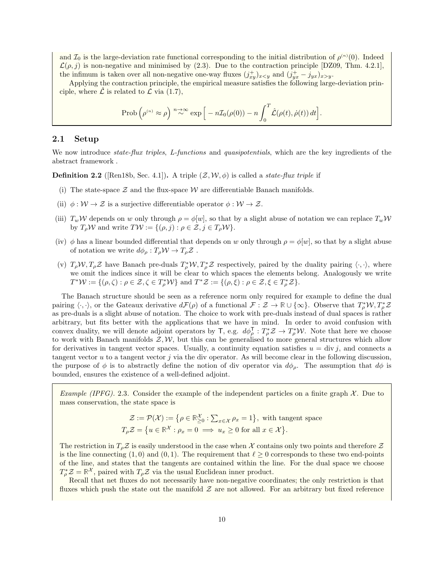and  $\mathcal{I}_0$  is the large-deviation rate functional corresponding to the initial distribution of  $\rho^{(n)}(0)$ . Indeed  $\mathcal{L}(\rho, j)$  is non-negative and minimised by [\(2.3\)](#page-8-2). Due to the contraction principle [\[DZ09,](#page-44-11) Thm. 4.2.1], the infimum is taken over all non-negative one-way fluxes  $(j_{xy}^+)_{x \le y}$  and  $(j_{yx}^+ - j_{yx})_{x>y}$ .

Applying the contraction principle, the empirical measure satisfies the following large-deviation principle, where  $\hat{\mathcal{L}}$  is related to  $\mathcal{L}$  via [\(1.7\)](#page-4-2),

$$
\hbox{Prob}\left(\rho^{\scriptscriptstyle(n)}\approx \rho\right)\stackrel{n\to\infty}{\sim}\exp\Big[-n\mathcal{I}_0(\rho(0))-n\int_0^T\hat{\mathcal{L}}(\rho(t),\dot{\rho}(t))\,dt\Big].
$$

#### <span id="page-9-1"></span>2.1 Setup

We now introduce *state-flux triples, L-functions* and *quasipotentials*, which are the key ingredients of the abstract framework .

<span id="page-9-0"></span>**Definition 2.2** ([\[Ren18b,](#page-45-8) Sec. 4.1]). A triple  $(\mathcal{Z}, \mathcal{W}, \phi)$  is called a *state-flux triple* if

- (i) The state-space  $Z$  and the flux-space  $W$  are differentiable Banach manifolds.
- (ii)  $\phi: \mathcal{W} \to \mathcal{Z}$  is a surjective differentiable operator  $\phi: \mathcal{W} \to \mathcal{Z}$ .
- (iii)  $T_w \mathcal{W}$  depends on w only through  $\rho = \phi[w]$ , so that by a slight abuse of notation we can replace  $T_w \mathcal{W}$ by  $T_{\rho} \mathcal{W}$  and write  $T \mathcal{W} := \{(\rho, j) : \rho \in \mathcal{Z}, j \in T_{\rho} \mathcal{W}\}.$
- (iv)  $\phi$  has a linear bounded differential that depends on w only through  $\rho = \phi[w]$ , so that by a slight abuse of notation we write  $d\phi_{\rho}: T_{\rho} \mathcal{W} \to T_{\rho} \mathcal{Z}$ .
- (v)  $T_{\rho}W, T_{\rho}Z$  have Banach pre-duals  $T_{\rho}^*W, T_{\rho}^*Z$  respectively, paired by the duality pairing  $\langle \cdot, \cdot \rangle$ , where we omit the indices since it will be clear to which spaces the elements belong. Analogously we write  $T^*\mathcal{W} := \{(\rho, \zeta) : \rho \in \mathcal{Z}, \zeta \in T_\rho^*\mathcal{W}\}\$ and  $T^*\mathcal{Z} := \{(\rho, \xi) : \rho \in \mathcal{Z}, \xi \in T_\rho^*\mathcal{Z}\}.$

The Banach structure should be seen as a reference norm only required for example to define the dual pairing  $\langle \cdot, \cdot \rangle$ , or the Gateaux derivative  $d\mathcal{F}(\rho)$  of a functional  $\mathcal{F} : \mathcal{Z} \to \mathbb{R} \cup \{\infty\}$ . Observe that  $T^*_{\rho} \mathcal{W}, T^*_{\rho} \mathcal{Z}$ as pre-duals is a slight abuse of notation. The choice to work with pre-duals instead of dual spaces is rather arbitrary, but fits better with the applications that we have in mind. In order to avoid confusion with convex duality, we will denote adjoint operators by  $\mathsf{T}$ , e.g.  $d\phi_{\rho}^{\mathsf{T}}: T_{\rho}^{*}\mathcal{Z} \to T_{\rho}^{*}\mathcal{W}$ . Note that here we choose to work with Banach manifolds  $\mathcal{Z}, \mathcal{W}$ , but this can be generalised to more general structures which allow for derivatives in tangent vector spaces. Usually, a continuity equation satisfies  $u = \text{div } j$ , and connects a tangent vector  $u$  to a tangent vector  $j$  via the div operator. As will become clear in the following discussion, the purpose of  $\phi$  is to abstractly define the notion of div operator via  $d\phi_{\rho}$ . The assumption that  $d\phi$  is bounded, ensures the existence of a well-defined adjoint.

<span id="page-9-2"></span>*Example (IPFG).* 2.3. Consider the example of the independent particles on a finite graph  $\mathcal{X}$ . Due to mass conservation, the state space is

$$
\mathcal{Z} := \mathcal{P}(\mathcal{X}) := \{ \rho \in \mathbb{R}^{\mathcal{X}}_{\geq 0} : \sum_{x \in \mathcal{X}} \rho_x = 1 \}, \text{ with tangent space}
$$
  

$$
T_{\rho} \mathcal{Z} = \{ u \in \mathbb{R}^{\mathcal{X}} : \rho_x = 0 \implies u_x \geq 0 \text{ for all } x \in \mathcal{X} \}.
$$

The restriction in  $T_{\rho}Z$  is easily understood in the case when X contains only two points and therefore Z is the line connecting  $(1, 0)$  and  $(0, 1)$ . The requirement that  $\ell \geq 0$  corresponds to these two end-points of the line, and states that the tangents are contained within the line. For the dual space we choose  $T_{\rho}^* \mathcal{Z} = \mathbb{R}^{\mathcal{X}},$  paired with  $T_{\rho} \mathcal{Z}$  via the usual Euclidean inner product.

Recall that net fluxes do not necessarily have non-negative coordinates; the only restriction is that fluxes which push the state out the manifold  $Z$  are not allowed. For an arbitrary but fixed reference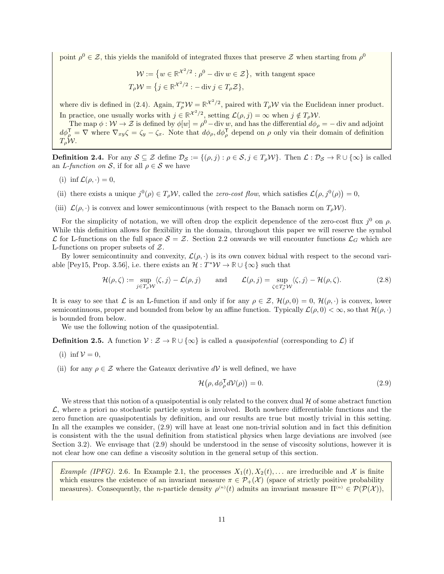point  $\rho^0 \in \mathcal{Z}$ , this yields the manifold of integrated fluxes that preserve  $\mathcal{Z}$  when starting from  $\rho^0$ 

$$
\mathcal{W} := \{ w \in \mathbb{R}^{\mathcal{X}^2/2} : \rho^0 - \text{div } w \in \mathcal{Z} \}, \text{ with tangent space}
$$
  

$$
T_{\rho}\mathcal{W} = \{ j \in \mathbb{R}^{\mathcal{X}^2/2} : -\text{div } j \in T_{\rho}\mathcal{Z} \},
$$

where div is defined in [\(2.4\)](#page-8-3). Again,  $T^*_{\rho}W = \mathbb{R}^{\chi^2/2}$ , paired with  $T_{\rho}W$  via the Euclidean inner product. In practice, one usually works with  $j \in \mathbb{R}^{\mathcal{X}^2/2}$ , setting  $\mathcal{L}(\rho, j) = \infty$  when  $j \notin T_\rho \mathcal{W}$ .

The map  $\phi : \mathcal{W} \to \mathcal{Z}$  is defined by  $\phi[w] = \rho^0 - \text{div } w$ , and has the differential  $d\phi_{\rho} = - \text{div and adjoint}$  $d\phi_{\rho}^{\mathsf{T}} = \nabla$  where  $\nabla_{xy}\zeta = \zeta_y - \zeta_x$ . Note that  $d\phi_{\rho}, d\phi_{\rho}^{\mathsf{T}}$  depend on  $\rho$  only via their domain of definition  $T_{\rho}W$ .

<span id="page-10-0"></span>**Definition 2.4.** For any  $S \subseteq \mathcal{Z}$  define  $\mathcal{D}_S := \{(\rho, j) : \rho \in S, j \in T_\rho \mathcal{W}\}\)$ . Then  $\mathcal{L} : \mathcal{D}_S \to \mathbb{R} \cup \{\infty\}$  is called an L-function on S, if for all  $\rho \in S$  we have

- (i) inf  $\mathcal{L}(\rho, \cdot) = 0$ ,
- (ii) there exists a unique  $j^0(\rho) \in T_\rho W$ , called the *zero-cost flow*, which satisfies  $\mathcal{L}(\rho, j^0(\rho)) = 0$ ,
- (iii)  $\mathcal{L}(\rho, \cdot)$  is convex and lower semicontinuous (with respect to the Banach norm on  $T_{\rho} \mathcal{W}$ ).

For the simplicity of notation, we will often drop the explicit dependence of the zero-cost flux  $j^0$  on  $\rho$ . While this definition allows for flexibility in the domain, throughout this paper we will reserve the symbol  $\mathcal L$  for L-functions on the full space  $\mathcal S = \mathcal Z$ . Section [2.2](#page-11-1) onwards we will encounter functions  $\mathcal L_G$  which are L-functions on proper subsets of Z.

By lower semicontinuity and convexity,  $\mathcal{L}(\rho, \cdot)$  is its own convex bidual with respect to the second vari-able [\[Pey15,](#page-45-14) Prop. 3.56], i.e. there exists an  $\mathcal{H}: T^*\mathcal{W} \to \mathbb{R} \cup {\infty}$  such that

$$
\mathcal{H}(\rho,\zeta) := \sup_{j \in T_{\rho} \mathcal{W}} \langle \zeta, j \rangle - \mathcal{L}(\rho,j) \quad \text{and} \quad \mathcal{L}(\rho,j) = \sup_{\zeta \in T_{\rho}^* \mathcal{W}} \langle \zeta, j \rangle - \mathcal{H}(\rho,\zeta). \tag{2.8}
$$

It is easy to see that L is an L-function if and only if for any  $\rho \in \mathcal{Z}$ ,  $\mathcal{H}(\rho, 0) = 0$ ,  $\mathcal{H}(\rho, \cdot)$  is convex, lower semicontinuous, proper and bounded from below by an affine function. Typically  $\mathcal{L}(\rho, 0) < \infty$ , so that  $\mathcal{H}(\rho, \cdot)$ is bounded from below.

We use the following notion of the quasipotential.

<span id="page-10-1"></span>**Definition 2.5.** A function  $V : \mathcal{Z} \to \mathbb{R} \cup \{\infty\}$  is called a *quasipotential* (corresponding to  $\mathcal{L}$ ) if

- (i) inf  $V = 0$ ,
- (ii) for any  $\rho \in \mathcal{Z}$  where the Gateaux derivative  $dV$  is well defined, we have

<span id="page-10-2"></span>
$$
\mathcal{H}(\rho, d\phi_{\rho}^{\mathsf{T}} d\mathcal{V}(\rho)) = 0. \tag{2.9}
$$

We stress that this notion of a quasipotential is only related to the convex dual  $\mathcal H$  of some abstract function  $\mathcal{L}$ , where a priori no stochastic particle system is involved. Both nowhere differentiable functions and the zero function are quasipotentials by definition, and our results are true but mostly trivial in this setting. In all the examples we consider, [\(2.9\)](#page-10-2) will have at least one non-trivial solution and in fact this definition is consistent with the the usual definition from statistical physics when large deviations are involved (see Section [3.2\)](#page-26-0). We envisage that  $(2.9)$  should be understood in the sense of viscosity solutions, however it is not clear how one can define a viscosity solution in the general setup of this section.

*Example (IPFG).* 2.6. In Example [2.1,](#page-7-0) the processes  $X_1(t), X_2(t), \ldots$  are irreducible and X is finite which ensures the existence of an invariant measure  $\pi \in \mathcal{P}_+(\mathcal{X})$  (space of strictly positive probability measures). Consequently, the *n*-particle density  $\rho^{(n)}(t)$  admits an invariant measure  $\Pi^{(n)} \in \mathcal{P}(\mathcal{P}(\mathcal{X}))$ ,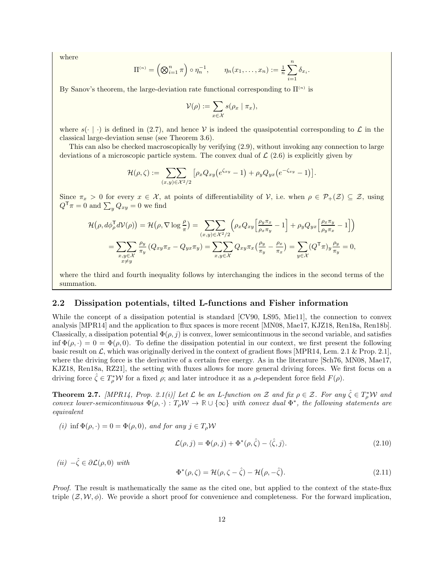where

$$
\Pi^{(n)} = \left(\bigotimes_{i=1}^n \pi\right) \circ \eta_n^{-1}, \qquad \eta_n(x_1, \ldots, x_n) := \frac{1}{n} \sum_{i=1}^n \delta_{x_i}.
$$

By Sanov's theorem, the large-deviation rate functional corresponding to  $\Pi^{(n)}$  is

$$
\mathcal{V}(\rho) := \sum_{x \in \mathcal{X}} s(\rho_x \mid \pi_x),
$$

where  $s(\cdot | \cdot)$  is defined in [\(2.7\)](#page-8-1), and hence V is indeed the quasipotential corresponding to L in the classical large-deviation sense (see Theorem [3.6\)](#page-26-1).

This can also be checked macroscopically by verifying [\(2.9\)](#page-10-2), without invoking any connection to large deviations of a microscopic particle system. The convex dual of  $\mathcal{L}(2.6)$  $\mathcal{L}(2.6)$  is explicitly given by

$$
\mathcal{H}(\rho,\zeta) := \sum_{(x,y)\in\mathcal{X}^2/2} \left[ \rho_x Q_{xy} \left( e^{\zeta_{xy}} - 1 \right) + \rho_y Q_{yx} \left( e^{-\zeta_{xy}} - 1 \right) \right].
$$

Since  $\pi_x > 0$  for every  $x \in \mathcal{X}$ , at points of differentiability of V, i.e. when  $\rho \in \mathcal{P}_+(\mathcal{Z}) \subseteq \mathcal{Z}$ , using  $Q^{\mathsf{T}} \pi = 0$  and  $\sum_{y} Q_{xy} = 0$  we find

$$
\mathcal{H}(\rho, d\phi_{\rho}^{\mathsf{T}} d\mathcal{V}(\rho)) = \mathcal{H}(\rho, \nabla \log \frac{\rho}{\pi}) = \sum_{(x,y) \in \mathcal{X}^2/2} \left( \rho_x Q_{xy} \left[ \frac{\rho_y \pi_x}{\rho_x \pi_y} - 1 \right] + \rho_y Q_{yx} \left[ \frac{\rho_x \pi_y}{\rho_y \pi_x} - 1 \right] \right)
$$
  
= 
$$
\sum_{\substack{x,y \in \mathcal{X} \\ x \neq y}} \frac{\rho_y}{\pi_y} \left( Q_{xy} \pi_x - Q_{yx} \pi_y \right) = \sum_{x,y \in \mathcal{X}} Q_{xy} \pi_x \left( \frac{\rho_y}{\pi_y} - \frac{\rho_x}{\pi_x} \right) = \sum_{y \in \mathcal{X}} \left( Q^{\mathsf{T}} \pi \right)_y \frac{\rho_y}{\pi_y} = 0,
$$

where the third and fourth inequality follows by interchanging the indices in the second terms of the summation.

#### <span id="page-11-1"></span>2.2 Dissipation potentials, tilted L-functions and Fisher information

While the concept of a dissipation potential is standard [\[CV90,](#page-44-12) [LS95,](#page-45-15) [Mie11\]](#page-45-16), the connection to convex analysis [\[MPR14\]](#page-45-0) and the application to flux spaces is more recent [\[MN08,](#page-45-17) [Mae17,](#page-45-18) [KJZ18,](#page-44-6) [Ren18a,](#page-45-12) [Ren18b\]](#page-45-8). Classically, a dissipation potential  $\Phi(\rho, j)$  is convex, lower semicontinuous in the second variable, and satisfies inf  $\Phi(\rho, \cdot) = 0 = \Phi(\rho, 0)$ . To define the dissipation potential in our context, we first present the following basic result on L, which was originally derived in the context of gradient flows [\[MPR14,](#page-45-0) Lem. 2.1 & Prop. 2.1], where the driving force is the derivative of a certain free energy. As in the literature [\[Sch76,](#page-46-3) [MN08,](#page-45-17) [Mae17,](#page-45-18) [KJZ18,](#page-44-6) [Ren18a,](#page-45-12) [RZ21\]](#page-46-0), the setting with fluxes allows for more general driving forces. We first focus on a driving force  $\hat{\zeta} \in T_{\rho}^* \mathcal{W}$  for a fixed  $\rho$ ; and later introduce it as a  $\rho$ -dependent force field  $F(\rho)$ .

<span id="page-11-0"></span>**Theorem 2.7.** [\[MPR14,](#page-45-0) Prop. 2.1(i)] Let  $\mathcal{L}$  be an L-function on  $\mathcal{Z}$  and fix  $\rho \in \mathcal{Z}$ . For any  $\hat{\zeta} \in T_{\rho}^* \mathcal{W}$  and convex lower-semicontinuous  $\Phi(\rho, \cdot) : T_{\rho} \mathcal{W} \to \mathbb{R} \cup {\infty}$  with convex dual  $\Phi^*$ , the following statements are equivalent

(i) inf  $\Phi(\rho, \cdot) = 0 = \Phi(\rho, 0)$ , and for any  $j \in T_\rho \mathcal{W}$ 

<span id="page-11-2"></span>
$$
\mathcal{L}(\rho, j) = \Phi(\rho, j) + \Phi^*(\rho, \hat{\zeta}) - \langle \hat{\zeta}, j \rangle.
$$
 (2.10)

(ii)  $-\hat{\zeta} \in \partial \mathcal{L}(\rho,0)$  with

<span id="page-11-3"></span>
$$
\Phi^*(\rho,\zeta) = \mathcal{H}(\rho,\zeta-\hat{\zeta}) - \mathcal{H}(\rho,-\hat{\zeta}). \tag{2.11}
$$

Proof. The result is mathematically the same as the cited one, but applied to the context of the state-flux triple  $(\mathcal{Z}, \mathcal{W}, \phi)$ . We provide a short proof for convenience and completeness. For the forward implication,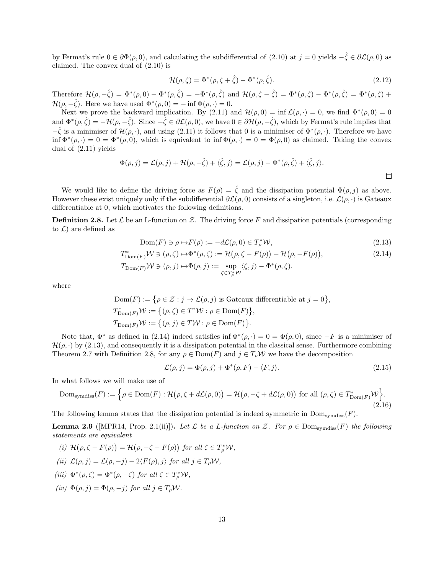by Fermat's rule  $0 \in \partial \Phi(\rho, 0)$ , and calculating the subdifferential of [\(2.10\)](#page-11-2) at  $j = 0$  yields  $-\hat{\zeta} \in \partial \mathcal{L}(\rho, 0)$  as claimed. The convex dual of [\(2.10\)](#page-11-2) is

$$
\mathcal{H}(\rho,\zeta) = \Phi^*(\rho,\zeta + \hat{\zeta}) - \Phi^*(\rho,\hat{\zeta}).\tag{2.12}
$$

Therefore  $\mathcal{H}(\rho, -\hat{\zeta}) = \Phi^*(\rho, 0) - \Phi^*(\rho, \hat{\zeta}) = -\Phi^*(\rho, \hat{\zeta})$  and  $\mathcal{H}(\rho, \zeta - \hat{\zeta}) = \Phi^*(\rho, \zeta) - \Phi^*(\rho, \hat{\zeta}) = \Phi^*(\rho, \zeta) + \Phi^*(\rho, \zeta)$  $\mathcal{H}(\rho, -\hat{\zeta})$ . Here we have used  $\Phi^*(\rho, 0) = -\inf \Phi(\rho, \cdot) = 0$ .

Next we prove the backward implication. By [\(2.11\)](#page-11-3) and  $\mathcal{H}(\rho, 0) = \inf \mathcal{L}(\rho, \cdot) = 0$ , we find  $\Phi^*(\rho, 0) = 0$ and  $\Phi^*(\rho, \hat{\zeta}) = -\mathcal{H}(\rho, -\hat{\zeta})$ . Since  $-\hat{\zeta} \in \partial \mathcal{L}(\rho, 0)$ , we have  $0 \in \partial \mathcal{H}(\rho, -\hat{\zeta})$ , which by Fermat's rule implies that  $-\hat{\zeta}$  is a minimiser of  $\mathcal{H}(\rho, \cdot)$ , and using [\(2.11\)](#page-11-3) it follows that 0 is a minimiser of  $\Phi^*(\rho, \cdot)$ . Therefore we have inf  $\Phi^*(\rho, \cdot) = 0 = \Phi^*(\rho, 0)$ , which is equivalent to inf  $\Phi(\rho, \cdot) = 0 = \Phi(\rho, 0)$  as claimed. Taking the convex dual of [\(2.11\)](#page-11-3) yields

$$
\Phi(\rho, j) = \mathcal{L}(\rho, j) + \mathcal{H}(\rho, -\hat{\zeta}) + \langle \hat{\zeta}, j \rangle = \mathcal{L}(\rho, j) - \Phi^*(\rho, \hat{\zeta}) + \langle \hat{\zeta}, j \rangle.
$$

We would like to define the driving force as  $F(\rho) = \hat{\zeta}$  and the dissipation potential  $\Phi(\rho, j)$  as above. However these exist uniquely only if the subdifferential  $\partial \mathcal{L}(\rho, 0)$  consists of a singleton, i.e.  $\mathcal{L}(\rho, \cdot)$  is Gateaux differentiable at 0, which motivates the following definitions.

<span id="page-12-0"></span>**Definition 2.8.** Let  $\mathcal{L}$  be an L-function on  $\mathcal{Z}$ . The driving force F and dissipation potentials (corresponding to  $\mathcal{L}$ ) are defined as

$$
Dom(F) \ni \rho \mapsto F(\rho) := -d\mathcal{L}(\rho, 0) \in T_{\rho}^* \mathcal{W},\tag{2.13}
$$

$$
T_{\text{Dom}(F)}^* \mathcal{W} \ni (\rho, \zeta) \mapsto \Phi^*(\rho, \zeta) := \mathcal{H}(\rho, \zeta - F(\rho)) - \mathcal{H}(\rho, -F(\rho)),
$$
  
\n
$$
T_{\text{Dom}(F)} \mathcal{W} \ni (\rho, j) \mapsto \Phi(\rho, j) := \sup_{\zeta \in T_{\rho}^* \mathcal{W}} \langle \zeta, j \rangle - \Phi^*(\rho, \zeta).
$$
\n(2.14)

where

$$
Dom(F) := \{ \rho \in \mathcal{Z} : j \mapsto \mathcal{L}(\rho, j) \text{ is Gateaux differentiable at } j = 0 \}
$$
  

$$
T^*_{Dom(F)} \mathcal{W} := \{ (\rho, \zeta) \in T^* \mathcal{W} : \rho \in Dom(F) \},
$$
  

$$
T_{Dom(F)} \mathcal{W} := \{ (\rho, j) \in TW : \rho \in Dom(F) \}.
$$

Note that,  $\Phi^*$  as defined in [\(2.14\)](#page-12-2) indeed satisfies inf  $\Phi^*(\rho, \cdot) = 0 = \Phi(\rho, 0)$ , since  $-F$  is a minimiser of  $\mathcal{H}(\rho, \cdot)$  by [\(2.13\)](#page-12-3), and consequently it is a dissipation potential in the classical sense. Furthermore combining Theorem [2.7](#page-11-0) with Definition [2.8,](#page-12-0) for any  $\rho \in \text{Dom}(F)$  and  $j \in T_{\rho} \mathcal{W}$  we have the decomposition

<span id="page-12-6"></span>
$$
\mathcal{L}(\rho, j) = \Phi(\rho, j) + \Phi^*(\rho, F) - \langle F, j \rangle.
$$
\n(2.15)

<span id="page-12-3"></span><span id="page-12-2"></span>,

In what follows we will make use of

<span id="page-12-1"></span>
$$
\text{Dom}_{\text{symdiss}}(F) := \left\{ \rho \in \text{Dom}(F) : \mathcal{H}(\rho, \zeta + d\mathcal{L}(\rho, 0)) = \mathcal{H}(\rho, -\zeta + d\mathcal{L}(\rho, 0)) \text{ for all } (\rho, \zeta) \in T^*_{\text{Dom}(F)}\mathcal{W} \right\}.
$$
\n(2.16)

The following lemma states that the dissipation potential is indeed symmetric in  $Dom<sub>symdiss</sub>(F)$ .

<span id="page-12-4"></span>**Lemma 2.9** ([\[MPR14,](#page-45-0) Prop. 2.1(ii)]). Let  $\mathcal{L}$  be a L-function on Z. For  $\rho \in \text{Dom<sub>symdiss</sub>(F)}$  the following statements are equivalent

<span id="page-12-5"></span>(i) 
$$
\mathcal{H}(\rho, \zeta - F(\rho)) = \mathcal{H}(\rho, -\zeta - F(\rho))
$$
 for all  $\zeta \in T_{\rho}^* \mathcal{W}$ ,  
(ii)  $\mathcal{L}(\rho, j) = \mathcal{L}(\rho, -j) - 2\langle F(\rho), j \rangle$  for all  $j \in T_{\rho} \mathcal{W}$ ,

- (iii)  $\Phi^*(\rho, \zeta) = \Phi^*(\rho, -\zeta)$  for all  $\zeta \in T_\rho^* \mathcal{W}$ ,
- (iv)  $\Phi(\rho, j) = \Phi(\rho, -j)$  for all  $j \in T_{\rho} \mathcal{W}$ .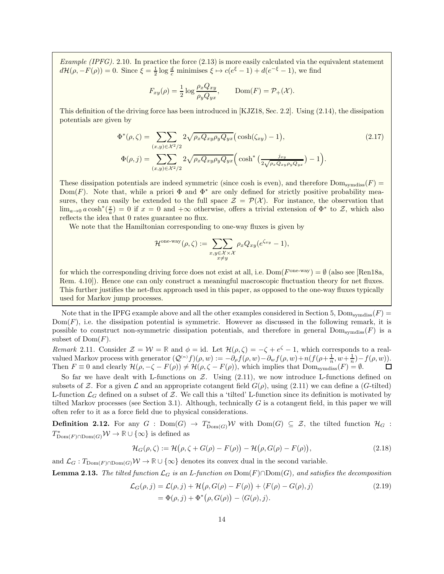<span id="page-13-4"></span>Example (IPFG). 2.10. In practice the force  $(2.13)$  is more easily calculated via the equivalent statement  $d\mathcal{H}(\rho, -F(\rho)) = 0$ . Since  $\xi = \frac{1}{2} \log \frac{d}{c}$  minimises  $\xi \mapsto c(e^{\xi} - 1) + d(e^{-\xi} - 1)$ , we find

<span id="page-13-3"></span>
$$
F_{xy}(\rho) = \frac{1}{2} \log \frac{\rho_x Q_{xy}}{\rho_y Q_{yx}}, \quad \text{Dom}(F) = \mathcal{P}_+(\mathcal{X}).
$$

This definition of the driving force has been introduced in [\[KJZ18,](#page-44-6) Sec. 2.2]. Using [\(2.14\)](#page-12-2), the dissipation potentials are given by

$$
\Phi^*(\rho,\zeta) = \sum_{(x,y)\in\mathcal{X}^2/2} 2\sqrt{\rho_x Q_{xy}\rho_y Q_{yx}} \left(\cosh(\zeta_{xy}) - 1\right),\tag{2.17}
$$
\n
$$
\Phi(\rho,j) = \sum_{(x,y)\in\mathcal{X}^2/2} 2\sqrt{\rho_x Q_{xy}\rho_y Q_{yx}} \left(\cosh^*\left(\frac{j_{xy}}{2\sqrt{\rho_x Q_{xy}\rho_y Q_{yx}}}\right) - 1\right).
$$

These dissipation potentials are indeed symmetric (since cosh is even), and therefore  $Dom<sub>swmdiss</sub>(F)$ Dom(F). Note that, while a priori  $\Phi$  and  $\Phi^*$  are only defined for strictly positive probability measures, they can easily be extended to the full space  $\mathcal{Z} = \mathcal{P}(\mathcal{X})$ . For instance, the observation that  $\lim_{a\to 0} a \cosh^*(\frac{x}{a}) = 0$  if  $x = 0$  and  $+\infty$  otherwise, offers a trivial extension of  $\Phi^*$  to  $\mathcal{Z}$ , which also reflects the idea that 0 rates guarantee no flux.

We note that the Hamiltonian corresponding to one-way fluxes is given by

$$
\mathcal{H}^{\text{one-way}}(\rho,\zeta) := \sum_{\substack{x,y \in \mathcal{X} \times \mathcal{X} \\ x \neq y}} \rho_x Q_{xy} (e^{\zeta_{xy}} - 1),
$$

for which the corresponding driving force does not exist at all, i.e.  $Dom(F^{\text{one-way}}) = \emptyset$  (also see [\[Ren18a,](#page-45-12) Rem. 4.10]). Hence one can only construct a meaningful macroscopic fluctuation theory for net fluxes. This further justifies the net-flux approach used in this paper, as opposed to the one-way fluxes typically used for Markov jump processes.

Note that in the IPFG example above and all the other examples considered in Section [5,](#page-31-0) Dom<sub>symdiss</sub> $(F)$  $Dom(F)$ , i.e. the dissipation potential is symmetric. However as discussed in the following remark, it is possible to construct non-symmetric dissipation potentials, and therefore in general  $\text{Dom}_{\text{swmdiss}}(F)$  is a subset of  $Dom(F)$ .

Remark 2.11. Consider  $\mathcal{Z} = \mathcal{W} = \mathbb{R}$  and  $\phi = id$ . Let  $\mathcal{H}(\rho, \zeta) = -\zeta + e^{\zeta} - 1$ , which corresponds to a realvalued Markov process with generator  $(Q^{(n)}f)(\rho, w) := -\partial_{\rho}f(\rho, w)-\partial_{w}f(\rho, w)+n(f(\rho+\frac{1}{n}, w+\frac{1}{n})-f(\rho, w)).$ Then  $F \equiv 0$  and clearly  $\mathcal{H}(\rho, -\zeta - F(\rho)) \neq \mathcal{H}(\rho, \zeta - F(\rho))$ , which implies that  $\text{Dom}_{symdiss}(F) = \emptyset$ .

So far we have dealt with L-functions on  $Z$ . Using [\(2.11\)](#page-11-3), we now introduce L-functions defined on subsets of Z. For a given L and an appropriate cotangent field  $G(\rho)$ , using [\(2.11\)](#page-11-3) we can define a (G-tilted) L-function  $\mathcal{L}_G$  defined on a subset of Z. We call this a 'tilted' L-function since its definition is motivated by tilted Markov processes (see Section [3.1\)](#page-24-0). Although, technically  $G$  is a cotangent field, in this paper we will often refer to it as a force field due to physical considerations.

<span id="page-13-0"></span>**Definition 2.12.** For any  $G$  :  $Dom(G) \to T^*_{Dom(G)}W$  with  $Dom(G) \subseteq \mathcal{Z}$ , the tilted function  $\mathcal{H}_G$  :  $T^*_{\mathrm{Dom}(F) \cap \mathrm{Dom}(G)} \mathcal{W} \to \mathbb{R} \cup \{\infty\}$  is defined as

<span id="page-13-1"></span>
$$
\mathcal{H}_G(\rho,\zeta) := \mathcal{H}(\rho,\zeta + G(\rho) - F(\rho)) - \mathcal{H}(\rho,G(\rho) - F(\rho)),\tag{2.18}
$$

and  $\mathcal{L}_G: T_{\text{Dom}(F) \cap \text{Dom}(G)} \mathcal{W} \to \mathbb{R} \cup \{\infty\}$  denotes its convex dual in the second variable.

<span id="page-13-5"></span>**Lemma 2.13.** The tilted function  $\mathcal{L}_G$  is an L-function on Dom(F)∩Dom(G), and satisfies the decomposition

<span id="page-13-2"></span>
$$
\mathcal{L}_G(\rho, j) = \mathcal{L}(\rho, j) + \mathcal{H}(\rho, G(\rho) - F(\rho)) + \langle F(\rho) - G(\rho), j \rangle
$$
  
=  $\Phi(\rho, j) + \Phi^*(\rho, G(\rho)) - \langle G(\rho), j \rangle.$  (2.19)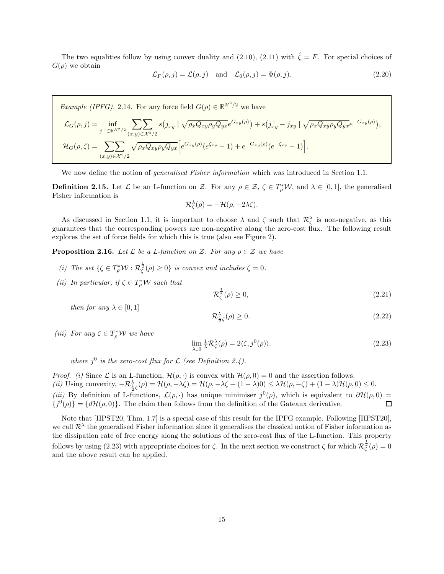The two equalities follow by using convex duality and [\(2.10\)](#page-11-2), [\(2.11\)](#page-11-3) with  $\hat{\zeta} = F$ . For special choices of  $G(\rho)$  we obtain

<span id="page-14-3"></span>
$$
\mathcal{L}_F(\rho, j) = \mathcal{L}(\rho, j) \quad \text{and} \quad \mathcal{L}_0(\rho, j) = \Phi(\rho, j). \tag{2.20}
$$

*Example (IPFG).* 2.14. For any force field  $G(\rho) \in \mathbb{R}^{\mathcal{X}^2/2}$  we have  $\mathcal{L}_G(\rho, j) = \inf_{j^+ \in \mathbb{R}^{\mathcal{X}^2 / 2}}$  $\overline{\nabla}$  $(x,y) \in \mathcal{X}^2/2$  $s(j_{xy}^+ \mid \sqrt{\rho_x Q_{xy} \rho_y Q_{yx}} e^{G_{xy}(\rho)}) + s(j_{xy}^+ - j_{xy} \mid \sqrt{\rho_x Q_{xy} \rho_y Q_{yx}} e^{-G_{xy}(\rho)}),$  $\mathcal{H}_G(\rho, \zeta) = \sum \sum$  $(x,y) \in \mathcal{X}^2/2$  $\sqrt{\rho_x Q_{xy} \rho_y Q_{yx}} \Big[ e^{G_{xy}(\rho)} (e^{\zeta_{xy}} - 1) + e^{-G_{xy}(\rho)} (e^{-\zeta_{xy}} - 1) \Big].$ 

We now define the notion of generalised Fisher information which was introduced in Section [1.1.](#page-1-4)

<span id="page-14-1"></span>**Definition 2.15.** Let  $\mathcal{L}$  be an L-function on Z. For any  $\rho \in \mathcal{Z}, \zeta \in T_{\rho}^*\mathcal{W}$ , and  $\lambda \in [0,1]$ , the generalised Fisher information is

$$
\mathcal{R}_{\zeta}^{\lambda}(\rho) = -\mathcal{H}(\rho, -2\lambda\zeta).
$$

As discussed in Section [1.1,](#page-1-4) it is important to choose  $\lambda$  and  $\zeta$  such that  $\mathcal{R}_{\zeta}^{\lambda}$  is non-negative, as this guarantees that the corresponding powers are non-negative along the zero-cost flux. The following result explores the set of force fields for which this is true (also see Figure [2\)](#page-17-1).

<span id="page-14-0"></span>**Proposition 2.16.** Let  $\mathcal L$  be a L-function on  $\mathcal Z$ . For any  $\rho \in \mathcal Z$  we have

- (i) The set  $\{\zeta \in T_\rho^* \mathcal{W} : \mathcal{R}_\zeta^{\frac{1}{2}}(\rho) \geq 0\}$  is convex and includes  $\zeta = 0$ .
- (*ii*) In particular, if  $\zeta \in T_{\rho}^* \mathcal{W}$  such that

$$
\mathcal{R}_{\zeta}^{\frac{1}{2}}(\rho) \ge 0,\tag{2.21}
$$

$$
\mathcal{R}_{\frac{1}{2}\zeta}^{\lambda}(\rho) \ge 0. \tag{2.22}
$$

(iii) For any  $\zeta \in T_{\rho}^* \mathcal{W}$  we have

then for any  $\lambda \in [0, 1]$ 

<span id="page-14-2"></span>
$$
\lim_{\lambda \downarrow 0} \frac{1}{\lambda} \mathcal{R}_{\zeta}^{\lambda}(\rho) = 2 \langle \zeta, j^0(\rho) \rangle.
$$
 (2.23)

where  $j^0$  is the zero-cost flux for  $\mathcal L$  (see Definition [2.4\)](#page-10-0).

*Proof.* (i) Since L is an L-function,  $\mathcal{H}(\rho, \cdot)$  is convex with  $\mathcal{H}(\rho, 0) = 0$  and the assertion follows. (*ii*) Using convexity,  $-\mathcal{R}_{\frac{1}{2}\zeta}^{\lambda}(\rho) = \mathcal{H}(\rho, -\lambda\zeta) = \mathcal{H}(\rho, -\lambda\zeta + (1-\lambda)0) \leq \lambda \mathcal{H}(\rho, -\zeta) + (1-\lambda)\mathcal{H}(\rho, 0) \leq 0.$ (iii) By definition of L-functions,  $\mathcal{L}(\rho, \cdot)$  has unique minimiser  $j^0(\rho)$ , which is equivalent to  $\partial \mathcal{H}(\rho, 0)$  =  ${j<sup>0</sup>(\rho)} = {d\mathcal{H}(\rho, 0)}$ . The claim then follows from the definition of the Gateaux derivative.

Note that [\[HPST20,](#page-44-3) Thm. 1.7] is a special case of this result for the IPFG example. Following [\[HPST20\]](#page-44-3), we call  $\mathcal{R}^{\lambda}$  the generalised Fisher information since it generalises the classical notion of Fisher information as the dissipation rate of free energy along the solutions of the zero-cost flux of the L-function. This property follows by using [\(2.23\)](#page-14-2) with appropriate choices for  $\zeta$ . In the next section we construct  $\zeta$  for which  $\mathcal{R}_{\zeta}^{\frac{1}{2}}(\rho) = 0$ and the above result can be applied.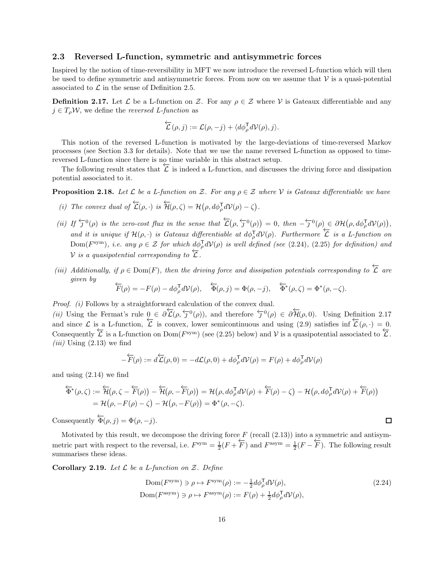#### <span id="page-15-2"></span>2.3 Reversed L-function, symmetric and antisymmetric forces

Inspired by the notion of time-reversibility in MFT we now introduce the reversed L-function which will then be used to define symmetric and antisymmetric forces. From now on we assume that  $\mathcal V$  is a quasi-potential associated to  $\mathcal L$  in the sense of Definition [2.5.](#page-10-1)

<span id="page-15-1"></span>**Definition 2.17.** Let  $\mathcal{L}$  be a L-function on Z. For any  $\rho \in \mathcal{Z}$  where V is Gateaux differentiable and any  $j \in T_o \mathcal{W}$ , we define the *reversed L-function* as

$$
\overleftarrow{\mathcal{L}}(\rho,j) := \mathcal{L}(\rho,-j) + \langle d\phi_{\rho}^{\mathsf{T}} d\mathcal{V}(\rho),j \rangle.
$$

This notion of the reversed L-function is motivated by the large-deviations of time-reversed Markov processes (see Section [3.3](#page-27-0) for details). Note that we use the name reversed L-function as opposed to timereversed L-function since there is no time variable in this abstract setup.

The following result states that  $\overline{\mathcal{L}}$  is indeed a L-function, and discusses the driving force and dissipation potential associated to it.

**Proposition 2.18.** Let L be a L-function on Z. For any  $\rho \in \mathcal{Z}$  where V is Gateaux differentiable we have

- (i) The convex dual of  $\overleftarrow{\mathcal{L}}(\rho, \cdot)$  is  $\overleftarrow{\mathcal{H}}(\rho, \zeta) = \mathcal{H}(\rho, d\phi_{\rho}^{\mathsf{T}} d\mathcal{V}(\rho) \zeta)$ .
- (ii) If  $\overleftarrow{j}^0(\rho)$  is the zero-cost flux in the sense that  $\overleftarrow{\mathcal{L}}(\rho, \overleftarrow{j}^0(\rho)) = 0$ , then  $-\overleftarrow{j}^0(\rho) \in \partial \mathcal{H}(\rho, d\phi_{\rho}^{\mathsf{T}} d\mathcal{V}(\rho)),$ and it is unique if  $\mathcal{H}(\rho, \cdot)$  is Gateaux differentiable at  $d\phi_{\rho}^{\mathsf{T}} d\mathcal{V}(\rho)$ . Furthermore  $\overleftarrow{\mathcal{L}}$  is a L-function on  $Dom(F^{sym})$ , i.e. any  $\rho \in \mathcal{Z}$  for which  $d\phi_{\rho}^{\mathsf{T}} dV(\rho)$  is well defined (see [\(2.24\)](#page-15-3), [\(2.25\)](#page-16-1) for definition) and V is a quasipotential corresponding to  $\overline{\mathcal{L}}$ .
- (iii) Additionally, if  $\rho \in \text{Dom}(F)$ , then the driving force and dissipation potentials corresponding to  $\overleftarrow{L}$  are given by given by  $F(\rho) = -F(\rho) - d\phi_{\rho}^{\mathsf{T}} d\mathcal{V}(\rho), \quad \overleftarrow{\Phi}(\rho, j) = \Phi(\rho, -j), \quad \overleftarrow{\Phi}^*(\rho, \zeta) = \Phi^*(\rho, -\zeta).$

Proof. (i) Follows by a straightforward calculation of the convex dual.

(*ii*) Using the Fermat's rule  $\underline{0} \in \partial \overleftarrow{\mathcal{L}}(\rho, \overleftarrow{\jmath}^0(\rho))$ , and therefore  $\overleftarrow{\jmath}^0(\rho) \in \partial \overleftarrow{\mathcal{H}}(\rho, 0)$ . Using Definition [2.17](#page-15-1) and since  $\mathcal L$  is a L-function,  $\overleftarrow{\mathcal L}$  is convex, lower semicontinuous and using [\(2.9\)](#page-10-2) satisfies inf  $\overleftarrow{\mathcal L}(\rho, \cdot) = 0$ . Consequently  $\overleftarrow{\mathcal{L}}$  is a L-function on Dom( $F^{\text{sym}}$ ) (see [\(2.25\)](#page-16-1) below) and V is a quasipotential associated to  $\overleftarrow{\mathcal{L}}$ .  $(iii)$  Using  $(2.13)$  we find

$$
-\overleftarrow{F}(\rho) := d\overleftarrow{\mathcal{L}}(\rho, 0) = -d\mathcal{L}(\rho, 0) + d\phi_{\rho}^{\mathsf{T}} d\mathcal{V}(\rho) = F(\rho) + d\phi_{\rho}^{\mathsf{T}} d\mathcal{V}(\rho)
$$

and using [\(2.14\)](#page-12-2) we find

$$
\overleftarrow{\Phi}^*(\rho,\zeta) := \overleftarrow{\mathcal{H}}(\rho,\zeta - \overleftarrow{F}(\rho)) - \overleftarrow{\mathcal{H}}(\rho,-\overleftarrow{F}(\rho)) = \mathcal{H}(\rho,d\phi_{\rho}^{\mathsf{T}}d\mathcal{V}(\rho) + \overleftarrow{F}(\rho) - \zeta) - \mathcal{H}(\rho,d\phi_{\rho}^{\mathsf{T}}d\mathcal{V}(\rho) + \overleftarrow{F}(\rho))
$$
  
=  $\mathcal{H}(\rho,-F(\rho) - \zeta) - \mathcal{H}(\rho,-F(\rho)) = \Phi^*(\rho,-\zeta).$ 

Consequently  $\overleftarrow{\Phi}(\rho, j) = \Phi(\rho, -j).$ 

Motivated by this result, we decompose the driving force  $F$  (recall  $(2.13)$ ) into a symmetric and antisymmetric part with respect to the reversal, i.e.  $F^{\text{sym}} = \frac{1}{2}(F + \overleftarrow{F})$  and  $F^{\text{asym}} = \frac{1}{2}(F - \overleftarrow{F})$ . The following result summarises these ideas.

<span id="page-15-0"></span>Corollary 2.19. Let  $\mathcal L$  be a L-function on  $\mathcal Z$ . Define

$$
Dom(F^{sym}) \ni \rho \mapsto F^{sym}(\rho) := -\frac{1}{2} d\phi_{\rho}^{\mathsf{T}} dV(\rho),
$$
  
\n
$$
Dom(F^{asym}) \ni \rho \mapsto F^{asym}(\rho) := F(\rho) + \frac{1}{2} d\phi_{\rho}^{\mathsf{T}} dV(\rho),
$$
\n(2.24)

<span id="page-15-3"></span> $\Box$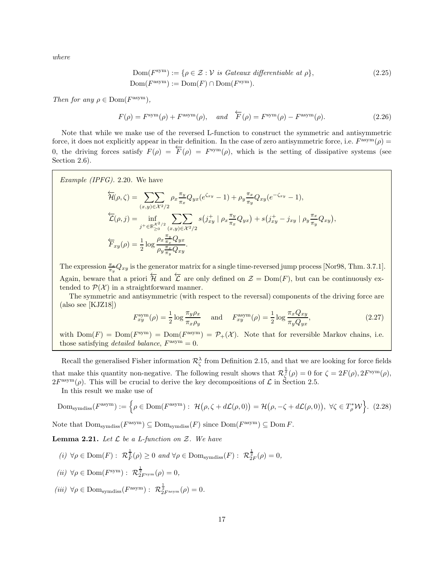where

<span id="page-16-1"></span>
$$
Dom(F^{sym}) := \{ \rho \in \mathcal{Z} : \mathcal{V} \text{ is Gateaux differentiable at } \rho \},
$$
  
\n
$$
Dom(F^{sym}) := Dom(F) \cap Dom(F^{sym}).
$$
\n(2.25)

Then for any  $\rho \in \text{Dom}(F^{\text{asym}})$ ,

<span id="page-16-4"></span>
$$
F(\rho) = F^{\text{sym}}(\rho) + F^{\text{asym}}(\rho), \quad \text{and} \quad \overleftarrow{F}(\rho) = F^{\text{sym}}(\rho) - F^{\text{asym}}(\rho). \tag{2.26}
$$

Note that while we make use of the reversed L-function to construct the symmetric and antisymmetric force, it does not explicitly appear in their definition. In the case of zero antisymmetric force, i.e.  $F^{\text{asym}}(\rho)$ 0, the driving forces satisfy  $F(\rho) = \overleftarrow{F}(\rho) = F^{sym}(\rho)$ , which is the setting of dissipative systems (see Section [2.6\)](#page-22-0).

Example (IPFG). 2.20. We have

$$
\overleftarrow{\mathcal{H}}(\rho,\zeta) = \sum_{(x,y)\in\mathcal{X}^2/2} \rho_x \frac{\pi_y}{\pi_x} Q_{yx} (e^{\zeta_{xy}} - 1) + \rho_y \frac{\pi_x}{\pi_y} Q_{xy} (e^{-\zeta_{xy}} - 1),
$$
\n
$$
\overleftarrow{\mathcal{L}}(\rho,j) = \inf_{\substack{j+\in\mathbb{R}_{\geq 0}^{\times^2/2}}}\sum_{(x,y)\in\mathcal{X}^2/2} s(j_{xy}^+ \mid \rho_x \frac{\pi_y}{\pi_x} Q_{yx}) + s(j_{xy}^+ - j_{xy} \mid \rho_y \frac{\pi_x}{\pi_y} Q_{xy}),
$$
\n
$$
\overleftarrow{\mathcal{F}}_{xy}(\rho) = \frac{1}{2} \log \frac{\rho_x \frac{\pi_y}{\pi_x} Q_{yx}}{\rho_y \frac{\pi_x}{\pi_y} Q_{xy}}.
$$

The expression  $\frac{\pi_x}{\pi_y} Q_{xy}$  is the generator matrix for a single time-reversed jump process [\[Nor98,](#page-45-19) Thm. 3.7.1]. Again, beware that a priori  $\overleftarrow{\mathcal{H}}$  and  $\overleftarrow{\mathcal{L}}$  are only defined on  $\mathcal{Z} = \text{Dom}(F)$ , but can be continuously extended to  $\mathcal{P}(\mathcal{X})$  in a straightforward manner.

The symmetric and antisymmetric (with respect to the reversal) components of the driving force are  $(a$ lso see  $[KJZ18])$ 

<span id="page-16-0"></span>
$$
F_{xy}^{\text{sym}}(\rho) = \frac{1}{2} \log \frac{\pi_y \rho_x}{\pi_x \rho_y} \quad \text{and} \quad F_{xy}^{\text{asym}}(\rho) = \frac{1}{2} \log \frac{\pi_x Q_{xy}}{\pi_y Q_{yx}},\tag{2.27}
$$

with  $Dom(F) = Dom(F^{sym}) = Dom(F^{asym}) = \mathcal{P}_+(\mathcal{X})$ . Note that for reversible Markov chains, i.e. those satisfying *detailed balance*,  $F^{\text{asym}} = 0$ .

Recall the generalised Fisher information  $\mathcal{R}^{\lambda}_{\zeta}$  from Definition [2.15,](#page-14-1) and that we are looking for force fields that make this quantity non-negative. The following result shows that  $\mathcal{R}_{\zeta}^{\frac{1}{2}}(\rho) = 0$  for  $\zeta = 2F(\rho), 2F^{\text{sym}}(\rho),$  $2F^{\text{asym}}(\rho)$ . This will be crucial to derive the key decompositions of  $\mathcal L$  in Section [2.5.](#page-19-1)

In this result we make use of

<span id="page-16-3"></span>
$$
\text{Dom}_{\text{symdiss}}(F^{\text{asym}}) := \left\{ \rho \in \text{Dom}(F^{\text{asym}}) : \ \mathcal{H}(\rho, \zeta + d\mathcal{L}(\rho, 0)) = \mathcal{H}(\rho, -\zeta + d\mathcal{L}(\rho, 0)), \ \forall \zeta \in T_{\rho}^{*} \mathcal{W} \right\}. \tag{2.28}
$$

Note that  $\text{Dom}_{\text{symdiss}}(F^{\text{asym}}) \subseteq \text{Dom}_{\text{symdiss}}(F)$  since  $\text{Dom}(F^{\text{asym}}) \subseteq \text{Dom } F$ .

<span id="page-16-2"></span>**Lemma 2.21.** Let  $\mathcal L$  be a L-function on  $\mathcal Z$ . We have

- $(i) \ \forall \rho \in \text{Dom}(F) : \ \mathcal{R}_F^{\frac{1}{2}}(\rho) \geq 0 \ \text{and} \ \forall \rho \in \text{Dom}_{\text{symdiss}}(F) : \ \mathcal{R}_{2F}^{\frac{1}{2}}(\rho) = 0,$ (ii)  $\forall \rho \in \text{Dom}(F^{\text{sym}}): \mathcal{R}^{\frac{1}{2}}_{2F^{\text{sym}}}(\rho) = 0,$
- (iii)  $\forall \rho \in \text{Dom}_{\text{symdiss}}(F^{\text{asym}}): \mathcal{R}^{\frac{1}{2}}_{2F^{\text{asym}}}(\rho) = 0.$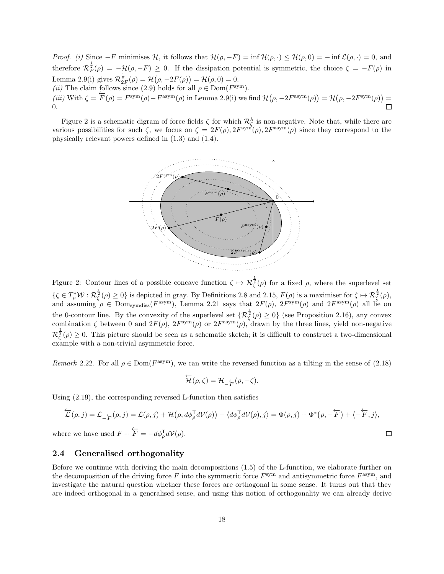*Proof.* (i) Since  $-F$  minimises H, it follows that  $\mathcal{H}(\rho, -F) = \inf \mathcal{H}(\rho, \cdot) \leq \mathcal{H}(\rho, 0) = -\inf \mathcal{L}(\rho, \cdot) = 0$ , and therefore  $\mathcal{R}_F^{\frac{1}{2}}(\rho) = -\mathcal{H}(\rho, -F) \geq 0$ . If the dissipation potential is symmetric, the choice  $\zeta = -F(\rho)$  in Lemma [2.9](#page-12-4)[\(i\)](#page-12-5) gives  $\mathcal{R}_{2F}^{\frac{1}{2}}(\rho) = \mathcal{H}(\rho, -2F(\rho)) = \mathcal{H}(\rho, 0) = 0.$ (*ii*) The claim follows since [\(2.9\)](#page-10-2) holds for all  $\rho \in \text{Dom}(F^{\text{sym}})$ . (iii) With  $\zeta = \overleftarrow{F}(\rho) = F^{\text{sym}}(\rho) - F^{\text{asym}}(\rho)$  in Lemma [2.9](#page-12-4)[\(i\)](#page-12-5) we find  $\mathcal{H}(\rho, -2F^{\text{asym}}(\rho)) = \mathcal{H}(\rho, -2F^{\text{sym}}(\rho)) =$ 0.

Figure [2](#page-17-1) is a schematic digram of force fields  $\zeta$  for which  $\mathcal{R}_{\zeta}^{\lambda}$  is non-negative. Note that, while there are various possibilities for such  $\zeta$ , we focus on  $\zeta = 2F(\rho), 2F^{\text{sym}}(\rho), 2F^{\text{asym}}(\rho)$  since they correspond to the physically relevant powers defined in [\(1.3\)](#page-2-0) and [\(1.4\)](#page-2-1).



<span id="page-17-1"></span>Figure 2: Contour lines of a possible concave function  $\zeta \mapsto \mathcal{R}_{\zeta}^{\frac{1}{2}}(\rho)$  for a fixed  $\rho$ , where the superlevel set  $\{\zeta \in T_\rho^* \mathcal{W} : \mathcal{R}_\zeta^{\frac{1}{2}}(\rho) \geq 0\}$  is depicted in gray. By Definitions [2.8](#page-12-0) and [2.15,](#page-14-1)  $F(\rho)$  is a maximiser for  $\zeta \mapsto \mathcal{R}_\zeta^{\frac{1}{2}}(\rho)$ , and assuming  $\rho \in \text{Dom}_{symdiss}(F^{\text{asym}})$ , Lemma [2.21](#page-16-2) says that  $2F(\rho)$ ,  $2F^{\text{sym}}(\rho)$  and  $2F^{\text{asym}}(\rho)$  all lie on the 0-contour line. By the convexity of the superlevel set  $\{\mathcal{R}_{\zeta}^{\frac{1}{2}}(\rho) \geq 0\}$  (see Proposition [2.16\)](#page-14-0), any convex combination  $\zeta$  between 0 and  $2F(\rho)$ ,  $2F^{\text{sym}}(\rho)$  or  $2F^{\text{asym}}(\rho)$ , drawn by the three lines, yield non-negative  $\mathcal{R}_{\zeta}^{\frac{1}{2}}(\rho) \geq 0$ . This picture should be seen as a schematic sketch; it is difficult to construct a two-dimensional example with a non-trivial asymmetric force.

<span id="page-17-2"></span>Remark 2.22. For all  $\rho \in \text{Dom}(F^{\text{asym}})$ , we can write the reversed function as a tilting in the sense of  $(2.18)$ 

$$
\overleftarrow{\mathcal{H}}(\rho,\zeta)=\mathcal{H}_{-\overleftarrow{F}}(\rho,-\zeta).
$$

Using [\(2.19\)](#page-13-2), the corresponding reversed L-function then satisfies

$$
\overleftarrow{\mathcal{L}}(\rho,j) = \mathcal{L}_{-\overleftarrow{F}}(\rho,j) = \mathcal{L}(\rho,j) + \mathcal{H}(\rho, d\phi_{\rho}^{\mathsf{T}} d\mathcal{V}(\rho)) - \langle d\phi_{\rho}^{\mathsf{T}} d\mathcal{V}(\rho), j \rangle = \Phi(\rho,j) + \Phi^*(\rho, -\overleftarrow{F}) + \langle -\overleftarrow{F}, j \rangle,
$$
  
where we have used  $F + \overleftarrow{F} = -d\phi_{\rho}^{\mathsf{T}} d\mathcal{V}(\rho).$ 

#### <span id="page-17-0"></span>2.4 Generalised orthogonality

Before we continue with deriving the main decompositions [\(1.5\)](#page-2-4) of the L-function, we elaborate further on the decomposition of the driving force  $F$  into the symmetric force  $F^{\text{sym}}$  and antisymmetric force  $F^{\text{asym}}$ , and investigate the natural question whether these forces are orthogonal in some sense. It turns out that they are indeed orthogonal in a generalised sense, and using this notion of orthogonality we can already derive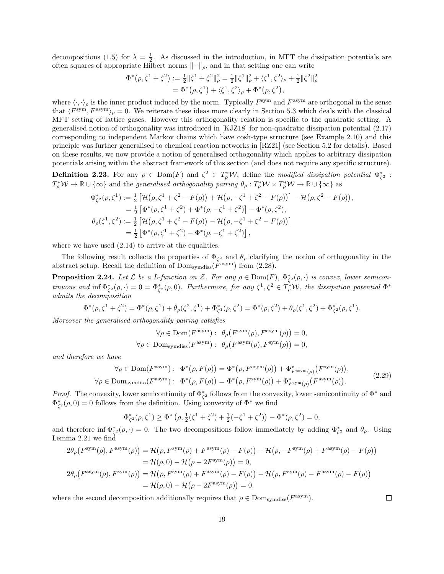decompositions [\(1.5\)](#page-2-4) for  $\lambda = \frac{1}{2}$ . As discussed in the introduction, in MFT the dissipation potentials are often squares of appropriate Hilbert norms  $\|\cdot\|_{\rho}$ , and in that setting one can write

$$
\Phi^*(\rho, \zeta^1 + \zeta^2) := \frac{1}{2} ||\zeta^1 + \zeta^2||_\rho^2 = \frac{1}{2} ||\zeta^1||_\rho^2 + \langle \zeta^1, \zeta^2 \rangle_\rho + \frac{1}{2} ||\zeta^2||_\rho^2
$$
  
= 
$$
\Phi^*(\rho, \zeta^1) + \langle \zeta^1, \zeta^2 \rangle_\rho + \Phi^*(\rho, \zeta^2),
$$

where  $\langle \cdot, \cdot \rangle_{\rho}$  is the inner product induced by the norm. Typically  $F^{\text{sym}}$  and  $F^{\text{asym}}$  are orthogonal in the sense that  $\langle F^{\text{sym}}, F^{\text{asym}} \rangle_{\rho} = 0$ . We reiterate these ideas more clearly in Section [5.3](#page-38-0) which deals with the classical MFT setting of lattice gases. However this orthogonality relation is specific to the quadratic setting. A generalised notion of orthogonality was introduced in [\[KJZ18\]](#page-44-6) for non-quadratic dissipation potential [\(2.17\)](#page-13-3) corresponding to independent Markov chains which have cosh-type structure (see Example [2.10\)](#page-13-4) and this principle was further generalised to chemical reaction networks in [\[RZ21\]](#page-46-0) (see Section [5.2](#page-35-0) for details). Based on these results, we now provide a notion of generalised orthogonality which applies to arbitrary dissipation potentials arising within the abstract framework of this section (and does not require any specific structure).

<span id="page-18-0"></span>**Definition 2.23.** For any  $\rho \in \text{Dom}(F)$  and  $\zeta^2 \in T_\rho^* \mathcal{W}$ , define the modified dissipation potential  $\Phi_{\zeta^2}^*$ :  $T_{\rho}^* W \to \mathbb{R} \cup {\infty}$  and the *generalised orthogonality pairing*  $\theta_{\rho}: T_{\rho}^* W \times T_{\rho}^* W \to \mathbb{R} \cup {\infty}$  as

$$
\Phi_{\zeta^2}^*(\rho, \zeta^1) := \frac{1}{2} \left[ \mathcal{H}(\rho, \zeta^1 + \zeta^2 - F(\rho)) + \mathcal{H}(\rho, -\zeta^1 + \zeta^2 - F(\rho)) \right] - \mathcal{H}(\rho, \zeta^2 - F(\rho)),
$$
  
\n
$$
= \frac{1}{2} \left[ \Phi^*(\rho, \zeta^1 + \zeta^2) + \Phi^*(\rho, -\zeta^1 + \zeta^2) \right] - \Phi^*(\rho, \zeta^2),
$$
  
\n
$$
\theta_\rho(\zeta^1, \zeta^2) := \frac{1}{2} \left[ \mathcal{H}(\rho, \zeta^1 + \zeta^2 - F(\rho)) - \mathcal{H}(\rho, -\zeta^1 + \zeta^2 - F(\rho)) \right]
$$
  
\n
$$
= \frac{1}{2} \left[ \Phi^*(\rho, \zeta^1 + \zeta^2) - \Phi^*(\rho, -\zeta^1 + \zeta^2) \right],
$$

where we have used  $(2.14)$  to arrive at the equalities.

The following result collects the properties of  $\Phi_{\zeta^2}$  and  $\theta_{\rho}$  clarifying the notion of orthogonality in the abstract setup. Recall the definition of  $\text{Dom}_{\text{symdiss}}(\overline{F}^{\text{asym}})$  from [\(2.28\)](#page-16-3).

<span id="page-18-1"></span>**Proposition 2.24.** Let  $\mathcal L$  be a L-function on  $\mathcal Z$ . For any  $\rho \in \text{Dom}(F)$ ,  $\Phi_{\zeta^2}^*(\rho, \cdot)$  is convex, lower semicontinuous and inf  $\Phi_{\zeta^2}^*(\rho,\cdot)=0=\Phi_{\zeta^2}^*(\rho,0)$ . Furthermore, for any  $\zeta^1,\zeta^2\in T_\rho^*W$ , the dissipation potential  $\Phi^*$ admits the decomposition

$$
\Phi^*(\rho,\zeta^1+\zeta^2)=\Phi^*(\rho,\zeta^1)+\theta_{\rho}(\zeta^2,\zeta^1)+\Phi_{\zeta^1}^*(\rho,\zeta^2)=\Phi^*(\rho,\zeta^2)+\theta_{\rho}(\zeta^1,\zeta^2)+\Phi_{\zeta^2}^*(\rho,\zeta^1).
$$

Moreover the generalised orthogonality pairing satisfies

$$
\forall \rho \in \text{Dom}(F^{\text{asym}}): \ \theta_{\rho}(F^{\text{sym}}(\rho), F^{\text{asym}}(\rho)) = 0,
$$
  

$$
\forall \rho \in \text{Dom}_{\text{symdiss}}(F^{\text{asym}}): \ \theta_{\rho}(F^{\text{asym}}(\rho), F^{\text{sym}}(\rho)) = 0,
$$

and therefore we have

$$
\forall \rho \in \text{Dom}(F^{\text{asym}}): \quad \Phi^*(\rho, F(\rho)) = \Phi^*(\rho, F^{\text{asym}}(\rho)) + \Phi^*_{F^{\text{asym}}(\rho)}(F^{\text{sym}}(\rho)),
$$
  

$$
\forall \rho \in \text{Dom}_{\text{symdiss}}(F^{\text{asym}}): \quad \Phi^*(\rho, F(\rho)) = \Phi^*(\rho, F^{\text{sym}}(\rho)) + \Phi^*_{F^{\text{sym}}(\rho)}(F^{\text{asym}}(\rho)). \tag{2.29}
$$

*Proof.* The convexity, lower semicontinuity of  $\Phi_{\zeta^2}^*$  follows from the convexity, lower semicontinuity of  $\Phi^*$  and  $\Phi_{\zeta^2}^*(\rho,0) = 0$  follows from the definition. Using convexity of  $\Phi^*$  we find

$$
\Phi_{\zeta^2}^*(\rho,\zeta^1) \ge \Phi^*\left(\rho, \frac{1}{2}(\zeta^1 + \zeta^2) + \frac{1}{2}(-\zeta^1 + \zeta^2)\right) - \Phi^*(\rho, \zeta^2) = 0,
$$

and therefore inf  $\Phi_{\zeta^2}^*(\rho, \cdot) = 0$ . The two decompositions follow immediately by adding  $\Phi_{\zeta^2}^*$  and  $\theta_{\rho}$ . Using Lemma [2.21](#page-16-2) we find

$$
2\theta_{\rho}(F^{\text{sym}}(\rho), F^{\text{asym}}(\rho)) = \mathcal{H}(\rho, F^{\text{sym}}(\rho) + F^{\text{asym}}(\rho) - F(\rho)) - \mathcal{H}(\rho, -F^{\text{sym}}(\rho) + F^{\text{asym}}(\rho) - F(\rho))
$$
  
\n
$$
= \mathcal{H}(\rho, 0) - \mathcal{H}(\rho - 2F^{\text{sym}}(\rho)) = 0,
$$
  
\n
$$
2\theta_{\rho}(F^{\text{asym}}(\rho), F^{\text{sym}}(\rho)) = \mathcal{H}(\rho, F^{\text{sym}}(\rho) + F^{\text{asym}}(\rho) - F(\rho)) - \mathcal{H}(\rho, F^{\text{sym}}(\rho) - F(\rho))
$$
  
\n
$$
= \mathcal{H}(\rho, 0) - \mathcal{H}(\rho - 2F^{\text{asym}}(\rho)) = 0.
$$

where the second decomposition additionally requires that  $\rho \in \text{Dom}_{\text{symdiss}}(F^{\text{asym}})$ .

 $\Box$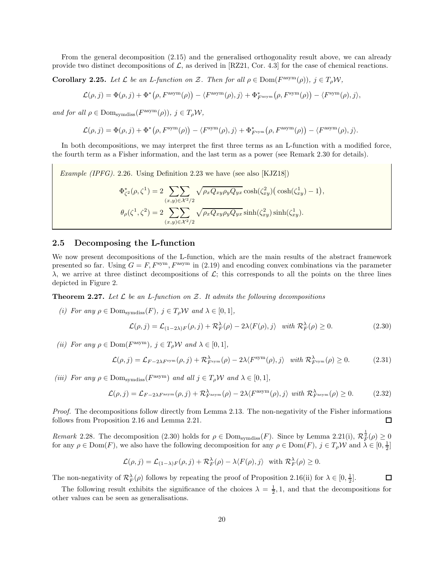From the general decomposition [\(2.15\)](#page-12-6) and the generalised orthogonality result above, we can already provide two distinct decompositions of  $\mathcal{L}$ , as derived in [\[RZ21,](#page-46-0) Cor. 4.3] for the case of chemical reactions.

<span id="page-19-5"></span>**Corollary 2.25.** Let  $\mathcal L$  be an L-function on  $\mathcal Z$ . Then for all  $\rho \in \text{Dom}(F^{\text{asym}}(\rho)), j \in T_\rho \mathcal W$ ,

 $\mathcal{L}(\rho, j) = \Phi(\rho, j) + \Phi^*(\rho, F^{\text{asym}}(\rho)) - \langle F^{\text{asym}}(\rho), j \rangle + \Phi^*_{F^{\text{asym}}}(\rho, F^{\text{sym}}(\rho)) - \langle F^{\text{sym}}(\rho), j \rangle,$ 

and for all  $\rho \in \text{Dom}_{\text{symdiss}}(F^{\text{asym}}(\rho)), \ j \in T_{\rho} \mathcal{W},$ 

$$
\mathcal{L}(\rho, j) = \Phi(\rho, j) + \Phi^*(\rho, F^{\text{sym}}(\rho)) - \langle F^{\text{sym}}(\rho), j \rangle + \Phi_{F^{\text{sym}}}^*(\rho, F^{\text{asym}}(\rho)) - \langle F^{\text{asym}}(\rho), j \rangle.
$$

In both decompositions, we may interpret the first three terms as an L-function with a modified force, the fourth term as a Fisher information, and the last term as a power (see Remark [2.30](#page-20-0) for details).

*Example (IPFG).* 2.26. Using Definition [2.23](#page-18-0) we have (see also [\[KJZ18\]](#page-44-6))

$$
\Phi_{\zeta^2}^*(\rho, \zeta^1) = 2 \sum_{(x,y)\in \mathcal{X}^2/2} \sqrt{\rho_x Q_{xy} \rho_y Q_{yx}} \cosh(\zeta_{xy}^2) (\cosh(\zeta_{xy}^1) - 1),
$$
  

$$
\theta_{\rho}(\zeta^1, \zeta^2) = 2 \sum_{(x,y)\in \mathcal{X}^2/2} \sqrt{\rho_x Q_{xy} \rho_y Q_{yx}} \sinh(\zeta_{xy}^2) \sinh(\zeta_{xy}^1).
$$

#### <span id="page-19-1"></span>2.5 Decomposing the L-function

We now present decompositions of the L-function, which are the main results of the abstract framework presented so far. Using  $G = F$ ,  $F<sup>sym</sup>$ ,  $F<sup>asym</sup>$  in [\(2.19\)](#page-13-2) and encoding convex combinations via the parameter  $\lambda$ , we arrive at three distinct decompositions of  $\mathcal{L}$ ; this corresponds to all the points on the three lines depicted in Figure [2.](#page-17-1)

<span id="page-19-0"></span>**Theorem 2.27.** Let  $\mathcal{L}$  be an L-function on  $\mathcal{Z}$ . It admits the following decompositions

(i) For any  $\rho \in \text{Dom}_{\text{symdiss}}(F)$ ,  $j \in T_\rho W$  and  $\lambda \in [0,1]$ ,

<span id="page-19-2"></span>
$$
\mathcal{L}(\rho, j) = \mathcal{L}_{(1-2\lambda)F}(\rho, j) + \mathcal{R}_F^{\lambda}(\rho) - 2\lambda \langle F(\rho), j \rangle \quad \text{with } \mathcal{R}_F^{\lambda}(\rho) \ge 0. \tag{2.30}
$$

(ii) For any  $\rho \in \text{Dom}(F^{\text{asym}})$ ,  $j \in T_{\rho} \mathcal{W}$  and  $\lambda \in [0, 1]$ ,

<span id="page-19-3"></span>
$$
\mathcal{L}(\rho, j) = \mathcal{L}_{F-2\lambda F^{\text{sym}}}(\rho, j) + \mathcal{R}_{F^{\text{sym}}}^{\lambda}(\rho) - 2\lambda \langle F^{\text{sym}}(\rho), j \rangle \quad \text{with } \mathcal{R}_{F^{\text{sym}}}^{\lambda}(\rho) \ge 0. \tag{2.31}
$$

(iii) For any  $\rho \in \text{Dom}_{\text{symdiss}}(F^{\text{asym}})$  and all  $j \in T_{\rho} \mathcal{W}$  and  $\lambda \in [0, 1],$ 

<span id="page-19-4"></span>
$$
\mathcal{L}(\rho, j) = \mathcal{L}_{F-2\lambda F^{\text{asym}}}(\rho, j) + \mathcal{R}_{F^{\text{asym}}}^{\lambda}(\rho) - 2\lambda \langle F^{\text{asym}}(\rho), j \rangle \text{ with } \mathcal{R}_{F^{\text{asym}}}^{\lambda}(\rho) \ge 0. \tag{2.32}
$$

Proof. The decompositions follow directly from Lemma [2.13.](#page-13-5) The non-negativity of the Fisher informations follows from Proposition [2.16](#page-14-0) and Lemma [2.21.](#page-16-2)  $\Box$ 

Remark 2.28. The decomposition [\(2.30\)](#page-19-2) holds for  $\rho \in \text{Dom}_{\text{symdiss}}(F)$ . Since by Lemma [2.21\(](#page-16-2)i),  $\mathcal{R}_F^{\frac{1}{2}}(\rho) \geq 0$ for any  $\rho \in \text{Dom}(F)$ , we also have the following decomposition for any  $\rho \in \text{Dom}(F)$ ,  $j \in T_{\rho} \mathcal{W}$  and  $\lambda \in [0, \frac{1}{2}]$ 

$$
\mathcal{L}(\rho, j) = \mathcal{L}_{(1-\lambda)F}(\rho, j) + \mathcal{R}_F^{\lambda}(\rho) - \lambda \langle F(\rho), j \rangle \text{ with } \mathcal{R}_F^{\lambda}(\rho) \ge 0.
$$

The non-negativity of  $\mathcal{R}_F^{\lambda}(\rho)$  follows by repeating the proof of Proposition [2.16\(](#page-14-0)ii) for  $\lambda \in [0, \frac{1}{2}]$ .  $\Box$ 

The following result exhibits the significance of the choices  $\lambda = \frac{1}{2}$ , 1, and that the decompositions for other values can be seen as generalisations.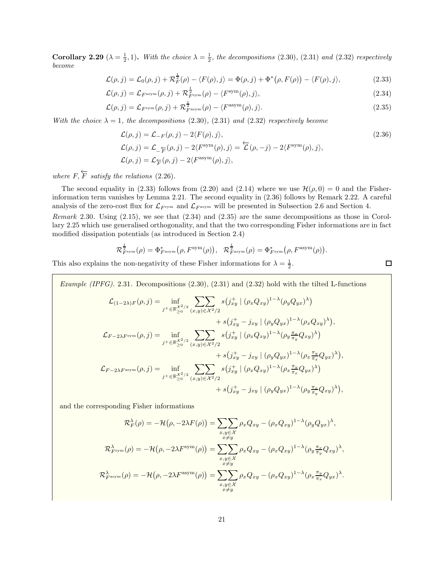**Corollary 2.29** ( $\lambda = \frac{1}{2}$ , 1). With the choice  $\lambda = \frac{1}{2}$ , the decompositions [\(2.30\)](#page-19-2), [\(2.31\)](#page-19-3) and [\(2.32\)](#page-19-4) respectively become

$$
\mathcal{L}(\rho, j) = \mathcal{L}_0(\rho, j) + \mathcal{R}_F^{\frac{1}{2}}(\rho) - \langle F(\rho), j \rangle = \Phi(\rho, j) + \Phi^*(\rho, F(\rho)) - \langle F(\rho), j \rangle,
$$
\n(2.33)

$$
\mathcal{L}(\rho, j) = \mathcal{L}_{F^{\text{asym}}}(\rho, j) + \mathcal{R}_{F^{\text{sym}}}^{\frac{1}{2}}(\rho) - \langle F^{\text{sym}}(\rho), j \rangle,
$$
\n(2.34)

$$
\mathcal{L}(\rho, j) = \mathcal{L}_{F^{\text{sym}}}(\rho, j) + \mathcal{R}_{F^{\text{asym}}}^{\frac{1}{2}}(\rho) - \langle F^{\text{asym}}(\rho), j \rangle.
$$
\n(2.35)

With the choice  $\lambda = 1$ , the decompositions [\(2.30\)](#page-19-2), [\(2.31\)](#page-19-3) and [\(2.32\)](#page-19-4) respectively become

$$
\mathcal{L}(\rho, j) = \mathcal{L}_{-F}(\rho, j) - 2\langle F(\rho), j \rangle,
$$
  
\n
$$
\mathcal{L}(\rho, j) = \mathcal{L}_{-\overleftarrow{F}}(\rho, j) - 2\langle F^{\text{sym}}(\rho), j \rangle = \overleftarrow{\mathcal{L}}(\rho, -j) - 2\langle F^{\text{sym}}(\rho), j \rangle,
$$
  
\n
$$
\mathcal{L}(\rho, j) = \mathcal{L}_{\overleftarrow{F}}(\rho, j) - 2\langle F^{\text{asym}}(\rho), j \rangle,
$$
\n(2.36)

where  $F, \overleftarrow{F}$  satisfy the relations [\(2.26\)](#page-16-4).

The second equality in [\(2.33\)](#page-20-1) follows from [\(2.20\)](#page-14-3) and [\(2.14\)](#page-12-2) where we use  $\mathcal{H}(\rho, 0) = 0$  and the Fisherinformation term vanishes by Lemma [2.21.](#page-16-2) The second equality in [\(2.36\)](#page-20-2) follows by Remark [2.22.](#page-17-2) A careful analysis of the zero-cost flux for  $\mathcal{L}_{F^{asym}}$  and  $\mathcal{L}_{F^{asym}}$  will be presented in Subsection [2.6](#page-22-0) and Section [4.](#page-28-0)

<span id="page-20-0"></span>Remark 2.30. Using [\(2.15\)](#page-12-6), we see that [\(2.34\)](#page-20-3) and [\(2.35\)](#page-20-4) are the same decompositions as those in Corollary [2.25](#page-19-5) which use generalised orthogonality, and that the two corresponding Fisher informations are in fact modified dissipation potentials (as introduced in Section [2.4\)](#page-17-0)

$$
\mathcal{R}_{F^{\text{sym}}}^{\frac{1}{2}}(\rho) = \Phi_{F^{\text{asym}}}^*(\rho, F^{\text{sym}}(\rho)), \ \ \mathcal{R}_{F^{\text{asym}}}^{\frac{1}{2}}(\rho) = \Phi_{F^{\text{sym}}}^*(\rho, F^{\text{asym}}(\rho))
$$

This also explains the non-negativity of these Fisher informations for  $\lambda = \frac{1}{2}$ .

<span id="page-20-5"></span>Example (IPFG). 2.31. Decompositions  $(2.30)$ ,  $(2.31)$  and  $(2.32)$  hold with the tilted L-functions

$$
\mathcal{L}_{(1-2\lambda)F}(\rho, j) = \inf_{j^+ \in \mathbb{R}_{\geq 0}^{\times 2/2}} \sum_{(x,y) \in \mathcal{X}^2/2} s(j_{xy}^+ \mid (\rho_x Q_{xy})^{1-\lambda} (\rho_y Q_{yx})^{\lambda}) \n+ s(j_{xy}^+ - j_{xy} \mid (\rho_y Q_{yx})^{1-\lambda} (\rho_x Q_{xy})^{\lambda}),
$$
\n
$$
\mathcal{L}_{F-2\lambda F^{\text{sym}}}(\rho, j) = \inf_{j^+ \in \mathbb{R}_{\geq 0}^{\times 2/2}} \sum_{(x,y) \in \mathcal{X}^2/2} s(j_{xy}^+ \mid (\rho_x Q_{xy})^{1-\lambda} (\rho_y \frac{\pi_x}{\pi_y} Q_{xy})^{\lambda}) \n+ s(j_{xy}^+ - j_{xy} \mid (\rho_y Q_{yx})^{1-\lambda} (\rho_x \frac{\pi_y}{\pi_x} Q_{yx})^{\lambda}),
$$
\n
$$
\mathcal{L}_{F-2\lambda F^{\text{asym}}}(\rho, j) = \inf_{j^+ \in \mathbb{R}_{\geq 0}^{\times 2/2}} \sum_{(x,y) \in \mathcal{X}^2/2} s(j_{xy}^+ \mid (\rho_x Q_{xy})^{1-\lambda} (\rho_x \frac{\pi_y}{\pi_x} Q_{yx})^{\lambda}) \n+ s(j_{xy}^+ - j_{xy} \mid (\rho_y Q_{yx})^{1-\lambda} (\rho_y \frac{\pi_x}{\pi_y} Q_{xy})^{\lambda}),
$$

and the corresponding Fisher informations

$$
\mathcal{R}_F^{\lambda}(\rho) = -\mathcal{H}(\rho, -2\lambda F(\rho)) = \sum_{\substack{x,y \in \mathcal{X} \\ x \neq y}} \rho_x Q_{xy} - (\rho_x Q_{xy})^{1-\lambda} (\rho_y Q_{yx})^{\lambda},
$$
  

$$
\mathcal{R}_{F^{\text{sym}}}^{\lambda}(\rho) = -\mathcal{H}(\rho, -2\lambda F^{\text{sym}}(\rho)) = \sum_{\substack{x,y \in \mathcal{X} \\ x \neq y}} \rho_x Q_{xy} - (\rho_x Q_{xy})^{1-\lambda} (\rho_y \frac{\pi_x}{\pi_y} Q_{xy})^{\lambda},
$$
  

$$
\mathcal{R}_{F^{\text{asym}}}^{\lambda}(\rho) = -\mathcal{H}(\rho, -2\lambda F^{\text{asym}}(\rho)) = \sum_{\substack{x,y \in \mathcal{X} \\ x \neq y}} \rho_x Q_{xy} - (\rho_x Q_{xy})^{1-\lambda} (\rho_x \frac{\pi_y}{\pi_x} Q_{yx})^{\lambda}.
$$

 $\Box$ 

<span id="page-20-4"></span><span id="page-20-3"></span><span id="page-20-2"></span><span id="page-20-1"></span>.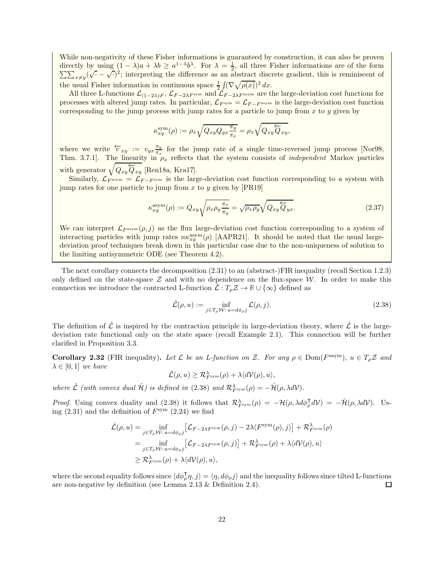While non-negativity of these Fisher informations is guaranteed by construction, it can also be proven directly by using  $(1 - \lambda)a + \lambda b \ge a^{1-\lambda}b^{\lambda}$ . For  $\lambda = \frac{1}{2}$ <br> $\sum_{n=1}^{\infty} (\sqrt{1 - \lambda})^2$ ; interpreting the difference as an a , all three Fisher informations are of the form  $x \neq y$   $(\sqrt{.} - \sqrt{.})^2$ ; interpreting the difference as an abstract discrete gradient, this is reminiscent of the usual Fisher information in continuous space  $\frac{1}{2} \int (\nabla \sqrt{\rho(x)})^2 dx$ .

All three L-functions  $\mathcal{L}_{(1-2\lambda)F}$ ,  $\mathcal{L}_{F-2\lambda F^{sym}}$  and  $\mathcal{L}_{F-2\lambda F^{asym}}$  are the large-deviation cost functions for processes with altered jump rates. In particular,  $\mathcal{L}_{F^{\text{sym}}} = \mathcal{L}_{F-F^{\text{asym}}}$  is the large-deviation cost function corresponding to the jump process with jump rates for a particle to jump from  $x$  to  $y$  given by

$$
\kappa_{xy}^{\text{sym}}(\rho) := \rho_x \sqrt{Q_{xy} Q_{yx} \frac{\pi_y}{\pi_x}} = \rho_x \sqrt{Q_{xy} \overleftarrow{Q}_{xy}},
$$

where we write  $\overleftarrow{v}_{xy} := v_{yx} \frac{\pi_y}{\pi_x}$  $\frac{\pi y}{\pi x}$  for the jump rate of a single time-reversed jump process [\[Nor98,](#page-45-19) Thm. 3.7.1. The linearity in  $\rho_x$  reflects that the system consists of *independent* Markov particles with generator  $\sqrt{Q_{xy} \overleftarrow{Q}_{xy}}$  [\[Ren18a,](#page-45-12) [Kra17\]](#page-45-13).

Similarly,  $\mathcal{L}_{F^{\text{asym}}} = \mathcal{L}_{F-F^{\text{sym}}}$  is the large-deviation cost function corresponding to a system with jump rates for one particle to jump from x to y given by  $[PR19]$ 

$$
\kappa_{xy}^{\text{asym}}(\rho) := Q_{xy} \sqrt{\rho_x \rho_y \frac{\pi_x}{\pi_y}} = \sqrt{\rho_x \rho_y} \sqrt{Q_{xy} \overleftarrow{Q}_{yx}}.
$$
\n(2.37)

We can interpret  $\mathcal{L}_{F^{asym}}(\rho, j)$  as the flux large-deviation cost function corresponding to a system of interacting particles with jump rates  $n\kappa_{xy}^{\text{asym}}(\rho)$  [\[AAPR21\]](#page-44-13). It should be noted that the usual largedeviation proof techniques break down in this particular case due to the non-uniqueness of solution to the limiting antisymmetric ODE (see Theorem [4.2\)](#page-29-0).

The next corollary connects the decomposition [\(2.31\)](#page-19-3) to an (abstract-)FIR inequality (recall Section [1.2.3\)](#page-5-2) only defined on the state-space  $Z$  and with no dependence on the flux-space  $W$ . In order to make this connection we introduce the contracted L-function  $\mathcal{L}: T_o \mathcal{Z} \to \mathbb{R} \cup {\infty}$  defined as

<span id="page-21-1"></span>
$$
\hat{\mathcal{L}}(\rho, u) := \inf_{j \in T_{\rho} \mathcal{W}: u = d\phi_{\rho} j} \mathcal{L}(\rho, j). \tag{2.38}
$$

The definition of  $\hat{\mathcal{L}}$  is inspired by the contraction principle in large-deviation theory, where  $\hat{\mathcal{L}}$  is the largedeviation rate functional only on the state space (recall Example [2.1\)](#page-7-0). This connection will be further clarified in Proposition [3.3.](#page-25-0)

<span id="page-21-0"></span>**Corollary 2.32** (FIR inequality). Let  $\mathcal L$  be an L-function on  $\mathcal Z$ . For any  $\rho \in \text{Dom}(F^{\text{asym}})$ ,  $u \in T_\rho \mathcal Z$  and  $\lambda \in [0,1]$  we have

 $\hat{\mathcal{L}}(\rho, u) \geq \mathcal{R}^{\lambda}_{F^{\mathrm{sym}}}(\rho) + \lambda \langle d\mathcal{V}(\rho), u \rangle,$ 

where  $\hat{\mathcal{L}}$  (with convex dual  $\hat{\mathcal{H}}$ ) is defined in [\(2.38\)](#page-21-1) and  $\mathcal{R}^{\lambda}_{F^{\text{sym}}}(\rho) = -\hat{\mathcal{H}}(\rho, \lambda d\mathcal{V})$ .

*Proof.* Using convex duality and [\(2.38\)](#page-21-1) it follows that  $\mathcal{R}^{\lambda}_{F^{sym}}(\rho) = -\mathcal{H}(\rho, \lambda d\phi_{\rho}^{\mathsf{T}} d\mathcal{V}) = -\mathcal{H}(\rho, \lambda d\mathcal{V})$ . Using  $(2.31)$  and the definition of  $F<sup>sym</sup>$   $(2.24)$  we find

$$
\hat{\mathcal{L}}(\rho, u) = \inf_{j \in T_{\rho} \mathcal{W}: u = d\phi_{\rho}j} \left[ \mathcal{L}_{F-2\lambda F^{\text{sym}}}(\rho, j) - 2\lambda \langle F^{\text{sym}}(\rho), j \rangle \right] + \mathcal{R}_{F^{\text{sym}}}^{\lambda}(\rho)
$$
\n
$$
= \inf_{j \in T_{\rho} \mathcal{W}: u = d\phi_{\rho}j} \left[ \mathcal{L}_{F-2\lambda F^{\text{sym}}}(\rho, j) \right] + \mathcal{R}_{F^{\text{sym}}}^{\lambda}(\rho) + \lambda \langle d\mathcal{V}(\rho), u \rangle
$$
\n
$$
\geq \mathcal{R}_{F^{\text{sym}}}^{\lambda}(\rho) + \lambda \langle d\mathcal{V}(\rho), u \rangle,
$$

where the second equality follows since  $\langle d\phi_{\rho}^{\dagger} \eta, j \rangle = \langle \eta, d\phi_{\rho} j \rangle$  and the inequality follows since tilted L-functions are non-negative by definition (see Lemma [2.13](#page-13-5) & Definition [2.4\)](#page-10-0).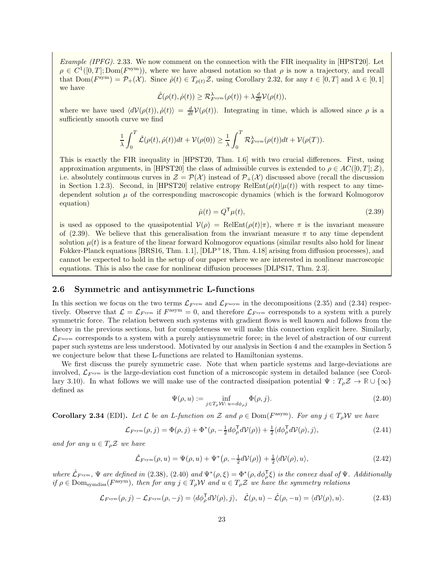Example (IPFG). 2.33. We now comment on the connection with the FIR inequality in [\[HPST20\]](#page-44-3). Let  $\rho \in C^1([0,T]; \text{Dom}(F^{\text{sym}}))$ , where we have abused notation so that  $\rho$  is now a trajectory, and recall that  $Dom(F^{sym}) = \mathcal{P}_+(\mathcal{X})$ . Since  $\dot{\rho}(t) \in T_{\rho(t)}\mathcal{Z}$ , using Corollary [2.32,](#page-21-0) for any  $t \in [0,T]$  and  $\lambda \in [0,1]$ we have

$$
\hat{\mathcal{L}}(\rho(t), \dot{\rho}(t)) \geq \mathcal{R}_{F^{\text{sym}}}^{\lambda}(\rho(t)) + \lambda \frac{d}{dt} \mathcal{V}(\rho(t)),
$$

where we have used  $\langle dV(\rho(t)), \dot{\rho}(t)\rangle = \frac{d}{dt}V(\rho(t))$ . Integrating in time, which is allowed since  $\rho$  is a sufficiently smooth curve we find

$$
\frac{1}{\lambda}\int_0^T \hat{\mathcal{L}}(\rho(t),\dot{\rho}(t))dt+\mathcal{V}(\rho(0))\geq \frac{1}{\lambda}\int_0^T \mathcal{R}^\lambda_{F^\mathrm{sym}}(\rho(t))dt+\mathcal{V}(\rho(T)).
$$

This is exactly the FIR inequality in [\[HPST20,](#page-44-3) Thm. 1.6] with two crucial differences. First, using approximation arguments, in [\[HPST20\]](#page-44-3) the class of admissible curves is extended to  $\rho \in AC([0, T]; \mathcal{Z})$ . i.e. absolutely continuous curves in  $\mathcal{Z} = \mathcal{P}(\mathcal{X})$  instead of  $\mathcal{P}_+(\mathcal{X})$  discussed above (recall the discussion in Section [1.2.3\)](#page-5-2). Second, in [\[HPST20\]](#page-44-3) relative entropy  $\text{RelEnt}(\rho(t)|\mu(t))$  with respect to any timedependent solution  $\mu$  of the corresponding macroscopic dynamics (which is the forward Kolmogorov equation)

<span id="page-22-2"></span>
$$
\dot{\mu}(t) = Q^{\mathsf{T}}\mu(t),\tag{2.39}
$$

is used as opposed to the quasipotential  $V(\rho) = \text{RelEnt}(\rho(t)|\pi)$ , where  $\pi$  is the invariant measure of [\(2.39\)](#page-22-2). We believe that this generalisation from the invariant measure  $\pi$  to any time dependent solution  $\mu(t)$  is a feature of the linear forward Kolmogorov equations (similar results also hold for linear Fokker-Planck equations [\[BRS16,](#page-44-14) Thm. 1.1], [\[DLP](#page-44-4)+18, Thm. 4.18] arising from diffusion processes), and cannot be expected to hold in the setup of our paper where we are interested in nonlinear macroscopic equations. This is also the case for nonlinear diffusion processes [\[DLPS17,](#page-44-2) Thm. 2.3].

#### <span id="page-22-0"></span>2.6 Symmetric and antisymmetric L-functions

In this section we focus on the two terms  $\mathcal{L}_{F^{\text{asym}}}$  and  $\mathcal{L}_{F^{\text{asym}}}$  in the decompositions [\(2.35\)](#page-20-4) and [\(2.34\)](#page-20-3) respectively. Observe that  $\mathcal{L} = \mathcal{L}_{F^{sym}}$  if  $F^{asym} = 0$ , and therefore  $\mathcal{L}_{F^{sym}}$  corresponds to a system with a purely symmetric force. The relation between such systems with gradient flows is well known and follows from the theory in the previous sections, but for completeness we will make this connection explicit here. Similarly,  $\mathcal{L}_{F^{asym}}$  corresponds to a system with a purely antisymmetric force; in the level of abstraction of our current paper such systems are less understood. Motivated by our analysis in Section [4](#page-28-0) and the examples in Section [5](#page-31-0) we conjecture below that these L-functions are related to Hamiltonian systems.

We first discuss the purely symmetric case. Note that when particle systems and large-deviations are involved,  $\mathcal{L}_{Fsym}$  is the large-deviation cost function of a microscopic system in detailed balance (see Corol-lary [3.10\)](#page-28-1). In what follows we will make use of the contracted dissipation potential  $\Psi : T_{\rho} \mathcal{Z} \to \mathbb{R} \cup \{\infty\}$ defined as

<span id="page-22-1"></span>
$$
\Psi(\rho, u) := \inf_{j \in T_{\rho} \mathcal{W}: u = d\phi_{\rho} j} \Phi(\rho, j).
$$
\n(2.40)

<span id="page-22-5"></span>**Corollary 2.34** (EDI). Let  $\mathcal{L}$  be an L-function on  $\mathcal{Z}$  and  $\rho \in \text{Dom}(F^{\text{asym}})$ . For any  $j \in T_{\rho} \mathcal{W}$  we have

<span id="page-22-3"></span>
$$
\mathcal{L}_{F^{\text{sym}}}(\rho, j) = \Phi(\rho, j) + \Phi^*(\rho, -\frac{1}{2}d\phi_{\rho}^{\mathsf{T}}d\mathcal{V}(\rho)) + \frac{1}{2}\langle d\phi_{\rho}^{\mathsf{T}}d\mathcal{V}(\rho), j \rangle, \tag{2.41}
$$

and for any  $u \in T_{\rho} \mathcal{Z}$  we have

<span id="page-22-4"></span>
$$
\hat{\mathcal{L}}_{F^{\text{sym}}}(\rho, u) = \Psi(\rho, u) + \Psi^*(\rho, -\frac{1}{2}dV(\rho)) + \frac{1}{2}\langle dV(\rho), u\rangle,
$$
\n(2.42)

where  $\hat{\mathcal{L}}_{F^{\text{sym}}}$ ,  $\Psi$  are defined in [\(2.38\)](#page-21-1), [\(2.40\)](#page-22-1) and  $\Psi^*(\rho, \xi) = \Phi^*(\rho, d\phi \bar{\phi})$  is the convex dual of  $\Psi$ . Additionally if  $\rho \in \text{Dom}_{\text{symdiss}}(F^{\text{asym}})$ , then for any  $j \in T_{\rho} \mathcal{W}$  and  $u \in T_{\rho} \mathcal{Z}$  we have the symmetry relations

<span id="page-22-6"></span>
$$
\mathcal{L}_{F^{\text{sym}}}(\rho, j) - \mathcal{L}_{F^{\text{sym}}}(\rho, -j) = \langle d\phi_{\rho}^{\mathsf{T}} d\mathcal{V}(\rho), j \rangle, \quad \hat{\mathcal{L}}(\rho, u) - \hat{\mathcal{L}}(\rho, -u) = \langle d\mathcal{V}(\rho), u \rangle. \tag{2.43}
$$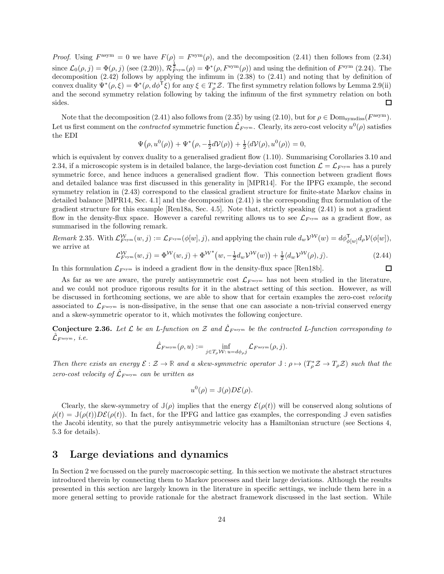*Proof.* Using  $F^{\text{asym}} = 0$  we have  $F(\rho) = F^{\text{sym}}(\rho)$ , and the decomposition [\(2.41\)](#page-22-3) then follows from [\(2.34\)](#page-20-3) since  $\mathcal{L}_0(\rho, j) = \Phi(\rho, j)$  (see [\(2.20\)](#page-14-3)),  $\mathcal{R}_{F^{\text{sym}}}^{\frac{1}{2}}(\rho) = \Phi^*(\rho, F^{\text{sym}}(\rho))$  and using the definition of  $F^{\text{sym}}$  [\(2.24\)](#page-15-3). The decomposition [\(2.42\)](#page-22-4) follows by applying the infimum in [\(2.38\)](#page-21-1) to [\(2.41\)](#page-22-3) and noting that by definition of convex duality  $\Psi^*(\rho, \xi) = \Phi^*(\rho, d\phi^T \xi)$  for any  $\xi \in T_\rho^* \mathcal{Z}$ . The first symmetry relation follows by Lemma [2.9\(](#page-12-4)ii) and the second symmetry relation following by taking the infimum of the first symmetry relation on both sides.  $\Box$ 

Note that the decomposition [\(2.41\)](#page-22-3) also follows from [\(2.35\)](#page-20-4) by using [\(2.10\)](#page-11-2), but for  $\rho \in \text{Dom}_{symdiss}(F^{\text{asym}})$ . Let us first comment on the *contracted* symmetric function  $\hat{\mathcal{L}}_{F^{\mathrm{sym}}}$ . Clearly, its zero-cost velocity  $u^0(\rho)$  satisfies the EDI

$$
\Psi(\rho, u^0(\rho)) + \Psi^*(\rho, -\frac{1}{2}d\mathcal{V}(\rho)) + \frac{1}{2}\langle d\mathcal{V}(\rho), u^0(\rho)\rangle = 0,
$$

which is equivalent by convex duality to a generalised gradient flow  $(1.10)$ . Summarising Corollaries [3.10](#page-28-1) and [2.34,](#page-22-5) if a microscopic system is in detailed balance, the large-deviation cost function  $\mathcal{L} = \mathcal{L}_{F^{sym}}$  has a purely symmetric force, and hence induces a generalised gradient flow. This connection between gradient flows and detailed balance was first discussed in this generality in [\[MPR14\]](#page-45-0). For the IPFG example, the second symmetry relation in [\(2.43\)](#page-22-6) correspond to the classical gradient structure for finite-state Markov chains in detailed balance [\[MPR14,](#page-45-0) Sec. 4.1] and the decomposition [\(2.41\)](#page-22-3) is the corresponding flux formulation of the gradient structure for this example [\[Ren18a,](#page-45-12) Sec. 4.5]. Note that, strictly speaking [\(2.41\)](#page-22-3) is not a gradient flow in the density-flux space. However a careful rewriting allows us to see  $\mathcal{L}_{F^{sym}}$  as a gradient flow, as summarised in the following remark.

Remark 2.35. With  $\mathcal{L}_{F^{\text{sym}}}^{\mathcal{W}}(w, j) := \mathcal{L}_{F^{\text{sym}}}(\phi[w], j)$ , and applying the chain rule  $d_w\mathcal{V}^{\mathcal{W}}(w) = d\phi_{\phi[w]}^{\mathsf{T}}d_{\rho}\mathcal{V}(\phi[w]),$ we arrive at

<span id="page-23-1"></span>
$$
\mathcal{L}_{F^{\text{sym}}}^{\mathcal{W}}(w,j) = \Phi^{\mathcal{W}}(w,j) + \Phi^{\mathcal{W}^*}(w, -\frac{1}{2}d_w\mathcal{V}^{\mathcal{W}}(w)) + \frac{1}{2}\langle d_w\mathcal{V}^{\mathcal{W}}(\rho), j \rangle.
$$
\n(2.44)

 $\Box$ 

In this formulation  $\mathcal{L}_{F^{sym}}$  is indeed a gradient flow in the density-flux space [\[Ren18b\]](#page-45-8).

As far as we are aware, the purely antisymmetric cost  $\mathcal{L}_{F^{asym}}$  has not been studied in the literature, and we could not produce rigorous results for it in the abstract setting of this section. However, as will be discussed in forthcoming sections, we are able to show that for certain examples the zero-cost velocity associated to  $\mathcal{L}_{F^{asym}}$  is non-dissipative, in the sense that one can associate a non-trivial conserved energy and a skew-symmetric operator to it, which motivates the following conjecture.

<span id="page-23-2"></span>**Conjecture 2.36.** Let  $\mathcal{L}$  be an L-function on  $\mathcal{Z}$  and  $\hat{\mathcal{L}}_{F^{asym}}$  be the contracted L-function corresponding to  $\mathcal{\hat{L}}_{F^{\rm asym}},\ i.e.$ 

$$
\hat{\mathcal{L}}_{F^{\rm asym}}(\rho,u):=\inf_{j\in T_{\rho} \mathcal{W}: \, u=d\phi_{\rho} j}\mathcal{L}_{F^{\rm asym}}(\rho,j).
$$

Then there exists an energy  $\mathcal{E}: \mathcal{Z} \to \mathbb{R}$  and a skew-symmetric operator  $\mathbb{J}: \rho \mapsto (T_{\rho}^* \mathcal{Z} \to T_{\rho} \mathcal{Z})$  such that the zero-cost velocity of  $\hat{\mathcal{L}}_{F^{asym}}$  can be written as

$$
u^0(\rho) = \mathbb{J}(\rho)D\mathcal{E}(\rho).
$$

Clearly, the skew-symmetry of  $\mathbb{J}(\rho)$  implies that the energy  $\mathcal{E}(\rho(t))$  will be conserved along solutions of  $\dot{\rho}(t) = \mathbb{J}(\rho(t))D\mathcal{E}(\rho(t))$ . In fact, for the IPFG and lattice gas examples, the corresponding  $\mathbb{J}$  even satisfies the Jacobi identity, so that the purely antisymmetric velocity has a Hamiltonian structure (see Sections [4,](#page-28-0) [5.3](#page-38-0) for details).

### <span id="page-23-0"></span>3 Large deviations and dynamics

In Section [2](#page-7-1) we focussed on the purely macroscopic setting. In this section we motivate the abstract structures introduced therein by connecting them to Markov processes and their large deviations. Although the results presented in this section are largely known in the literature in specific settings, we include them here in a more general setting to provide rationale for the abstract framework discussed in the last section. While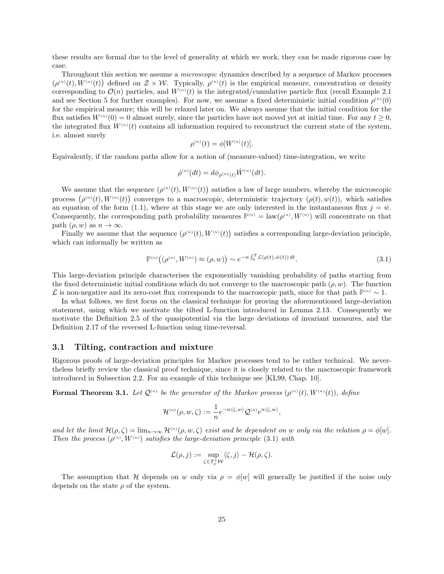these results are formal due to the level of generality at which we work, they can be made rigorous case by case.

Throughout this section we assume a *microscopic* dynamics described by a sequence of Markov processes  $(\rho^{(n)}(t), W^{(n)}(t))$  defined on  $\mathcal{Z} \times \mathcal{W}$ . Typically,  $\rho^{(n)}(t)$  is the empirical measure, concentration or density corresponding to  $\mathcal{O}(n)$  particles, and  $W^{(n)}(t)$  is the integrated/cumulative particle flux (recall Example [2.1](#page-7-0)) and see Section [5](#page-31-0) for further examples). For now, we assume a fixed deterministic initial condition  $\rho^{(n)}(0)$ for the empirical measure; this will be relaxed later on. We always assume that the initial condition for the flux satisfies  $W^{(n)}(0) = 0$  almost surely, since the particles have not moved yet at initial time. For any  $t \ge 0$ , the integrated flux  $W^{(n)}(t)$  contains all information required to reconstruct the current state of the system, i.e. almost surely

$$
\rho^{(n)}(t) = \phi[W^{(n)}(t)].
$$

Equivalently, if the random paths allow for a notion of (measure-valued) time-integration, we write

$$
\dot{\rho}^{(n)}(dt) = d\phi_{\rho^{(n)}(t)} \dot{W}^{(n)}(dt).
$$

We assume that the sequence  $(\rho^{(n)}(t), W^{(n)}(t))$  satisfies a law of large numbers, whereby the microscopic process  $(\rho^{(n)}(t), W^{(n)}(t))$  converges to a macroscopic, deterministic trajectory  $(\rho(t), w(t))$ , which satisfies an equation of the form [\(1.1\)](#page-1-3), where at this stage we are only interested in the instantaneous flux  $j = \dot{w}$ . Consequently, the corresponding path probability measures  $\mathbb{P}^{(n)} = \text{law}(\rho^{(n)}, W^{(n)})$  will concentrate on that path  $(\rho, w)$  as  $n \to \infty$ .

Finally we assume that the sequence  $(\rho^{(n)}(t), W^{(n)}(t))$  satisfies a corresponding large-deviation principle, which can informally be written as

<span id="page-24-1"></span>
$$
\mathbb{P}^{(n)}\big(\big(\rho^{(n)}, W^{(n)}\big) \approx \big(\rho, w\big)\big) \sim e^{-n \int_0^T \mathcal{L}(\rho(t), \dot{w}(t)) dt}.\tag{3.1}
$$

This large-deviation principle characterises the exponentially vanishing probability of paths starting from the fixed deterministic initial conditions which do not converge to the macroscopic path  $(\rho, w)$ . The function  $\mathcal L$  is non-negative and its zero-cost flux corresponds to the macroscopic path, since for that path  $\mathbb P^{(n)} \sim 1$ .

In what follows, we first focus on the classical technique for proving the aforementioned large-deviation statement, using which we motivate the tilted L-function introduced in Lemma [2.13.](#page-13-5) Consequently we motivate the Definition [2.5](#page-10-1) of the quasipotential via the large deviations of invariant measures, and the Definition [2.17](#page-15-1) of the reversed L-function using time-reversal.

#### <span id="page-24-0"></span>3.1 Tilting, contraction and mixture

Rigorous proofs of large-deviation principles for Markov processes tend to be rather technical. We nevertheless briefly review the classical proof technique, since it is closely related to the macroscopic framework introduced in Subsection [2.2.](#page-11-1) For an example of this technique see [\[KL99,](#page-45-21) Chap. 10].

<span id="page-24-2"></span>Formal Theorem 3.1. Let  $\mathcal{Q}^{(n)}$  be the generator of the Markov process  $(\rho^{(n)}(t), W^{(n)}(t))$ , define

$$
\mathcal{H}^{(n)}(\rho,w,\zeta):=\frac{1}{n}e^{-n\langle \zeta,w\rangle}\mathcal{Q}^{(n)}e^{n\langle \zeta,w\rangle},
$$

and let the limit  $\mathcal{H}(\rho,\zeta) = \lim_{n\to\infty} \mathcal{H}^{(n)}(\rho,w,\zeta)$  exist and be dependent on w only via the relation  $\rho = \phi[w]$ . Then the process  $(\rho^{(n)}, W^{(n)})$  satisfies the large-deviation principle [\(3.1\)](#page-24-1) with

$$
\mathcal{L}(\rho, j) := \sup_{\zeta \in T_{\rho}^* \mathcal{W}} \langle \zeta, j \rangle - \mathcal{H}(\rho, \zeta).
$$

The assumption that H depends on w only via  $\rho = \phi[w]$  will generally be justified if the noise only depends on the state  $\rho$  of the system.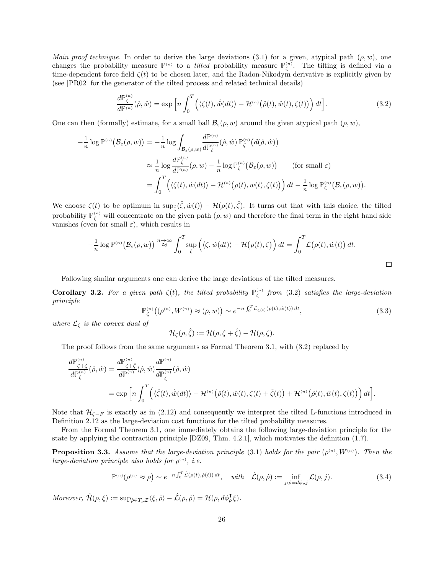Main proof technique. In order to derive the large deviations [\(3.1\)](#page-24-1) for a given, atypical path  $(\rho, w)$ , one changes the probability measure  $\mathbb{P}^{(n)}$  to a *tilted* probability measure  $\mathbb{P}^{(n)}_{\zeta}$ . The tilting is defined via a time-dependent force field  $\zeta(t)$  to be chosen later, and the Radon-Nikodym derivative is explicitly given by (see [\[PR02\]](#page-45-22) for the generator of the tilted process and related technical details)

<span id="page-25-1"></span>
$$
\frac{d\mathbb{P}_{\zeta}^{(n)}}{d\mathbb{P}_{\zeta}^{(n)}}(\hat{\rho},\hat{w}) = \exp\left[n\int_{0}^{T}\left(\langle\zeta(t),\dot{\hat{w}}(dt)\rangle - \mathcal{H}^{(n)}\left(\hat{\rho}(t),\hat{w}(t),\zeta(t)\right)\right)dt\right].
$$
\n(3.2)

One can then (formally) estimate, for a small ball  $\mathcal{B}_{\varepsilon}(\rho, w)$  around the given atypical path  $(\rho, w)$ ,

$$
-\frac{1}{n}\log \mathbb{P}^{(n)}(\mathcal{B}_{\varepsilon}(\rho, w)) = -\frac{1}{n}\log \int_{\mathcal{B}_{\varepsilon}(\rho, w)} \frac{d\mathbb{P}^{(n)}(\hat{\rho}, \hat{w}) \mathbb{P}^{(n)}_{\zeta}(d(\hat{\rho}, \hat{w}))
$$
  

$$
\approx \frac{1}{n}\log \frac{d\mathbb{P}^{(n)}_{\zeta}}{d\mathbb{P}^{(n)}}(\rho, w) - \frac{1}{n}\log \mathbb{P}^{(n)}_{\zeta}(\mathcal{B}_{\varepsilon}(\rho, w)) \qquad \text{(for small } \varepsilon)
$$
  

$$
= \int_{0}^{T} \left( \langle \zeta(t), \dot{w}(dt) \rangle - \mathcal{H}^{(n)}(\rho(t), w(t), \zeta(t)) \right) dt - \frac{1}{n}\log \mathbb{P}^{(n)}_{\zeta}(\mathcal{B}_{\varepsilon}(\rho, w)).
$$

We choose  $\zeta(t)$  to be optimum in  $\sup_{\hat{\zeta}} \langle \hat{\zeta}, \dot{w}(t) \rangle - \mathcal{H}(\rho(t), \hat{\zeta})$ . It turns out that with this choice, the tilted probability  $\mathbb{P}_{\zeta}^{(n)}$  will concentrate on the given path  $(\rho, w)$  and therefore the final term in the right hand side vanishes (even for small  $\varepsilon$ ), which results in

$$
-\frac{1}{n}\log \mathbb{P}^{(n)}(\mathcal{B}_{\varepsilon}(\rho, w)) \stackrel{n\to\infty}{\approx} \int_0^T \sup_{\zeta} \left( \langle \zeta, \dot{w}(dt) \rangle - \mathcal{H}(\rho(t), \zeta) \right) dt = \int_0^T \mathcal{L}(\rho(t), \dot{w}(t)) dt.
$$

Following similar arguments one can derive the large deviations of the tilted measures.

**Corollary 3.2.** For a given path  $\zeta(t)$ , the tilted probability  $\mathbb{P}_{\zeta}^{(n)}$  from [\(3.2\)](#page-25-1) satisfies the large-deviation principle

$$
\mathbb{P}_{\zeta}^{(n)}\big((\rho^{(n)}, W^{(n)}) \approx (\rho, w)\big) \sim e^{-n \int_0^T \mathcal{L}_{\zeta(t)}(\rho(t), \dot{w}(t)) dt},\tag{3.3}
$$

where  $\mathcal{L}_{\zeta}$  is the convex dual of

$$
\mathcal{H}_{\zeta}(\rho,\hat{\zeta}) := \mathcal{H}(\rho,\zeta+\hat{\zeta}) - \mathcal{H}(\rho,\zeta).
$$

The proof follows from the same arguments as Formal Theorem [3.1,](#page-24-2) with [\(3.2\)](#page-25-1) replaced by

$$
\frac{d\mathbb{P}_{\zeta+\hat{\zeta}}^{(n)}}{d\mathbb{P}_{\zeta}^{(n)}}(\hat{\rho},\hat{w}) = \frac{d\mathbb{P}_{\zeta+\hat{\zeta}}^{(n)}}{d\mathbb{P}_{\zeta}^{(n)}}(\hat{\rho},\hat{w})\frac{d\mathbb{P}_{\zeta}^{(n)}}{d\mathbb{P}_{\zeta}^{(n)}}(\hat{\rho},\hat{w})
$$
\n
$$
= \exp\Big[n\int_0^T \Big(\langle\hat{\zeta}(t),\dot{\hat{w}}(dt)\rangle - \mathcal{H}^{(n)}\big(\hat{\rho}(t),\hat{w}(t),\zeta(t) + \hat{\zeta}(t)\big) + \mathcal{H}^{(n)}\big(\hat{\rho}(t),\hat{w}(t),\zeta(t)\big)\Big)dt\Big].
$$

Note that  $\mathcal{H}_{\zeta-F}$  is exactly as in [\(2.12\)](#page-13-0) and consequently we interpret the tilted L-functions introduced in Definition [2.12](#page-13-0) as the large-deviation cost functions for the tilted probability measures.

From the Formal Theorem [3.1,](#page-24-2) one immediately obtains the following large-deviation principle for the state by applying the contraction principle [\[DZ09,](#page-44-11) Thm. 4.2.1], which motivates the definition [\(1.7\)](#page-4-2).

<span id="page-25-0"></span>**Proposition 3.3.** Assume that the large-deviation principle [\(3.1\)](#page-24-1) holds for the pair  $(\rho^{(n)}, W^{(n)})$ . Then the large-deviation principle also holds for  $\rho^{(n)}$ , i.e.

<span id="page-25-2"></span>
$$
\mathbb{P}^{(n)}(\rho^{(n)} \approx \rho) \sim e^{-n \int_0^T \hat{\mathcal{L}}(\rho(t), \dot{\rho}(t)) dt}, \quad \text{with} \quad \hat{\mathcal{L}}(\rho, \dot{\rho}) := \inf_{j:\dot{\rho} = d\phi_{\rho} j} \mathcal{L}(\rho, j). \tag{3.4}
$$

Moreover,  $\hat{\mathcal{H}}(\rho,\xi) := \sup_{\dot{\rho} \in T_{\rho} \mathcal{Z}} \langle \xi, \dot{\rho} \rangle - \hat{\mathcal{L}}(\rho, \dot{\rho}) = \mathcal{H}(\rho, d\phi_{\rho}^{\mathsf{T}} \xi).$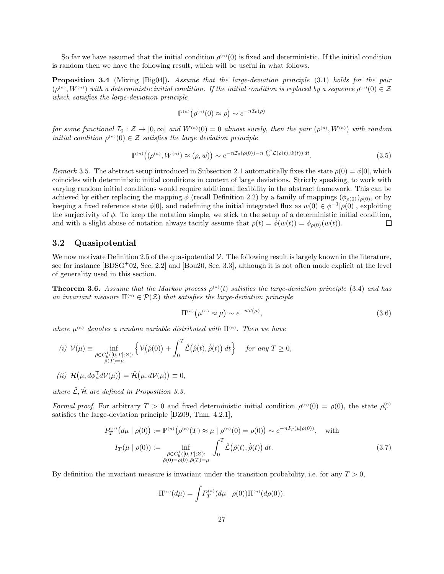So far we have assumed that the initial condition  $\rho^{(n)}(0)$  is fixed and deterministic. If the initial condition is random then we have the following result, which will be useful in what follows.

<span id="page-26-4"></span>Proposition 3.4 (Mixing [\[Big04\]](#page-44-15)). Assume that the large-deviation principle [\(3.1\)](#page-24-1) holds for the pair  $(\rho^{(n)}, W^{(n)})$  with a deterministic initial condition. If the initial condition is replaced by a sequence  $\rho^{(n)}(0) \in \mathcal{Z}$ which satisfies the large-deviation principle

$$
\mathbb{P}^{(n)}\big(\rho^{(n)}(0)\approx\rho\big)\sim e^{-n\mathcal{I}_0(\rho)}
$$

for some functional  $\mathcal{I}_0: \mathcal{Z} \to [0,\infty]$  and  $W^{(n)}(0) = 0$  almost surely, then the pair  $(\rho^{(n)}, W^{(n)})$  with random initial condition  $\rho^{(n)}(0) \in \mathcal{Z}$  satisfies the large deviation principle

$$
\mathbb{P}^{(n)}\left(\left(\rho^{(n)}, W^{(n)}\right) \approx \left(\rho, w\right)\right) \sim e^{-n\mathcal{I}_0(\rho(0)) - n \int_0^T \mathcal{L}(\rho(t), \dot{w}(t)) dt}.\tag{3.5}
$$

Remark 3.5. The abstract setup introduced in Subsection [2.1](#page-9-1) automatically fixes the state  $\rho(0) = \phi[0]$ , which coincides with deterministic initial conditions in context of large deviations. Strictly speaking, to work with varying random initial conditions would require additional flexibility in the abstract framework. This can be achieved by either replacing the mapping  $\phi$  (recall Definition [2.2\)](#page-9-0) by a family of mappings  $(\phi_{\rho(0)})_{\rho(0)}$ , or by keeping a fixed reference state  $\phi[0]$ , and redefining the initial integrated flux as  $w(0) \in \phi^{-1}[\rho(0)]$ , exploiting the surjectivity of  $\phi$ . To keep the notation simple, we stick to the setup of a deterministic initial condition, and with a slight abuse of notation always tacitly assume that  $\rho(t) = \phi(w(t)) = \phi_{\rho(0)}(w(t))$ . 口

#### <span id="page-26-0"></span>3.2 Quasipotential

We now motivate Definition [2.5](#page-10-1) of the quasipotential  $\mathcal V$ . The following result is largely known in the literature, see for instance [\[BDSG](#page-44-16)<sup>+</sup>02, Sec. 2.2] and [\[Bou20,](#page-44-17) Sec. 3.3], although it is not often made explicit at the level of generality used in this section.

<span id="page-26-1"></span>**Theorem 3.6.** Assume that the Markov process  $\rho^{(n)}(t)$  satisfies the large-deviation principle [\(3.4\)](#page-25-2) and has an invariant measure  $\Pi^{(n)} \in \mathcal{P}(\mathcal{Z})$  that satisfies the large-deviation principle

<span id="page-26-3"></span>
$$
\Pi^{(n)}\big(\mu^{(n)} \approx \mu\big) \sim e^{-n\mathcal{V}(\mu)},\tag{3.6}
$$

where  $\mu^{(n)}$  denotes a random variable distributed with  $\Pi^{(n)}$ . Then we have

<span id="page-26-2"></span>(i) 
$$
V(\mu) \equiv \inf_{\substack{\hat{\rho} \in C_b^1([0,T];\mathcal{Z}):\\ \hat{\rho}(T)=\mu}} \left\{ V(\hat{\rho}(0)) + \int_0^T \hat{\mathcal{L}}(\hat{\rho}(t), \dot{\hat{\rho}}(t)) dt \right\} \quad \text{for any } T \ge 0,
$$
  
\n(ii)  $\mathcal{H}(\mu, d\phi_{\mu}^{\mathsf{T}} dV(\mu)) = \hat{\mathcal{H}}(\mu, dV(\mu)) \equiv 0,$ 

where  $\hat{\mathcal{L}}, \hat{\mathcal{H}}$  are defined in Proposition [3.3.](#page-25-0)

Formal proof. For arbitrary  $T > 0$  and fixed deterministic initial condition  $\rho^{(n)}(0) = \rho(0)$ , the state  $\rho_T^{(n)}$ satisfies the large-deviation principle [\[DZ09,](#page-44-11) Thm. 4.2.1],

$$
P_T^{(n)}(d\mu \mid \rho(0)) := \mathbb{P}^{(n)}(\rho^{(n)}(T) \approx \mu \mid \rho^{(n)}(0) = \rho(0)) \sim e^{-nI_T(\mu \mid \rho(0))}, \text{ with}
$$
  
\n
$$
I_T(\mu \mid \rho(0)) := \inf_{\substack{\hat{\rho} \in C_b^1([0,T];\mathcal{Z}):\\ \hat{\rho}(0) = \rho(0), \hat{\rho}(T) = \mu}} \int_0^T \hat{\mathcal{L}}(\hat{\rho}(t), \dot{\hat{\rho}}(t)) dt.
$$
\n(3.7)

By definition the invariant measure is invariant under the transition probability, i.e. for any  $T > 0$ ,

$$
\Pi^{(n)}(d\mu) = \int P_T^{(n)}(d\mu \mid \rho(0)) \Pi^{(n)}(d\rho(0)).
$$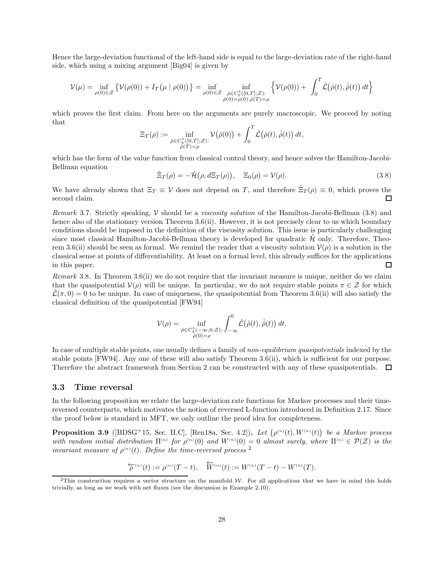Hence the large-deviation functional of the left-hand side is equal to the large-deviation rate of the right-hand side, which using a mixing argument [\[Big04\]](#page-44-15) is given by

$$
\mathcal{V}(\mu) = \inf_{\rho(0)\in\mathcal{Z}} \left\{ \mathcal{V}(\rho(0)) + I_T(\mu \mid \rho(0)) \right\} = \inf_{\rho(0)\in\mathcal{Z}} \inf_{\substack{\hat{\rho}\in C_b^1([0,T];\mathcal{Z}) :\\ \hat{\rho}(0)=\rho(0),\hat{\rho}(T)=\mu}} \left\{ \mathcal{V}(\rho(0)) + \int_0^T \hat{\mathcal{L}}(\hat{\rho}(t),\dot{\hat{\rho}}(t)) dt \right\}
$$

which proves the first claim. From here on the arguments are purely macroscopic. We proceed by noting that

$$
\Xi_T(\rho) := \inf_{\substack{\hat{\rho} \in C_b^1([0,T];\mathcal{Z}) : \\ \hat{\rho}(T) = \rho}} \mathcal{V}(\hat{\rho}(0)) + \int_0^T \hat{\mathcal{L}}(\hat{\rho}(t), \dot{\hat{\rho}}(t)) dt,
$$

which has the form of the value function from classical control theory, and hence solves the Hamilton-Jacobi-Bellman equation

<span id="page-27-1"></span>
$$
\dot{\Xi}_T(\rho) = -\hat{\mathcal{H}}(\rho, d\Xi_T(\rho)), \quad \Xi_0(\rho) = \mathcal{V}(\rho). \tag{3.8}
$$

We have already shown that  $\Xi_T \equiv V$  does not depend on T, and therefore  $\dot{\Xi}_T(\rho) \equiv 0$ , which proves the second claim.

Remark 3.7. Strictly speaking, V should be a viscosity solution of the Hamilton-Jacobi-Bellman [\(3.8\)](#page-27-1) and hence also of the stationary version Theorem [3.6](#page-26-1)[\(ii\).](#page-26-2) However, it is not precisely clear to us which boundary conditions should be imposed in the definition of the viscosity solution. This issue is particularly challenging since most classical Hamilton-Jacobi-Bellman theory is developed for quadratic  $\mathcal{H}$  only. Therefore, Theo-rem [3.6](#page-26-1)[\(ii\)](#page-26-2) should be seen as formal. We remind the reader that a viscosity solution  $\mathcal{V}(\rho)$  is a solution in the classical sense at points of differentiability. At least on a formal level, this already suffices for the applications in this paper. □

<span id="page-27-4"></span>Remark 3.8. In Theorem [3.6](#page-26-1)[\(ii\)](#page-26-2) we do not require that the invariant measure is unique, neither do we claim that the quasipotential  $V(\rho)$  will be unique. In particular, we do not require stable points  $\pi \in \mathcal{Z}$  for which  $\mathcal{L}(\pi, 0) = 0$  to be unique. In case of uniqueness, the quasipotential from Theorem [3.6](#page-26-1)[\(ii\)](#page-26-2) will also satisfy the classical definition of the quasipotential [\[FW94\]](#page-44-18)

$$
\mathcal{V}(\rho) = \inf_{\substack{\hat{\rho} \in C_b^1(-\infty, 0; \mathcal{Z}) : \\ \hat{\rho}(0) = \rho}} \hat{\mathcal{L}}(\hat{\rho}(t), \dot{\hat{\rho}}(t)) dt.
$$

In case of multiple stable points, one usually defines a family of non-equilibrium quasipotentials indexed by the stable points [\[FW94\]](#page-44-18). Any one of these will also satisfy Theorem [3.6](#page-26-1)[\(ii\),](#page-26-2) which is sufficient for our purpose. Therefore the abstract framework from Section [2](#page-7-1) can be constructed with any of these quasipotentials.  $\Box$ 

#### <span id="page-27-0"></span>3.3 Time reversal

In the following proposition we relate the large-deviation rate functions for Markov processes and their timereversed counterparts, which motivates the notion of reversed L-function introduced in Definition [2.17.](#page-15-1) Since the proof below is standard in MFT, we only outline the proof idea for completeness.

<span id="page-27-3"></span>**Proposition 3.9** ([\[BDSG](#page-44-5)<sup>+</sup>15, Sec. II.C], [\[Ren18a,](#page-45-12) Sec. 4.2]). Let  $(\rho^{(n)}(t), W^{(n)}(t))$  be a Markov process with random initial distribution  $\Pi^{(n)}$  for  $\rho^{(n)}(0)$  and  $W^{(n)}(0) = 0$  almost surely, where  $\Pi^{(n)} \in \mathcal{P}(\mathcal{Z})$  is the invariant measure of  $\rho^{(n)}(t)$ . Define the time-reversed process <sup>[2](#page-27-2)</sup>

$$
\overleftarrow{\rho}^{(n)}(t) := \rho^{(n)}(T-t), \quad \overleftarrow{W}^{(n)}(t) := W^{(n)}(T-t) - W^{(n)}(T).
$$

<span id="page-27-2"></span><sup>&</sup>lt;sup>2</sup>This construction requires a vector structure on the manifold W. For all applications that we have in mind this holds trivially, as long as we work with net fluxes (see the discussion in Example [2.10\)](#page-13-4).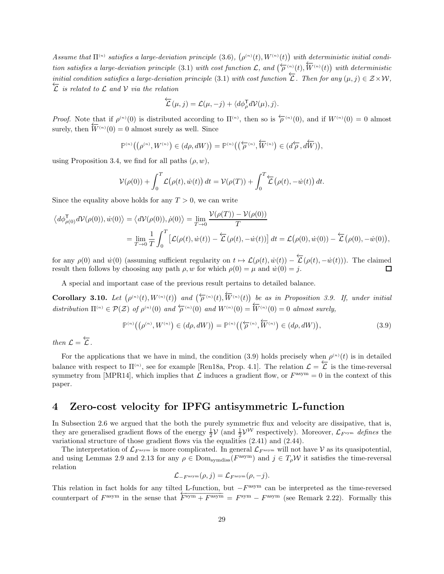Assume that  $\Pi^{(n)}$  satisfies a large-deviation principle [\(3.6\)](#page-26-3),  $(\rho^{(n)}(t), W^{(n)}(t))$  with deterministic initial condi-tion satisfies a large-deviation principle [\(3.1\)](#page-24-1) with cost function L, and  $(\overleftarrow{\rho}_{\mu}^{(n)}(t), \overleftarrow{W}_{\mu}^{(n)}(t))$  with deterministic initial condition satisfies a large-deviation principle [\(3.1\)](#page-24-1) with cost function  $\overleftarrow{L}$ . Then for any  $(\mu, j) \in \mathcal{Z} \times \mathcal{W}$ ,<br>  $\overleftarrow{L}$  is related to L and V via the relation

$$
\overleftarrow{\mathcal{L}}(\mu,j) = \mathcal{L}(\mu,-j) + \langle d\phi_{\rho}^{\mathsf{T}} d\mathcal{V}(\mu),j \rangle.
$$

*Proof.* Note that if  $\rho^{(n)}(0)$  is distributed according to  $\Pi^{(n)}$ , then so is  $\overleftarrow{\rho}^{(n)}(0)$ , and if  $W^{(n)}(0) = 0$  almost surely, then  $\overleftarrow{W}^{(n)}(0) = 0$  almost surely as well. Since

$$
\mathbb{P}^{(n)}\big(\big(\rho^{(n)},W^{(n)}\big)\in (d\rho,dW)\big)=\mathbb{P}^{(n)}\big(\big(\overleftarrow{\rho}^{(n)},\overleftarrow{W}^{(n)}\big)\in (d\overleftarrow{\rho},d\overleftarrow{W})\big),
$$

using Proposition [3.4,](#page-26-4) we find for all paths  $(\rho, w)$ ,

$$
\mathcal{V}(\rho(0)) + \int_0^T \mathcal{L}(\rho(t), \dot{w}(t)) dt = \mathcal{V}(\rho(T)) + \int_0^T \mathcal{L}(\rho(t), -\dot{w}(t)) dt.
$$

Since the equality above holds for any  $T > 0$ , we can write

$$
\langle d\phi_{\rho(0)}^{\mathsf{T}} d\mathcal{V}(\rho(0)), \dot{w}(0) \rangle = \langle d\mathcal{V}(\rho(0)), \dot{\rho}(0) \rangle = \lim_{T \to 0} \frac{\mathcal{V}(\rho(T)) - \mathcal{V}(\rho(0))}{T}
$$
  
= 
$$
\lim_{T \to 0} \frac{1}{T} \int_0^T \left[ \mathcal{L}(\rho(t), \dot{w}(t)) - \mathcal{L}(\rho(t), -\dot{w}(t)) \right] dt = \mathcal{L}(\rho(0), \dot{w}(0)) - \mathcal{L}(\rho(0), -\dot{w}(0)),
$$

for any  $\rho(0)$  and  $\dot{w}(0)$  (assuming sufficient regularity on  $t \mapsto \mathcal{L}(\rho(t), \dot{w}(t)) - \overleftarrow{\mathcal{L}}(\rho(t), -\dot{w}(t))$ ). The claimed result then follows by choosing any path  $\rho, w$  for which  $\rho(0) = \mu$  and  $\dot{w}(0) = i$ .

A special and important case of the previous result pertains to detailed balance.

Corollary 3.10. Let  $(\rho^{(n)}(t), W^{(n)}(t))$  and  $(\overleftarrow{\rho}^{(n)}(t), \overleftarrow{W}^{(n)}(t))$  be as in Proposition [3.9.](#page-27-3) If, under initial distribution  $\Pi^{(n)} \in \mathcal{P}(\mathcal{Z})$  of  $\rho^{(n)}(0)$  and  $\overleftarrow{\rho}^{(n)}(0)$  and  $W^{(n)}(0) = \overleftarrow{W}^{(n)}(0) = 0$  almost surely,

<span id="page-28-1"></span>
$$
\mathbb{P}^{(n)}\big(\big(\rho^{(n)}, W^{(n)}\big) \in (d\rho, dW)\big) = \mathbb{P}^{(n)}\big(\big(\overleftarrow{\rho}^{(n)}, \overleftarrow{W}^{(n)}\big) \in (d\rho, dW)\big),\tag{3.9}
$$

then  $\mathcal{L} = \overleftarrow{\mathcal{L}}$ .

For the applications that we have in mind, the condition [\(3.9\)](#page-28-1) holds precisely when  $\rho^{(n)}(t)$  is in detailed balance with respect to  $\Pi^{(n)}$ , see for example [\[Ren18a,](#page-45-12) Prop. 4.1]. The relation  $\mathcal{L} = \overleftarrow{\mathcal{L}}$  is the time-reversal symmetry from [\[MPR14\]](#page-45-0), which implies that  $\mathcal L$  induces a gradient flow, or  $F^{\text{asym}} = 0$  in the context of this paper.

## <span id="page-28-0"></span>4 Zero-cost velocity for IPFG antisymmetric L-function

In Subsection [2.6](#page-22-0) we argued that the both the purely symmetric flux and velocity are dissipative, that is, they are generalised gradient flows of the energy  $\frac{1}{2}V$  (and  $\frac{1}{2}V^W$  respectively). Moreover,  $\mathcal{L}_{F^{sym}}$  defines the variational structure of those gradient flows via the equalities [\(2.41\)](#page-22-3) and [\(2.44\)](#page-23-1).

The interpretation of  $\mathcal{L}_{F^{asym}}$  is more complicated. In general  $\mathcal{L}_{F^{asym}}$  will not have V as its quasipotential, and using Lemmas [2.9](#page-12-4) and [2.13](#page-13-5) for any  $\rho \in \text{Dom}_{\text{symdiss}}(F^{\text{asym}})$  and  $j \in T_{\rho}W$  it satisfies the time-reversal relation

$$
\mathcal{L}_{-F^{\text{asym}}}(\rho, j) = \mathcal{L}_{F^{\text{asym}}}(\rho, -j).
$$

This relation in fact holds for any tilted L-function, but  $-F^{\text{asym}}$  can be interpreted as the time-reversed counterpart of  $F^{\text{asym}}$  in the sense that  $\overline{F^{\text{sym}} + F^{\text{asym}}} = F^{\text{sym}} - F^{\text{asym}}$  (see Remark [2.22\)](#page-17-2). Formally this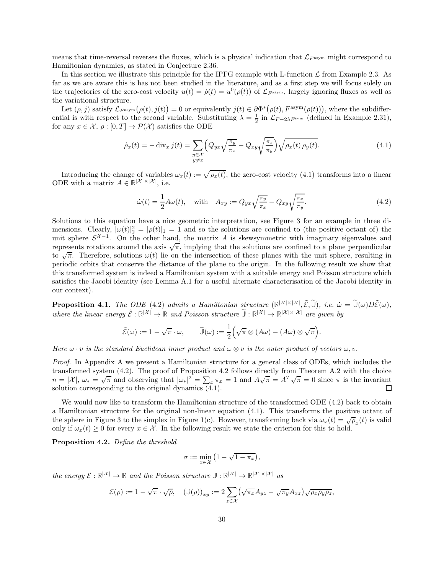means that time-reversal reverses the fluxes, which is a physical indication that  $\mathcal{L}_{F^{asym}}$  might correspond to Hamiltonian dynamics, as stated in Conjecture [2.36.](#page-23-2)

In this section we illustrate this principle for the IPFG example with L-function  $\mathcal L$  from Example [2.3.](#page-8-2) As far as we are aware this is has not been studied in the literature, and as a first step we will focus solely on the trajectories of the zero-cost velocity  $u(t) = \dot{\rho}(t) = u^0(\rho(t))$  of  $\mathcal{L}_{F^{asym}}$ , largely ignoring fluxes as well as the variational structure.

Let  $(\rho, j)$  satisfy  $\mathcal{L}_{F^{asym}}(\rho(t), j(t)) = 0$  or equivalently  $j(t) \in \partial \Phi^*(\rho(t), F^{asym}(\rho(t)))$ , where the subdifferential is with respect to the second variable. Substituting  $\lambda = \frac{1}{2}$  in  $\mathcal{L}_{F-2\lambda F^{sym}}$  (defined in Example [2.31\)](#page-20-5), for any  $x \in \mathcal{X}, \rho : [0, T] \to \mathcal{P}(\mathcal{X})$  satisfies the ODE

<span id="page-29-1"></span>
$$
\dot{\rho}_x(t) = -\operatorname{div}_x j(t) = \sum_{\substack{y \in \mathcal{X} \\ y \neq x}} \left( Q_{yx} \sqrt{\frac{\pi_y}{\pi_x}} - Q_{xy} \sqrt{\frac{\pi_x}{\pi_y}} \right) \sqrt{\rho_x(t) \rho_y(t)}.
$$
\n(4.1)

Introducing the change of variables  $\omega_x(t) := \sqrt{\rho_x(t)}$ , the zero-cost velocity [\(4.1\)](#page-29-1) transforms into a linear ODE with a matrix  $A \in \mathbb{R}^{|\mathcal{X}| \times |\mathcal{X}|}$ , i.e.

<span id="page-29-2"></span>
$$
\dot{\omega}(t) = \frac{1}{2}A\omega(t), \quad \text{with} \quad A_{xy} := Q_{yx}\sqrt{\frac{\pi_y}{\pi_x}} - Q_{xy}\sqrt{\frac{\pi_x}{\pi_y}}.
$$
\n(4.2)

Solutions to this equation have a nice geometric interpretation, see Figure [3](#page-30-0) for an example in three dimensions. Clearly,  $|\omega(t)|_2^2 = |\rho(t)|_1 = 1$  and so the solutions are confined to (the positive octant of) the unit sphere  $S^{\mathcal{X}-1}$ . On the other hand, the matrix A is skewsymmetric with imaginary eigenvalues and represents rotations around the axis  $\sqrt{\pi}$ , implying that the solutions are confined to a plane perpendicular to  $\sqrt{\pi}$ . Therefore, solutions  $\omega(t)$  lie on the intersection of these planes with the unit sphere, resulting in periodic orbits that conserve the distance of the plane to the origin. In the following result we show that this transformed system is indeed a Hamiltonian system with a suitable energy and Poisson structure which satisfies the Jacobi identity (see Lemma [A.1](#page-43-0) for a useful alternate characterisation of the Jacobi identity in our context).

<span id="page-29-3"></span>**Proposition 4.1.** The ODE [\(4.2\)](#page-29-2) admits a Hamiltonian structure  $(\mathbb{R}^{\vert X \vert \times \vert X \vert}, \tilde{\mathcal{E}}, \tilde{\mathbb{J}}),$  i.e.  $\dot{\omega} = \tilde{\mathbb{J}}(\omega)D\tilde{\mathcal{E}}(\omega)$ , where the linear energy  $\tilde{\mathcal{E}} : \mathbb{R}^{|\mathcal{X}|} \to \mathbb{R}$  and Poisson structure  $\tilde{\mathbb{J}} : \mathbb{R}^{|\mathcal{X}|} \to \mathbb{R}^{|\mathcal{X}| \times |\mathcal{X}|}$  are given by

$$
\tilde{\mathcal{E}}(\omega) := 1 - \sqrt{\pi} \cdot \omega, \qquad \tilde{\mathbb{J}}(\omega) := \frac{1}{2} \Big( \sqrt{\pi} \otimes (A\omega) - (A\omega) \otimes \sqrt{\pi} \Big).
$$

Here  $\omega \cdot v$  is the standard Euclidean inner product and  $\omega \otimes v$  is the outer product of vectors  $\omega, v$ .

Proof. In Appendix [A](#page-43-1) we present a Hamiltonian structure for a general class of ODEs, which includes the transformed system [\(4.2\)](#page-29-2). The proof of Proposition [4.2](#page-29-0) follows directly from Theorem [A.2](#page-43-2) with the choice  $n = |\mathcal{X}|, \ \omega_* = \sqrt{\pi}$  and observing that  $|\omega_*|^2 = \sum_x \pi_x = 1$  and  $A\sqrt{\pi} = A^T\sqrt{\pi} = 0$  since  $\pi$  is the invariant solution corresponding to the original dynamics [\(4.1\)](#page-29-1).

We would now like to transform the Hamiltonian structure of the transformed ODE  $(4.2)$  back to obtain a Hamiltonian structure for the original non-linear equation [\(4.1\)](#page-29-1). This transforms the positive octant of the sphere in Figure [3](#page-30-0) to the simplex in Figure [1\(](#page-3-0)c). However, transforming back via  $\omega_x(t) = \sqrt{\rho_x(t)}$  is valid only if  $\omega_x(t) \geq 0$  for every  $x \in \mathcal{X}$ . In the following result we state the criterion for this to hold.

<span id="page-29-0"></span>Proposition 4.2. Define the threshold

$$
\sigma := \min_{x \in \mathcal{X}} \left( 1 - \sqrt{1 - \pi_x} \right),
$$

the energy  $\mathcal{E}: \mathbb{R}^{|\mathcal{X}|} \to \mathbb{R}$  and the Poisson structure  $\mathbb{J}: \mathbb{R}^{|\mathcal{X}|} \to \mathbb{R}^{|\mathcal{X}| \times |\mathcal{X}|}$  as

$$
\mathcal{E}(\rho) := 1 - \sqrt{\pi} \cdot \sqrt{\rho}, \quad (\mathbb{J}(\rho))_{xy} := 2 \sum_{z \in \mathcal{X}} (\sqrt{\pi_x} A_{yz} - \sqrt{\pi_y} A_{xz}) \sqrt{\rho_x \rho_y \rho_z},
$$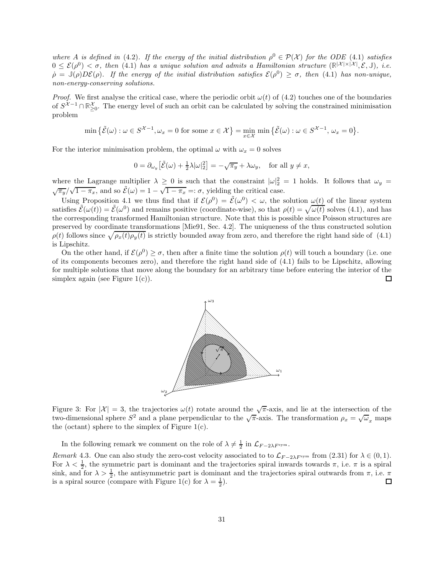where A is defined in [\(4.2\)](#page-29-2). If the energy of the initial distribution  $\rho^0 \in \mathcal{P}(\mathcal{X})$  for the ODE [\(4.1\)](#page-29-1) satisfies  $0 \leq \mathcal{E}(\rho^0) < \sigma$ , then [\(4.1\)](#page-29-1) has a unique solution and admits a Hamiltonian structure  $(\mathbb{R}^{|\mathcal{X}| \times |\mathcal{X}|}, \mathcal{E}, \mathbb{J})$ , i.e.  $\dot{\rho} = \mathbb{J}(\rho)D\mathcal{E}(\rho)$ . If the energy of the initial distribution satisfies  $\mathcal{E}(\rho^0) \geq \sigma$ , then [\(4.1\)](#page-29-1) has non-unique, non-energy-conserving solutions.

*Proof.* We first analyse the critical case, where the periodic orbit  $\omega(t)$  of [\(4.2\)](#page-29-2) touches one of the boundaries of  $S^{\mathcal{X}-1} \cap \mathbb{R}^{\mathcal{X}}_{\geq 0}$ . The energy level of such an orbit can be calculated by solving the constrained minimisation problem

$$
\min \big\{ \tilde{\mathcal{E}}(\omega) : \omega \in S^{\mathcal{X}-1}, \omega_x = 0 \text{ for some } x \in \mathcal{X} \big\} = \min_{x \in \mathcal{X}} \min \big\{ \tilde{\mathcal{E}}(\omega) : \omega \in S^{\mathcal{X}-1}, \omega_x = 0 \big\}.
$$

For the interior minimisation problem, the optimal  $\omega$  with  $\omega_x = 0$  solves

$$
0 = \partial_{\omega_y} \left[ \tilde{\mathcal{E}}(\omega) + \frac{1}{2} \lambda |\omega|_2^2 \right] = -\sqrt{\pi_y} + \lambda \omega_y, \quad \text{for all } y \neq x,
$$

where the Lagrange multiplier  $\lambda \geq 0$  is such that the constraint  $|\omega|^2 = 1$  holds. It follows that  $\omega_y =$  $\sqrt{\pi_y}/\sqrt{1-\pi_x}$ , and so  $\tilde{\mathcal{E}}(\omega) = 1 - \sqrt{1-\pi_x} =: \sigma$ , yielding the critical case.

Using Proposition [4.1](#page-29-3) we thus find that if  $\mathcal{E}(\rho^0) = \tilde{\mathcal{E}}(\omega^0) < \omega$ , the solution  $\omega(t)$  of the linear system satisfies  $\tilde{\mathcal{E}}(\omega(t)) = \tilde{\mathcal{E}}(\omega^0)$  and remains positive (coordinate-wise), so that  $\rho(t) = \sqrt{\omega(t)}$  solves [\(4.1\)](#page-29-1), and has the corresponding transformed Hamiltonian structure. Note that this is possible since Poisson structures are preserved by coordinate transformations [\[Mie91,](#page-45-23) Sec. 4.2]. The uniqueness of the thus constructed solution  $\rho(t)$  follows since  $\sqrt{\rho_x(t)\rho_y(t)}$  is strictly bounded away from zero, and therefore the right hand side of [\(4.1\)](#page-29-1) is Lipschitz.

On the other hand, if  $\mathcal{E}(\rho^0) \geq \sigma$ , then after a finite time the solution  $\rho(t)$  will touch a boundary (i.e. one of its components becomes zero), and therefore the right hand side of [\(4.1\)](#page-29-1) fails to be Lipschitz, allowing for multiple solutions that move along the boundary for an arbitrary time before entering the interior of the simplex again (see Figure  $1(c)$ ).  $\Box$ 



<span id="page-30-0"></span>Figure 3: For  $|\mathcal{X}| = 3$ , the trajectories  $\omega(t)$  rotate around the  $\sqrt{\pi}$ -axis, and lie at the intersection of the two-dimensional sphere  $S^2$  and a plane perpendicular to the  $\sqrt{\pi}$ -axis. The transformation  $\rho_x = \sqrt{\omega}_x$  maps the (octant) sphere to the simplex of Figure [1\(](#page-3-0)c).

In the following remark we comment on the role of  $\lambda \neq \frac{1}{2}$  in  $\mathcal{L}_{F-2\lambda F^{sym}}$ .

Remark 4.3. One can also study the zero-cost velocity associated to to  $\mathcal{L}_{F-2\lambda F^{sym}}$  from [\(2.31\)](#page-19-3) for  $\lambda \in (0,1)$ . For  $\lambda < \frac{1}{2}$ , the symmetric part is dominant and the trajectories spiral inwards towards  $\pi$ , i.e.  $\pi$  is a spiral sink, and for  $\lambda > \frac{1}{2}$ , the antisymmetric part is dominant and the trajectories spiral outwards from  $\pi$ , i.e.  $\pi$ is a spiral source (compare with Figure [1\(](#page-3-0)c) for  $\lambda = \frac{1}{2}$ ).  $\Box$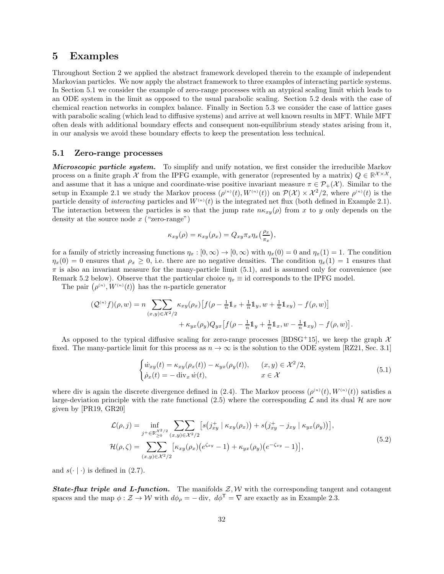### <span id="page-31-0"></span>5 Examples

Throughout Section [2](#page-7-1) we applied the abstract framework developed therein to the example of independent Markovian particles. We now apply the abstract framework to three examples of interacting particle systems. In Section [5.1](#page-31-1) we consider the example of zero-range processes with an atypical scaling limit which leads to an ODE system in the limit as opposed to the usual parabolic scaling. Section [5.2](#page-35-0) deals with the case of chemical reaction networks in complex balance. Finally in Section [5.3](#page-38-0) we consider the case of lattice gases with parabolic scaling (which lead to diffusive systems) and arrive at well known results in MFT. While MFT often deals with additional boundary effects and consequent non-equilibrium steady states arising from it, in our analysis we avoid these boundary effects to keep the presentation less technical.

#### <span id="page-31-1"></span>5.1 Zero-range processes

Microscopic particle system. To simplify and unify notation, we first consider the irreducible Markov process on a finite graph X from the IPFG example, with generator (represented by a matrix)  $Q \in \mathbb{R}^{\mathcal{X} \times \mathcal{X}}$ , and assume that it has a unique and coordinate-wise positive invariant measure  $\pi \in \mathcal{P}_+(\mathcal{X})$ . Similar to the setup in Example [2.1](#page-7-0) we study the Markov process  $(\rho^{(n)}(t), W^{(n)}(t))$  on  $\mathcal{P}(\mathcal{X}) \times \mathcal{X}^2/2$ , where  $\rho^{(n)}(t)$  is the particle density of *interacting* particles and  $W^{(n)}(t)$  is the integrated net flux (both defined in Example [2.1\)](#page-7-0). The interaction between the particles is so that the jump rate  $n\kappa_{xy}(\rho)$  from x to y only depends on the density at the source node  $x$  ("zero-range")

$$
\kappa_{xy}(\rho) = \kappa_{xy}(\rho_x) = Q_{xy}\pi_x \eta_x \left(\frac{\rho_x}{\pi_x}\right),
$$

for a family of strictly increasing functions  $\eta_x : [0, \infty) \to [0, \infty)$  with  $\eta_x(0) = 0$  and  $\eta_x(1) = 1$ . The condition  $\eta_x(0) = 0$  ensures that  $\rho_x \geq 0$ , i.e. there are no negative densities. The condition  $\eta_x(1) = 1$  ensures that  $\pi$  is also an invariant measure for the many-particle limit [\(5.1\)](#page-31-2), and is assumed only for convenience (see Remark [5.2](#page-32-0) below). Observe that the particular choice  $\eta_x \equiv id$  corresponds to the IPFG model.

The pair  $(\rho^{(n)}, W^{(n)}(t))$  has the *n*-particle generator

$$
\begin{aligned} (\mathcal{Q}^{(n)}f)(\rho,w) &= n \sum_{(x,y)\in \mathcal{X}^2/2} \kappa_{xy}(\rho_x) \big[ f(\rho - \tfrac{1}{n}\mathbb{1}_x + \tfrac{1}{n}\mathbb{1}_y, w + \tfrac{1}{n}\mathbb{1}_{xy}) - f(\rho, w) \big] \\ &+ \kappa_{yx}(\rho_y) Q_{yx} \big[ f(\rho - \tfrac{1}{n}\mathbb{1}_y + \tfrac{1}{n}\mathbb{1}_x, w - \tfrac{1}{n}\mathbb{1}_{xy}) - f(\rho, w) \big]. \end{aligned}
$$

As opposed to the typical diffusive scaling for zero-range processes [\[BDSG](#page-44-5)+15], we keep the graph  $\mathcal{X}$ fixed. The many-particle limit for this process as  $n \to \infty$  is the solution to the ODE system [\[RZ21,](#page-46-0) Sec. 3.1]

<span id="page-31-2"></span>
$$
\begin{cases}\n\dot{w}_{xy}(t) = \kappa_{xy}(\rho_x(t)) - \kappa_{yx}(\rho_y(t)), & (x, y) \in \mathcal{X}^2/2, \\
\dot{\rho}_x(t) = -\operatorname{div}_x \dot{w}(t), & x \in \mathcal{X}\n\end{cases}
$$
\n(5.1)

where div is again the discrete divergence defined in [\(2.4\)](#page-8-3). The Markov process  $(\rho^{(n)}(t), W^{(n)}(t))$  satisfies a large-deviation principle with the rate functional [\(2.5\)](#page-8-5) where the corresponding  $\mathcal L$  and its dual  $\mathcal H$  are now given by [\[PR19,](#page-45-20) [GR20\]](#page-44-19)

$$
\mathcal{L}(\rho, j) = \inf_{j^+ \in \mathbb{R}^{X^2/2}_{\geq 0}} \sum_{(x, y) \in \mathcal{X}^2/2} \left[ s(j_{xy}^+ \mid \kappa_{xy}(\rho_x)) + s(j_{xy}^+ - j_{xy} \mid \kappa_{yx}(\rho_y)) \right],
$$
  

$$
\mathcal{H}(\rho, \zeta) = \sum_{(x, y) \in \mathcal{X}^2/2} \left[ \kappa_{xy}(\rho_x) \left( e^{\zeta_{xy}} - 1 \right) + \kappa_{yx}(\rho_y) \left( e^{-\zeta_{xy}} - 1 \right) \right],
$$
\n(5.2)

and  $s(\cdot | \cdot)$  is defined in [\(2.7\)](#page-8-1).

**State-flux triple and L-function.** The manifolds  $\mathcal{Z}, \mathcal{W}$  with the corresponding tangent and cotangent spaces and the map  $\phi : \mathcal{Z} \to \mathcal{W}$  with  $d\phi_{\rho} = - \text{div}, d\phi^{\mathsf{T}} = \nabla$  are exactly as in Example [2.3.](#page-9-2)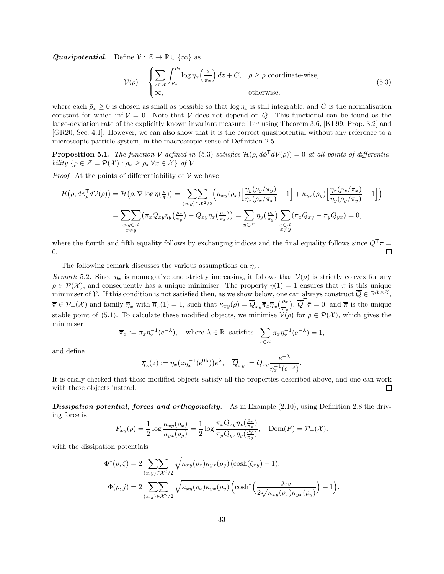**Quasipotential.** Define  $V : \mathcal{Z} \to \mathbb{R} \cup \{\infty\}$  as

<span id="page-32-1"></span>
$$
\mathcal{V}(\rho) = \begin{cases} \sum_{x \in \mathcal{X}} \int_{\bar{\rho}_x}^{\rho_x} \log \eta_x \left(\frac{z}{\pi_x}\right) dz + C, & \rho \ge \bar{\rho} \text{ coordinate-wise,} \\ \infty, & \text{otherwise,} \end{cases}
$$
(5.3)

where each  $\bar{\rho}_x \geq 0$  is chosen as small as possible so that  $\log \eta_x$  is still integrable, and C is the normalisation constant for which inf  $V = 0$ . Note that V does not depend on Q. This functional can be found as the large-deviation rate of the explicitly known invariant measure  $\Pi^{(n)}$  using Theorem [3.6,](#page-26-1) [\[KL99,](#page-45-21) Prop. 3.2] and [\[GR20,](#page-44-19) Sec. 4.1]. However, we can also show that it is the correct quasipotential without any reference to a microscopic particle system, in the macroscopic sense of Definition [2.5.](#page-10-1)

**Proposition 5.1.** The function V defined in [\(5.3\)](#page-32-1) satisfies  $\mathcal{H}(\rho, d\phi^{\mathsf{T}} d\mathcal{V}(\rho)) = 0$  at all points of differentiability  $\{\rho \in \mathcal{Z} = \mathcal{P}(\mathcal{X}) : \rho_x \geq \bar{\rho}_x \forall x \in \mathcal{X}\}\$  of  $\mathcal{V}$ .

*Proof.* At the points of differentiability of  $V$  we have

$$
\mathcal{H}(\rho, d\phi_{\rho}^{\mathsf{T}} d\mathcal{V}(\rho)) = \mathcal{H}(\rho, \nabla \log \eta(\frac{\rho}{\pi})) = \sum_{(x,y) \in \mathcal{X}^2/2} \left( \kappa_{xy}(\rho_x) \left[ \frac{\eta_y(\rho_y/\pi_y)}{\eta_x(\rho_x/\pi_x)} - 1 \right] + \kappa_{yx}(\rho_y) \left[ \frac{\eta_x(\rho_x/\pi_x)}{\eta_y(\rho_y/\pi_y)} - 1 \right] \right)
$$

$$
= \sum_{\substack{x,y \in \mathcal{X} \\ x \neq y}} \left( \pi_x Q_{xy} \eta_y(\frac{\rho_y}{\pi_y}) - Q_{xy} \eta_x(\frac{\rho_x}{\pi_x}) \right) = \sum_{y \in \mathcal{X}} \eta_y(\frac{\rho_y}{\pi_y}) \sum_{\substack{x \in \mathcal{X} \\ x \neq y}} \left( \pi_x Q_{xy} - \pi_y Q_{yx} \right) = 0,
$$

where the fourth and fifth equality follows by exchanging indices and the final equality follows since  $Q^{\mathsf{T}}\pi$  = 0. П

The following remark discusses the various assumptions on  $\eta_x$ .

<span id="page-32-0"></span>Remark 5.2. Since  $\eta_x$  is nonnegative and strictly increasing, it follows that  $\mathcal{V}(\rho)$  is strictly convex for any  $\rho \in \mathcal{P}(\mathcal{X})$ , and consequently has a unique minimiser. The property  $\eta(1) = 1$  ensures that  $\pi$  is this unique minimiser of V. If this condition is not satisfied then, as we show below, one can always construct  $\overline{Q} \in \mathbb{R}^{\mathcal{X} \times \mathcal{X}}$ ,  $\overline{\pi} \in \mathcal{P}_+(\mathcal{X})$  and family  $\overline{\eta}_x$  with  $\overline{\eta}_x(1) = 1$ , such that  $\kappa_{xy}(\rho) = \overline{Q}_{xy}\overline{\pi}_x\overline{\eta}_x(\frac{\rho_x}{\overline{\pi}_x})$ ,  $\overline{Q}^T\overline{\pi} = 0$ , and  $\overline{\pi}$  is the unique stable point of [\(5.1\)](#page-31-2). To calculate these modified objects, we minimise  $V(\rho)$  for  $\rho \in \mathcal{P}(\mathcal{X})$ , which gives the minimiser

$$
\overline{\pi}_x := \pi_x \eta_x^{-1} (e^{-\lambda}), \quad \text{where } \lambda \in \mathbb{R} \text{ satisfies } \sum_{x \in \mathcal{X}} \pi_x \eta_x^{-1} (e^{-\lambda}) = 1,
$$

and define

$$
\overline{\eta}_x(z) := \eta_x\big(z\eta_x^{-1}(e^{0\lambda})\big)e^{\lambda}, \quad \overline{Q}_{xy} := Q_{xy}\frac{e^{-\lambda}}{\eta_x^{-1}(e^{-\lambda})}.
$$

It is easily checked that these modified objects satisfy all the properties described above, and one can work with these objects instead.  $\Box$ 

Dissipation potential, forces and orthogonality. As in Example  $(2.10)$ , using Definition [2.8](#page-12-0) the driving force is

$$
F_{xy}(\rho) = \frac{1}{2} \log \frac{\kappa_{xy}(\rho_x)}{\kappa_{yx}(\rho_y)} = \frac{1}{2} \log \frac{\pi_x Q_{xy} \eta_x(\frac{\rho_x}{\pi_x})}{\pi_y Q_{yx} \eta_y(\frac{\rho_y}{\pi_y})}, \quad \text{Dom}(F) = \mathcal{P}_+(\mathcal{X}).
$$

with the dissipation potentials

$$
\Phi^*(\rho,\zeta) = 2 \sum_{(x,y)\in\mathcal{X}^2/2} \sqrt{\kappa_{xy}(\rho_x)\kappa_{yx}(\rho_y)} (\cosh(\zeta_{xy}) - 1),
$$
  

$$
\Phi(\rho,j) = 2 \sum_{(x,y)\in\mathcal{X}^2/2} \sqrt{\kappa_{xy}(\rho_x)\kappa_{yx}(\rho_y)} (\cosh^*\left(\frac{j_{xy}}{2\sqrt{\kappa_{xy}(\rho_x)\kappa_{yx}(\rho_y)}}\right) + 1).
$$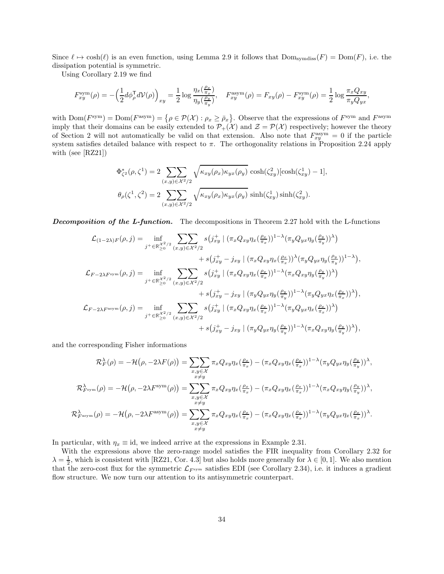Since  $\ell \mapsto \cosh(\ell)$  is an even function, using Lemma [2.9](#page-12-4) it follows that  $\text{Dom}_{\text{symdiss}}(F) = \text{Dom}(F)$ , i.e. the dissipation potential is symmetric.

Using Corollary [2.19](#page-15-0) we find

$$
F_{xy}^{\text{sym}}(\rho) = -\left(\frac{1}{2}d\phi_{\rho}^{\mathsf{T}}d\mathcal{V}(\rho)\right)_{xy} = \frac{1}{2}\log\frac{\eta_x(\frac{\rho_x}{\pi_x})}{\eta_y(\frac{\rho_y}{\pi_y})}, \quad F_{xy}^{\text{asym}}(\rho) = F_{xy}(\rho) - F_{xy}^{\text{sym}}(\rho) = \frac{1}{2}\log\frac{\pi_x Q_{xy}}{\pi_y Q_{yx}},
$$

with  $\text{Dom}(F^{\text{sym}}) = \text{Dom}(F^{\text{asym}}) = \{ \rho \in \mathcal{P}(\mathcal{X}) : \rho_x \ge \bar{\rho}_x \}.$  Observe that the expressions of  $F^{\text{sym}}$  and  $F^{\text{asym}}$ imply that their domains can be easily extended to  $\mathcal{P}_+(\mathcal{X})$  and  $\mathcal{Z} = \mathcal{P}(\mathcal{X})$  respectively; however the theory of Section [2](#page-7-1) will not automatically be valid on that extension. Also note that  $F_{xy}^{\text{asym}}=0$  if the particle system satisfies detailed balance with respect to  $\pi$ . The orthogonality relations in Proposition [2.24](#page-18-1) apply with (see [\[RZ21\]](#page-46-0))

$$
\Phi_{\zeta^2}^*(\rho, \zeta^1) = 2 \sum_{(x,y)\in\mathcal{X}^2/2} \sqrt{\kappa_{xy}(\rho_x)\kappa_{yx}(\rho_y)} \cosh(\zeta_{xy}^2) [\cosh(\zeta_{xy}^1) - 1],
$$
  

$$
\theta_{\rho}(\zeta^1, \zeta^2) = 2 \sum_{(x,y)\in\mathcal{X}^2/2} \sqrt{\kappa_{xy}(\rho_x)\kappa_{yx}(\rho_y)} \sinh(\zeta_{xy}^1) \sinh(\zeta_{xy}^2).
$$

**Decomposition of the L-function.** The decompositions in Theorem [2.27](#page-19-0) hold with the L-functions

$$
\mathcal{L}_{(1-2\lambda)F}(\rho, j) = \inf_{j^+ \in \mathbb{R}_{\geq 0}^{\chi^2/2}} \sum_{(x,y) \in \chi^2/2} s(j_{xy}^+ \mid (\pi_x Q_{xy} \eta_x(\frac{\rho_x}{\pi_x}))^{1-\lambda} (\pi_y Q_{yx} \eta_y(\frac{\rho_y}{\pi_y}))^{\lambda}) \n+ s(j_{xy}^+ - j_{xy} \mid (\pi_x Q_{xy} \eta_x(\frac{\rho_x}{\pi_x}))^{\lambda} (\pi_y Q_{yx} \eta_y(\frac{\rho_y}{\pi_y}))^{1-\lambda}),
$$
\n
$$
\mathcal{L}_{F-2\lambda F^{\text{sym}}}( \rho, j) = \inf_{j^+ \in \mathbb{R}_{\geq 0}^{\chi^2/2}} \sum_{(x,y) \in \chi^2/2} s(j_{xy}^+ \mid (\pi_x Q_{xy} \eta_x(\frac{\rho_x}{\pi_x}))^{1-\lambda} (\pi_x Q_{xy} \eta_y(\frac{\rho_y}{\pi_y}))^{\lambda}) \n+ s(j_{xy}^+ - j_{xy} \mid (\pi_y Q_{yx} \eta_y(\frac{\rho_y}{\pi_y}))^{1-\lambda} (\pi_y Q_{yx} \eta_x(\frac{\rho_x}{\pi_x}))^{\lambda}),
$$
\n
$$
\mathcal{L}_{F-2\lambda F^{\text{asym}}}(\rho, j) = \inf_{j^+ \in \mathbb{R}_{\geq 0}^{\chi^2/2}} \sum_{(x,y) \in \chi^2/2} s(j_{xy}^+ \mid (\pi_x Q_{xy} \eta_x(\frac{\rho_x}{\pi_x}))^{1-\lambda} (\pi_y Q_{yx} \eta_x(\frac{\rho_x}{\pi_x}))^{\lambda}) \n+ s(j_{xy}^+ - j_{xy} \mid (\pi_y Q_{yx} \eta_y(\frac{\rho_y}{\pi_y}))^{1-\lambda} (\pi_x Q_{xy} \eta_y(\frac{\rho_y}{\pi_y}))^{\lambda}),
$$

and the corresponding Fisher informations

$$
\mathcal{R}_F^{\lambda}(\rho) = -\mathcal{H}(\rho, -2\lambda F(\rho)) = \sum_{\substack{x, y \in \mathcal{X} \\ x \neq y}} \pi_x Q_{xy} \eta_x(\frac{\rho_x}{\pi_x}) - (\pi_x Q_{xy} \eta_x(\frac{\rho_x}{\pi_x}))^{1-\lambda} (\pi_y Q_{yx} \eta_y(\frac{\rho_y}{\pi_y}))^{\lambda},
$$
  

$$
\mathcal{R}_{F^{\text{sym}}}^{\lambda}(\rho) = -\mathcal{H}(\rho, -2\lambda F^{\text{sym}}(\rho)) = \sum_{\substack{x, y \in \mathcal{X} \\ x \neq y}} \pi_x Q_{xy} \eta_x(\frac{\rho_x}{\pi_x}) - (\pi_x Q_{xy} \eta_x(\frac{\rho_x}{\pi_x}))^{1-\lambda} (\pi_x Q_{xy} \eta_y(\frac{\rho_y}{\pi_y}))^{\lambda},
$$
  

$$
\mathcal{R}_{F^{\text{asym}}}^{\lambda}(\rho) = -\mathcal{H}(\rho, -2\lambda F^{\text{asym}}(\rho)) = \sum_{\substack{x, y \in \mathcal{X} \\ x \neq y}} \pi_x Q_{xy} \eta_x(\frac{\rho_x}{\pi_x}) - (\pi_x Q_{xy} \eta_x(\frac{\rho_x}{\pi_x}))^{1-\lambda} (\pi_y Q_{yx} \eta_x(\frac{\rho_x}{\pi_x}))^{\lambda}.
$$

In particular, with  $\eta_x \equiv id$ , we indeed arrive at the expressions in Example [2.31.](#page-20-5)

With the expressions above the zero-range model satisfies the FIR inequality from Corollary [2.32](#page-21-0) for  $\lambda = \frac{1}{2}$ , which is consistent with [\[RZ21,](#page-46-0) Cor. 4.3] but also holds more generally for  $\lambda \in [0, 1]$ . We also mention that the zero-cost flux for the symmetric  $\mathcal{L}_{F^{\text{sym}}}$  satisfies EDI (see Corollary [2.34\)](#page-22-5), i.e. it induces a gradient flow structure. We now turn our attention to its antisymmetric counterpart.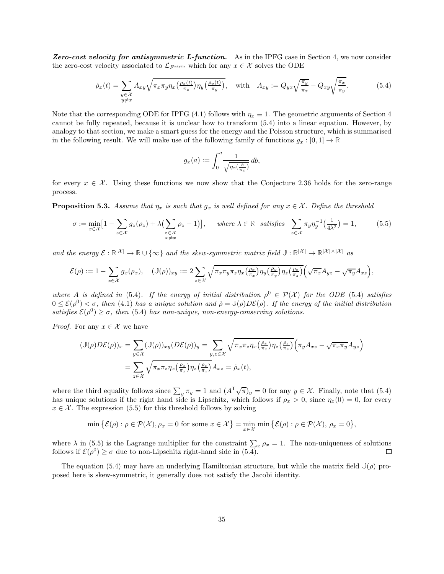Zero-cost velocity for antisymmetric L-function. As in the IPFG case in Section [4,](#page-28-0) we now consider the zero-cost velocity associated to  $\mathcal{L}_{F^{asym}}$  which for any  $x \in \mathcal{X}$  solves the ODE

<span id="page-34-0"></span>
$$
\dot{\rho}_x(t) = \sum_{\substack{y \in \mathcal{X} \\ y \neq x}} A_{xy} \sqrt{\pi_x \pi_y \eta_x \left(\frac{\rho_x(t)}{\pi_x}\right) \eta_y \left(\frac{\rho_y(t)}{\pi_y}\right)}, \quad \text{with} \quad A_{xy} := Q_{yx} \sqrt{\frac{\pi_y}{\pi_x}} - Q_{xy} \sqrt{\frac{\pi_x}{\pi_y}}.
$$
\n
$$
(5.4)
$$

Note that the corresponding ODE for IPFG [\(4.1\)](#page-29-1) follows with  $\eta_x \equiv 1$ . The geometric arguments of Section [4](#page-28-0) cannot be fully repeated, because it is unclear how to transform [\(5.4\)](#page-34-0) into a linear equation. However, by analogy to that section, we make a smart guess for the energy and the Poisson structure, which is summarised in the following result. We will make use of the following family of functions  $g_x : [0,1] \to \mathbb{R}$ 

$$
g_x(a) := \int_0^a \frac{1}{\sqrt{\eta_x(\frac{b}{\pi_x})}} \, db,
$$

for every  $x \in \mathcal{X}$ . Using these functions we now show that the Conjecture [2.36](#page-23-2) holds for the zero-range process.

<span id="page-34-2"></span>**Proposition 5.3.** Assume that  $\eta_x$  is such that  $g_x$  is well defined for any  $x \in \mathcal{X}$ . Define the threshold

<span id="page-34-1"></span>
$$
\sigma := \min_{x \in \mathcal{X}} \left[ 1 - \sum_{z \in \mathcal{X}} g_z(\rho_z) + \lambda \left( \sum_{\substack{z \in \mathcal{X} \\ z \neq x}} \rho_z - 1 \right) \right], \quad \text{where } \lambda \in \mathbb{R} \text{ satisfies } \sum_{z \in \mathcal{X}} \pi_y \eta_y^{-1} \left( \frac{1}{4\lambda^2} \right) = 1,
$$
 (5.5)

and the energy  $\mathcal{E}: \mathbb{R}^{|\mathcal{X}|} \to \mathbb{R} \cup {\infty}$  and the skew-symmetric matrix field  $\mathbb{J}: \mathbb{R}^{|\mathcal{X}|} \to \mathbb{R}^{|\mathcal{X}| \times |\mathcal{X}|}$  as

$$
\mathcal{E}(\rho) := 1 - \sum_{x \in \mathcal{X}} g_x(\rho_x), \quad (\mathbb{J}(\rho))_{xy} := 2 \sum_{z \in \mathcal{X}} \sqrt{\pi_x \pi_y \pi_z \eta_x \left(\frac{\rho_x}{\pi_x}\right) \eta_y \left(\frac{\rho_y}{\pi_y}\right) \eta_z \left(\frac{\rho_z}{\pi_z}\right)} \left(\sqrt{\pi_x} A_{yz} - \sqrt{\pi_y} A_{xz}\right),
$$

where A is defined in [\(5.4\)](#page-34-0). If the energy of initial distribution  $\rho^0 \in \mathcal{P}(\mathcal{X})$  for the ODE (5.4) satisfies  $0 \leq \mathcal{E}(\rho^0) < \sigma$ , then [\(4.1\)](#page-29-1) has a unique solution and  $\rho = \mathbb{J}(\rho)D\mathcal{E}(\rho)$ . If the energy of the initial distribution satisfies  $\mathcal{E}(\rho^0) \geq \sigma$ , then [\(5.4\)](#page-34-0) has non-unique, non-energy-conserving solutions.

*Proof.* For any  $x \in \mathcal{X}$  we have

$$
\begin{split} (\mathbb{J}(\rho)D\mathcal{E}(\rho))_{x} &= \sum_{y \in \mathcal{X}} (\mathbb{J}(\rho))_{xy} (D\mathcal{E}(\rho))_{y} = \sum_{y,z \in \mathcal{X}} \sqrt{\pi_x \pi_z \eta_x \left(\frac{\rho_x}{\pi_x}\right) \eta_z \left(\frac{\rho_z}{\pi_z}\right)} \left(\pi_y A_{xz} - \sqrt{\pi_x \pi_y} A_{yz}\right) \\ &= \sum_{z \in \mathcal{X}} \sqrt{\pi_x \pi_z \eta_x \left(\frac{\rho_x}{\pi_x}\right) \eta_z \left(\frac{\rho_z}{\pi_z}\right)} A_{xz} = \dot{\rho}_x(t), \end{split}
$$

where the third equality follows since  $\sum_{y} \pi_y = 1$  and  $(A^{\mathsf{T}} \sqrt{\pi})_y = 0$  for any  $y \in \mathcal{X}$ . Finally, note that [\(5.4\)](#page-34-0) has unique solutions if the right hand side is Lipschitz, which follows if  $\rho_x > 0$ , since  $\eta_x(0) = 0$ , for every  $x \in \mathcal{X}$ . The expression [\(5.5\)](#page-34-1) for this threshold follows by solving

$$
\min \{ \mathcal{E}(\rho) : \rho \in \mathcal{P}(\mathcal{X}), \rho_x = 0 \text{ for some } x \in \mathcal{X} \} = \min_{x \in \mathcal{X}} \min \{ \mathcal{E}(\rho) : \rho \in \mathcal{P}(\mathcal{X}), \rho_x = 0 \},
$$

where  $\lambda$  in [\(5.5\)](#page-34-1) is the Lagrange multiplier for the constraint  $\sum_{x} \rho_x = 1$ . The non-uniqueness of solutions follows if  $\mathcal{E}(\rho^0) \ge \sigma$  due to non-Lipschitz right-hand side in [\(5.4\)](#page-34-0).  $\Box$ 

The equation [\(5.4\)](#page-34-0) may have an underlying Hamiltonian structure, but while the matrix field  $J(\rho)$  proposed here is skew-symmetric, it generally does not satisfy the Jacobi identity.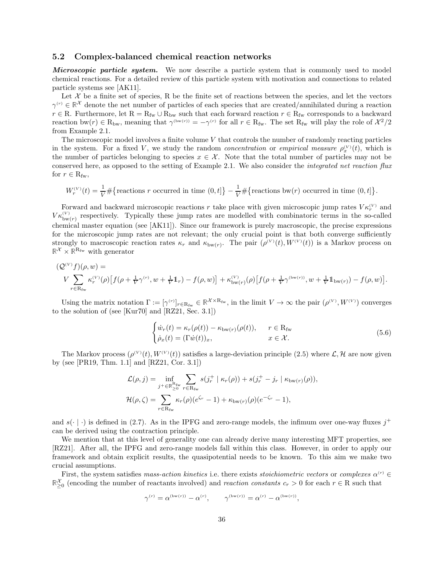#### <span id="page-35-0"></span>5.2 Complex-balanced chemical reaction networks

Microscopic particle system. We now describe a particle system that is commonly used to model chemical reactions. For a detailed review of this particle system with motivation and connections to related particle systems see [\[AK11\]](#page-44-7).

Let  $\mathcal X$  be a finite set of species, R be the finite set of reactions between the species, and let the vectors  $\gamma^{(r)} \in \mathbb{R}^{\mathcal{X}}$  denote the net number of particles of each species that are created/annihilated during a reaction  $r \in \mathbb{R}$ . Furthermore, let  $\mathbb{R} = \mathbb{R}_{fw} \cup \mathbb{R}_{bw}$  such that each forward reaction  $r \in \mathbb{R}_{fw}$  corresponds to a backward reaction bw $(r) \in R_{\text{bw}}$ , meaning that  $\gamma^{(\text{bw}(r))} = -\gamma^{(r)}$  for all  $r \in R_{\text{fw}}$ . The set  $R_{\text{fw}}$  will play the role of  $\chi^2/2$ from Example [2.1.](#page-7-0)

The microscopic model involves a finite volume  $V$  that controls the number of randomly reacting particles in the system. For a fixed V, we study the random *concentration* or *empirical measure*  $\rho_x^{(V)}(t)$ , which is the number of particles belonging to species  $x \in \mathcal{X}$ . Note that the total number of particles may not be conserved here, as opposed to the setting of Example [2.1.](#page-7-0) We also consider the integrated net reaction flux for  $r \in R_{\text{fw}},$ 

$$
W_r^{(V)}(t) = \frac{1}{V} \# \left\{ \text{reactions } r \text{ occurred in time } (0, t] \right\} - \frac{1}{V} \# \left\{ \text{reactions bw}(r) \text{ occurred in time } (0, t] \right\}.
$$

Forward and backward microscopic reactions r take place with given microscopic jump rates  $V \kappa_r^{(V)}$  and  $V_{b w(r)}^{(V)}$  respectively. Typically these jump rates are modelled with combinatoric terms in the so-called chemical master equation (see [\[AK11\]](#page-44-7)). Since our framework is purely macroscopic, the precise expressions for the microscopic jump rates are not relevant; the only crucial point is that both converge sufficiently strongly to macroscopic reaction rates  $\kappa_r$  and  $\kappa_{bw(r)}$ . The pair  $(\rho^{(V)}(t), W^{(V)}(t))$  is a Markov process on  $\mathbb{R}^{\mathcal{X}} \times \mathbb{R}^{\mathcal{R}_{\text{fw}}}$  with generator

$$
(Q^{(V)}f)(\rho, w) =
$$
  
\n
$$
V \sum_{r \in R_{\text{fw}}} \kappa_r^{(V)}(\rho) \left[ f(\rho + \frac{1}{V} \gamma^{(r)}, w + \frac{1}{V} 1_r) - f(\rho, w) \right] + \kappa_{\text{bw}(r)}^{(V)}(\rho) \left[ f(\rho + \frac{1}{V} \gamma^{(\text{bw}(r))}, w + \frac{1}{V} 1_{\text{bw}(r)}) - f(\rho, w) \right].
$$

Using the matrix notation  $\Gamma := [\gamma^{(r)}]_{r \in R_{fw}} \in \mathbb{R}^{\mathcal{X} \times R_{fw}}$ , in the limit  $V \to \infty$  the pair  $(\rho^{(V)}, W^{(V)})$  converges to the solution of (see [\[Kur70\]](#page-45-24) and [\[RZ21,](#page-46-0) Sec. 3.1])

<span id="page-35-1"></span>
$$
\begin{cases}\n\dot{w}_r(t) = \kappa_r(\rho(t)) - \kappa_{\text{bw}(r)}(\rho(t)), & r \in \mathcal{R}_{\text{fw}} \\
\dot{\rho}_x(t) = (\Gamma \dot{w}(t))_x, & x \in \mathcal{X}.\n\end{cases}
$$
\n(5.6)

The Markov process  $(\rho^{(V)}(t), W^{(V)}(t))$  satisfies a large-deviation principle  $(2.5)$  where  $\mathcal{L}, \mathcal{H}$  are now given by (see [\[PR19,](#page-45-20) Thm. 1.1] and [\[RZ21,](#page-46-0) Cor. 3.1])

$$
\mathcal{L}(\rho, j) = \inf_{j^+ \in \mathbb{R}^{\mathcal{R}_{\text{fw}}}} \sum_{r \in \mathcal{R}_{\text{fw}}} s(j_r^+ \mid \kappa_r(\rho)) + s(j_r^+ - j_r \mid \kappa_{\text{bw}(r)}(\rho)),
$$
  

$$
\mathcal{H}(\rho, \zeta) = \sum_{r \in \mathcal{R}_{\text{fw}}} \kappa_r(\rho)(e^{\zeta_r} - 1) + \kappa_{\text{bw}(r)}(\rho)(e^{-\zeta_r} - 1),
$$

and  $s(\cdot | \cdot)$  is defined in [\(2.7\)](#page-8-1). As in the IPFG and zero-range models, the infimum over one-way fluxes  $j^+$ can be derived using the contraction principle.

We mention that at this level of generality one can already derive many interesting MFT properties, see [\[RZ21\]](#page-46-0). After all, the IPFG and zero-range models fall within this class. However, in order to apply our framework and obtain explicit results, the quasipotential needs to be known. To this aim we make two crucial assumptions.

First, the system satisfies *mass-action kinetics* i.e. there exists *stoichiometric vectors* or *complexes*  $\alpha^{(r)}$   $\in$  $\mathbb{R}_{\geq 0}^{\mathcal{X}}$  (encoding the number of reactants involved) and *reaction constants*  $c_r > 0$  for each  $r \in \mathbb{R}$  such that

$$
\gamma^{(r)} = \alpha^{(\text{bw}(r))} - \alpha^{(r)}, \qquad \gamma^{(\text{bw}(r))} = \alpha^{(r)} - \alpha^{(\text{bw}(r))},
$$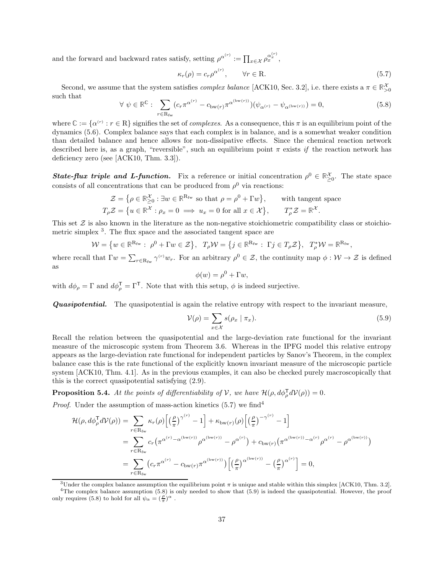and the forward and backward rates satisfy, setting  $\rho^{\alpha^{(r)}} := \prod_{x \in \mathcal{X}} \rho_x^{\alpha_x^{(r)}}$ ,

<span id="page-36-1"></span>
$$
\kappa_r(\rho) = c_r \rho^{\alpha^{(r)}}, \qquad \forall r \in \mathbb{R}.
$$
\n(5.7)

Second, we assume that the system satisfies *complex balance* [\[ACK10,](#page-44-20) Sec. 3.2], i.e. there exists a  $\pi \in \mathbb{R}^{\mathcal{X}}_{>0}$ such that

<span id="page-36-3"></span>
$$
\forall \psi \in \mathbb{R}^{\mathbb{C}}: \sum_{r \in \mathcal{R}_{\text{fw}}} (c_r \pi^{\alpha^{(r)}} - c_{\text{bw}(r)} \pi^{\alpha^{(\text{bw}(r))}}) (\psi_{\alpha^{(r)}} - \psi_{\alpha^{(\text{bw}(r))}}) = 0,
$$
\n(5.8)

where  $\mathbb{C} := {\alpha^{(r)} : r \in \mathbb{R}}$  signifies the set of *complexes*. As a consequence, this  $\pi$  is an equilibrium point of the dynamics [\(5.6\)](#page-35-1). Complex balance says that each complex is in balance, and is a somewhat weaker condition than detailed balance and hence allows for non-dissipative effects. Since the chemical reaction network described here is, as a graph, "reversible", such an equilibrium point  $\pi$  exists if the reaction network has deficiency zero (see [\[ACK10,](#page-44-20) Thm. 3.3]).

**State-flux triple and L-function.** Fix a reference or initial concentration  $\rho^0 \in \mathbb{R}^{\chi}_{\geq 0}$ . The state space consists of all concentrations that can be produced from  $\rho^0$  via reactions:

$$
\mathcal{Z} = \{ \rho \in \mathbb{R}_{\geq 0}^{\mathcal{X}} : \exists w \in \mathbb{R}^{R_{\text{fw}}} \text{ so that } \rho = \rho^0 + \Gamma w \}, \qquad \text{with tangent space}
$$
  

$$
T_{\rho} \mathcal{Z} = \{ u \in \mathbb{R}^{\mathcal{X}} : \rho_x = 0 \implies u_x = 0 \text{ for all } x \in \mathcal{X} \}, \qquad T_{\rho}^* \mathcal{Z} = \mathbb{R}^{\mathcal{X}}.
$$

This set  $\mathcal Z$  is also known in the literature as the non-negative stoichiometric compatibility class or stoichio-metric simplex<sup>[3](#page-36-0)</sup>. The flux space and the associated tangent space are

$$
\mathcal{W} = \{ w \in \mathbb{R}^{\mathrm{R}_{\mathrm{fw}}}: \ \rho^0 + \Gamma w \in \mathcal{Z} \}, \ \ T_{\rho}\mathcal{W} = \{ j \in \mathbb{R}^{\mathrm{R}_{\mathrm{fw}}}: \ \Gamma j \in T_{\rho}\mathcal{Z} \}, \ \ T_{\rho}^* \mathcal{W} = \mathbb{R}^{\mathrm{R}_{\mathrm{fw}}},
$$

where recall that  $\Gamma w = \sum_{r \in R_{fw}} \gamma^{(r)} w_r$ . For an arbitrary  $\rho^0 \in \mathcal{Z}$ , the continuity map  $\phi: \mathcal{W} \to \mathcal{Z}$  is defined as

<span id="page-36-4"></span>
$$
\phi(w) = \rho^0 + \Gamma w,
$$

with  $d\phi_{\rho} = \Gamma$  and  $d\phi_{\rho}^{\mathsf{T}} = \Gamma^{\mathsf{T}}$ . Note that with this setup,  $\phi$  is indeed surjective.

**Quasipotential.** The quasipotential is again the relative entropy with respect to the invariant measure,

$$
\mathcal{V}(\rho) = \sum_{x \in \mathcal{X}} s(\rho_x \mid \pi_x). \tag{5.9}
$$

Recall the relation between the quasipotential and the large-deviation rate functional for the invariant measure of the microscopic system from Theorem [3.6.](#page-26-1) Whereas in the IPFG model this relative entropy appears as the large-deviation rate functional for independent particles by Sanov's Theorem, in the complex balance case this is the rate functional of the explicitly known invariant measure of the microscopic particle system [\[ACK10,](#page-44-20) Thm. 4.1]. As in the previous examples, it can also be checked purely macroscopically that this is the correct quasipotential satisfying [\(2.9\)](#page-10-2).

<span id="page-36-5"></span>**Proposition 5.4.** At the points of differentiability of V, we have  $\mathcal{H}(\rho, d\phi_{\rho}^{\mathsf{T}}d\mathcal{V}(\rho)) = 0$ .

*Proof.* Under the assumption of mass-action kinetics  $(5.7)$  we find<sup>[4](#page-36-2)</sup>

$$
\mathcal{H}(\rho, d\phi_{\rho}^{\mathsf{T}} d\mathcal{V}(\rho)) = \sum_{r \in \mathcal{R}_{\text{fw}}} \kappa_r(\rho) \Big[ \Big(\frac{\rho}{\pi}\Big)^{\gamma^{(r)}} - 1 \Big] + \kappa_{\text{bw}(r)}(\rho) \Big[ \Big(\frac{\rho}{\pi}\Big)^{-\gamma^{(r)}} - 1 \Big]
$$
  
\n
$$
= \sum_{r \in \mathcal{R}_{\text{fw}}} c_r \Big( \pi^{\alpha^{(r)} - \alpha^{(\text{bw}(r))}} \rho^{\alpha^{(\text{bw}(r))}} - \rho^{\alpha^{(r)}} \Big) + c_{\text{bw}(r)} \Big( \pi^{\alpha^{(\text{bw}(r))} - \alpha^{(r)}} \rho^{\alpha^{(r)}} - \rho^{\alpha^{(\text{bw}(r))}} \Big)
$$
  
\n
$$
= \sum_{r \in \mathcal{R}_{\text{fw}}} \Big( c_r \pi^{\alpha^{(r)}} - c_{\text{bw}(r)} \pi^{\alpha^{(\text{bw}(r))}} \Big] \Big[ \Big(\frac{\rho}{\pi}\Big)^{\alpha^{(\text{bw}(r))}} - \Big(\frac{\rho}{\pi}\Big)^{\alpha^{(r)}} \Big] = 0,
$$

<span id="page-36-2"></span><span id="page-36-0"></span><sup>&</sup>lt;sup>3</sup>Under the complex balance assumption the equilibrium point  $\pi$  is unique and stable within this simplex [\[ACK10,](#page-44-20) Thm. 3.2].  $4$ The complex balance assumption  $(5.8)$  is only needed to show that  $(5.9)$  is indeed the quasipotential. However, the proof only requires [\(5.8\)](#page-36-3) to hold for all  $\psi_{\alpha} = (\frac{\rho}{\pi})^{\alpha}$ .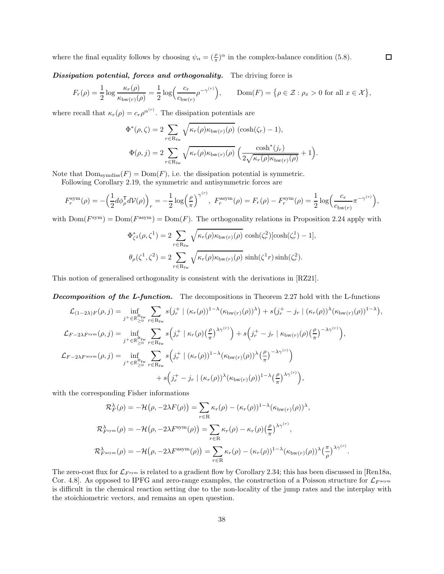where the final equality follows by choosing  $\psi_{\alpha} = (\frac{\rho}{\pi})^{\alpha}$  in the complex-balance condition [\(5.8\)](#page-36-3).

Dissipation potential, forces and orthogonality. The driving force is

$$
F_r(\rho) = \frac{1}{2} \log \frac{\kappa_r(\rho)}{\kappa_{\text{bw}(r)}(\rho)} = \frac{1}{2} \log \left( \frac{c_r}{c_{\text{bw}(r)}} \rho^{-\gamma^{(r)}} \right), \qquad \text{Dom}(F) = \left\{ \rho \in \mathcal{Z} : \rho_x > 0 \text{ for all } x \in \mathcal{X} \right\},
$$

where recall that  $\kappa_r(\rho) = c_r \rho^{\alpha^{(r)}}$ . The dissipation potentials are

$$
\Phi^*(\rho, \zeta) = 2 \sum_{r \in R_{\text{fw}}} \sqrt{\kappa_r(\rho) \kappa_{\text{bw}(r)}(\rho)} \ (\cosh(\zeta_r) - 1),
$$
  

$$
\Phi(\rho, j) = 2 \sum_{r \in R_{\text{fw}}} \sqrt{\kappa_r(\rho) \kappa_{\text{bw}(r)}(\rho)} \left( \frac{\cosh^*(j_r)}{2\sqrt{\kappa_r(\rho) \kappa_{\text{bw}(r)}(\rho)}} + 1 \right).
$$

Note that  $Dom<sub>symdiss</sub>(F) = Dom(F)$ , i.e. the dissipation potential is symmetric.

Following Corollary [2.19,](#page-15-0) the symmetric and antisymmetric forces are

$$
F_r^{\text{sym}}(\rho) = -\left(\frac{1}{2}d\phi_{\rho}^{\text{T}}dV(\rho)\right)_r = -\frac{1}{2}\log\left(\frac{\rho}{\pi}\right)^{\gamma^{(r)}}, \ F_r^{\text{asym}}(\rho) = F_r(\rho) - F_r^{\text{sym}}(\rho) = \frac{1}{2}\log\left(\frac{c_r}{c_{\text{bw}(r)}}\pi^{-\gamma^{(r)}}\right),
$$

with  $Dom(F<sup>sym</sup>) = Dom(F<sup>asym</sup>) = Dom(F)$ . The orthogonality relations in Proposition [2.24](#page-18-1) apply with

$$
\Phi_{\zeta^2}^*(\rho, \zeta^1) = 2 \sum_{r \in \mathcal{R}_{\text{fw}}} \sqrt{\kappa_r(\rho) \kappa_{\text{bw}(r)}(\rho)} \cosh(\zeta_r^2) [\cosh(\zeta_r^1) - 1],
$$
  

$$
\theta_{\rho}(\zeta^1, \zeta^2) = 2 \sum_{r \in \mathcal{R}_{\text{fw}}} \sqrt{\kappa_r(\rho) \kappa_{\text{bw}(r)}(\rho)} \sinh(\zeta^1 r) \sinh(\zeta_r^2).
$$

This notion of generalised orthogonality is consistent with the derivations in [\[RZ21\]](#page-46-0).

**Decomposition of the L-function.** The decompositions in Theorem [2.27](#page-19-0) hold with the L-functions

$$
\mathcal{L}_{(1-2\lambda)F}(\rho, j) = \inf_{j^+ \in \mathbb{R}_{\geq 0}^{\mathbf{R}_{\text{fw}}}} \sum_{r \in \mathcal{R}_{\text{fw}}} s(j_r^+ \mid (\kappa_r(\rho))^{1-\lambda} (\kappa_{\text{bw}(r)}(\rho))^{\lambda}) + s(j_r^+ - j_r \mid (\kappa_r(\rho))^{\lambda} (\kappa_{\text{bw}(r)}(\rho))^{1-\lambda}),
$$
  

$$
\mathcal{L}_{F-2\lambda F^{\text{sym}}}(\rho, j) = \inf_{j^+ \in \mathbb{R}_{\geq 0}^{\mathbf{R}_{\text{fw}}}} \sum_{r \in \mathcal{R}_{\text{fw}}} s(j_r^+ \mid \kappa_r(\rho) \left(\frac{\rho}{\pi}\right)^{\lambda \gamma^{(r)}}) + s(j_r^+ - j_r \mid \kappa_{\text{bw}(r)}(\rho) \left(\frac{\rho}{\pi}\right)^{-\lambda \gamma^{(r)}}),
$$
  

$$
\mathcal{L}_{F-2\lambda F^{\text{asym}}}(\rho, j) = \inf_{j^+ \in \mathbb{R}_{\geq 0}^{\mathbf{R}_{\text{fw}}}} \sum_{r \in \mathcal{R}_{\text{fw}}} s(j_r^+ \mid (\kappa_r(\rho))^{1-\lambda} (\kappa_{\text{bw}(r)}(\rho))^{\lambda} \left(\frac{\rho}{\pi}\right)^{-\lambda \gamma^{(r)}}) + s(j_r^+ - j_r \mid (\kappa_r(\rho))^{\lambda} (\kappa_{\text{bw}(r)}(\rho))^{1-\lambda} \left(\frac{\rho}{\pi}\right)^{\lambda \gamma^{(r)}}),
$$

with the corresponding Fisher informations

$$
\mathcal{R}_F^{\lambda}(\rho) = -\mathcal{H}(\rho, -2\lambda F(\rho)) = \sum_{r \in \mathbb{R}} \kappa_r(\rho) - (\kappa_r(\rho))^{1-\lambda} (\kappa_{bw(r)}(\rho))^{\lambda},
$$
  

$$
\mathcal{R}_{F^{\text{sym}}}^{\lambda}(\rho) = -\mathcal{H}(\rho, -2\lambda F^{\text{sym}}(\rho)) = \sum_{r \in \mathbb{R}} \kappa_r(\rho) - \kappa_r(\rho) \left(\frac{\rho}{\pi}\right)^{\lambda \gamma^{(r)}},
$$
  

$$
\mathcal{R}_{F^{\text{asym}}}^{\lambda}(\rho) = -\mathcal{H}(\rho, -2\lambda F^{\text{asym}}(\rho)) = \sum_{r \in \mathbb{R}} \kappa_r(\rho) - (\kappa_r(\rho))^{1-\lambda} (\kappa_{bw(r)}(\rho))^{\lambda} \left(\frac{\pi}{\rho}\right)^{\lambda \gamma^{(r)}}
$$

The zero-cost flux for  $\mathcal{L}_{F^{sym}}$  is related to a gradient flow by Corollary [2.34;](#page-22-5) this has been discussed in [\[Ren18a,](#page-45-12) Cor. 4.8]. As opposed to IPFG and zero-range examples, the construction of a Poisson structure for  $\mathcal{L}_{F^{asym}}$ is difficult in the chemical reaction setting due to the non-locality of the jump rates and the interplay with the stoichiometric vectors, and remains an open question.

.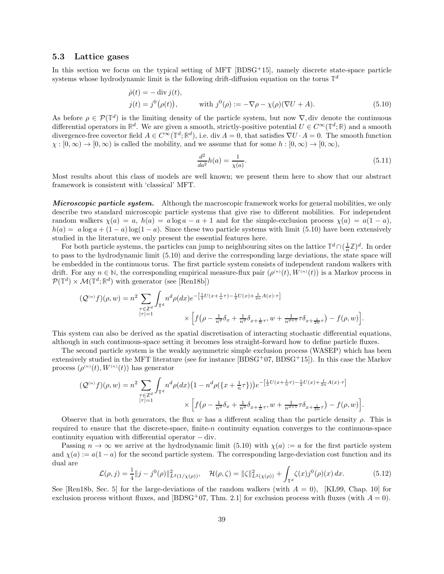#### <span id="page-38-0"></span>5.3 Lattice gases

In this section we focus on the typical setting of MFT  $[BDSG^+15]$ , namely discrete state-space particle systems whose hydrodynamic limit is the following drift-diffusion equation on the torus  $\mathbb{T}^d$ 

$$
\dot{\rho}(t) = -\operatorname{div} j(t),
$$
  
\n
$$
j(t) = j^0(\rho(t)), \qquad \text{with } j^0(\rho) := -\nabla \rho - \chi(\rho)(\nabla U + A).
$$
\n(5.10)

As before  $\rho \in \mathcal{P}(\mathbb{T}^d)$  is the limiting density of the particle system, but now  $\nabla$ , div denote the continuous differential operators in  $\mathbb{R}^d$ . We are given a smooth, strictly-positive potential  $U \in C^\infty(\mathbb{T}^d; \mathbb{R})$  and a smooth divergence-free covector field  $A \in C^{\infty}(\mathbb{T}^d; \mathbb{R}^d)$ , i.e. div  $A = 0$ , that satisfies  $\nabla U \cdot A = 0$ . The smooth function  $\chi : [0, \infty) \to [0, \infty)$  is called the mobility, and we assume that for some  $h : [0, \infty) \to [0, \infty)$ ,

<span id="page-38-3"></span><span id="page-38-1"></span>
$$
\frac{d^2}{da^2}h(a) = \frac{1}{\chi(a)}.\tag{5.11}
$$

Most results about this class of models are well known; we present them here to show that our abstract framework is consistent with 'classical' MFT.

Microscopic particle system. Although the macroscopic framework works for general mobilities, we only describe two standard microscopic particle systems that give rise to different mobilities. For independent random walkers  $\chi(a) = a$ ,  $h(a) = a \log a - a + 1$  and for the simple-exclusion process  $\chi(a) = a(1 - a)$ ,  $h(a) = a \log a + (1 - a) \log(1 - a)$ . Since these two particle systems with limit [\(5.10\)](#page-38-1) have been extensively studied in the literature, we only present the essential features here.

For both particle systems, the particles can jump to neighbouring sites on the lattice  $\mathbb{T}^d \cap (\frac{1}{n}\mathbb{Z})^d$ . In order to pass to the hydrodynamic limit [\(5.10\)](#page-38-1) and derive the corresponding large deviations, the state space will be embedded in the continuous torus. The first particle system consists of independent random walkers with drift. For any  $n \in \mathbb{N}$ , the corresponding empirical measure-flux pair  $(\rho^{(n)}(t), W^{(n)}(t))$  is a Markov process in  $\mathcal{P}(\mathbb{T}^d) \times \mathcal{M}(\mathbb{T}^d; \mathbb{R}^d)$  with generator (see [\[Ren18b\]](#page-45-8))

$$
\begin{split} \big(\mathcal{Q}^{(n)}f\big)(\rho,w) &= n^2\sum_{\substack{\tau\in\mathbb{Z}^d\\|\tau|=1}}\int_{\mathbb{T}^d}n^d\rho(dx)e^{-\left[\frac{1}{2}U(x+\frac{1}{n}\tau)-\frac{1}{2}U(x)+\frac{1}{2n}A(x)\cdot\tau\right]}\\ &\times\left[f\big(\rho-\frac{1}{n^d}\delta_x+\frac{1}{n^d}\delta_{x+\frac{1}{n}\tau},w+\frac{1}{n^{d+1}}\tau\delta_{x+\frac{1}{2n}\tau}\big)-f(\rho,w)\right]. \end{split}
$$

This system can also be derived as the spatial discretisation of interacting stochastic differential equations, although in such continuous-space setting it becomes less straight-forward how to define particle fluxes.

The second particle system is the weakly asymmetric simple exclusion process (WASEP) which has been extensively studied in the MFT literature (see for instance  $[BDSG^+07, BDSG^+15]$  $[BDSG^+07, BDSG^+15]$  $[BDSG^+07, BDSG^+15]$ ). In this case the Markov process  $(\rho^{(n)}(t), W^{(n)}(t))$  has generator

$$
\begin{split} (\mathcal{Q}^{(n)}f)(\rho,w)=n^{2}\sum_{\substack{\tau\in\mathbb{Z}^{d} \\ |\tau|=1}}\int_{\mathbb{T}^{d}}n^{d}\rho(dx)\big(1-n^{d}\rho\big(\{x+\tfrac{1}{n}\tau\}\big)\big)e^{-\big[\frac{1}{2}U(x+\tfrac{1}{n}\tau)-\frac{1}{2}U(x)+\frac{1}{2n}A(x)\cdot\tau\big]} \\ &\times\Big[f\big(\rho-\tfrac{1}{n^{d}}\delta_{x}+\tfrac{1}{n^{d}}\delta_{x+\tfrac{1}{n}\tau},w+\tfrac{1}{n^{d+1}}\tau\delta_{x+\tfrac{1}{2n}\tau}\big)-f(\rho,w)\Big]. \end{split}
$$

Observe that in both generators, the flux w has a different scaling than the particle density  $\rho$ . This is required to ensure that the discrete-space, finite-n continuity equation converges to the continuous-space continuity equation with differential operator − div.

Passing  $n \to \infty$  we arrive at the hydrodynamic limit [\(5.10\)](#page-38-1) with  $\chi(a) := a$  for the first particle system and  $\chi(a) := a(1-a)$  for the second particle system. The corresponding large-deviation cost function and its dual are

<span id="page-38-2"></span>
$$
\mathcal{L}(\rho, j) = \frac{1}{4} \|j - j^0(\rho)\|_{L^2(1/\chi(\rho))}^2, \quad \mathcal{H}(\rho, \zeta) = \|\zeta\|_{L^2(\chi(\rho))}^2 + \int_{\mathbb{T}^d} \zeta(x) j^0(\rho)(x) dx.
$$
 (5.12)

See [\[Ren18b,](#page-45-8) Sec. 5] for the large-deviations of the random walkers (with  $A = 0$ ), [\[KL99,](#page-45-21) Chap. 10] for exclusion process without fluxes, and [\[BDSG](#page-44-21)+07, Thm. 2.1] for exclusion process with fluxes (with  $A = 0$ ).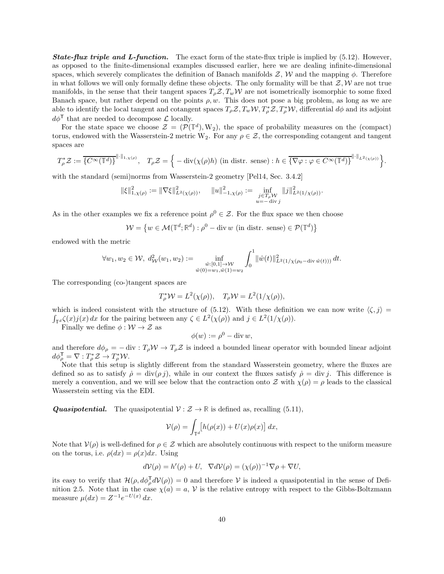**State-flux triple and L-function.** The exact form of the state-flux triple is implied by  $(5.12)$ . However, as opposed to the finite-dimensional examples discussed earlier, here we are dealing infinite-dimensional spaces, which severely complicates the definition of Banach manifolds  $\mathcal{Z}, \mathcal{W}$  and the mapping  $\phi$ . Therefore in what follows we will only formally define these objects. The only formality will be that  $\mathcal{Z}, \mathcal{W}$  are not true manifolds, in the sense that their tangent spaces  $T_{\rho}Z, T_{w}W$  are not isometrically isomorphic to some fixed Banach space, but rather depend on the points  $\rho, w$ . This does not pose a big problem, as long as we are able to identify the local tangent and cotangent spaces  $T_{\rho}Z, T_w W, T_{\rho}^*Z, T_{\rho}^*W$ , differential  $d\phi$  and its adjoint  $d\phi^{\mathsf{T}}$  that are needed to decompose  $\mathcal{L}$  locally.

For the state space we choose  $\mathcal{Z} = (\mathcal{P}(\mathbb{T}^d), W_2)$ , the space of probability measures on the (compact) torus, endowed with the Wasserstein-2 metric W<sub>2</sub>. For any  $\rho \in \mathcal{Z}$ , the corresponding cotangent and tangent spaces are

$$
T_{\rho}^* \mathcal{Z} := \overline{\{C^{\infty}(\mathbb{T}^d)\}}^{\|\cdot\|_{1,\chi(\rho)}}, \quad T_{\rho} \mathcal{Z} = \Big\{-\operatorname{div}(\chi(\rho)h) \text{ (in distr. sense)}: h \in \overline{\{\nabla \varphi : \varphi \in C^{\infty}(\mathbb{T}^d)\}}^{\|\cdot\|_{L^2(\chi(\rho))}}\Big\}.
$$

with the standard (semi)norms from Wasserstein-2 geometry [\[Pel14,](#page-45-25) Sec. 3.4.2]

$$
\|\xi\|_{1,\chi(\rho)}^2 := \|\nabla \xi\|_{L^2(\chi(\rho))}^2, \quad \|u\|_{-1,\chi(\rho)}^2 := \inf_{\substack{j \in T_\rho \mathcal{W} \\ u = -\text{ div } j}} \|j\|_{L^2(1/\chi(\rho))}^2.
$$

As in the other examples we fix a reference point  $\rho^0 \in \mathcal{Z}$ . For the flux space we then choose

$$
\mathcal{W} = \left\{ w \in \mathcal{M}(\mathbb{T}^d; \mathbb{R}^d) : \rho^0 - \text{div } w \text{ (in distr. sense)} \in \mathcal{P}(\mathbb{T}^d) \right\}
$$

endowed with the metric

$$
\forall w_1, w_2 \in \mathcal{W}, d^2_{\mathcal{W}}(w_1, w_2) := \inf_{\substack{\hat{w}: [0,1] \to \mathcal{W} \\ \hat{w}(0) = w_1, \hat{w}(1) = w_2}} \int_0^1 ||\hat{w}(t)||^2_{L^2(1/\chi(\rho_0 - \text{div}\,\hat{w}(t)))} dt.
$$

The corresponding (co-)tangent spaces are

$$
T_{\rho}^* \mathcal{W} = L^2(\chi(\rho)), \quad T_{\rho} \mathcal{W} = L^2(1/\chi(\rho)),
$$

which is indeed consistent with the structure of [\(5.12\)](#page-38-2). With these definition we can now write  $\langle \zeta, j \rangle =$  $\int_{\mathbb{T}^d} \zeta(x) j(x) dx$  for the pairing between any  $\zeta \in L^2(\chi(\rho))$  and  $j \in L^2(1/\chi(\rho))$ .

Finally we define  $\phi : \mathcal{W} \to \mathcal{Z}$  as

$$
\phi(w) := \rho^0 - \operatorname{div} w,
$$

and therefore  $d\phi_{\rho} = -\text{div} : T_{\rho} \mathcal{W} \to T_{\rho} \mathcal{Z}$  is indeed a bounded linear operator with bounded linear adjoint  $d\phi_{\rho}^{\mathsf{T}} = \nabla : T_{\rho}^{*} \mathcal{Z} \to T_{\rho}^{*} \mathcal{W}.$ 

Note that this setup is slightly different from the standard Wasserstein geometry, where the fluxes are defined so as to satisfy  $\dot{\rho} = \text{div}(\rho j)$ , while in our context the fluxes satisfy  $\dot{\rho} = \text{div} j$ . This difference is merely a convention, and we will see below that the contraction onto Z with  $\chi(\rho) = \rho$  leads to the classical Wasserstein setting via the EDI.

**Quasipotential.** The quasipotential  $\mathcal{V}: \mathcal{Z} \to \mathbb{R}$  is defined as, recalling [\(5.11\)](#page-38-3),

$$
\mathcal{V}(\rho) = \int_{\mathbb{T}^d} [h(\rho(x)) + U(x)\rho(x)] \, dx,
$$

Note that  $V(\rho)$  is well-defined for  $\rho \in \mathcal{Z}$  which are absolutely continuous with respect to the uniform measure on the torus, i.e.  $\rho(dx) = \rho(x)dx$ . Using

$$
d\mathcal{V}(\rho) = h'(\rho) + U, \quad \nabla d\mathcal{V}(\rho) = (\chi(\rho))^{-1} \nabla \rho + \nabla U,
$$

its easy to verify that  $\mathcal{H}(\rho, d\phi_{\rho}^{\mathsf{T}} d\mathcal{V}(\rho)) = 0$  and therefore V is indeed a quasipotential in the sense of Defi-nition [2.5.](#page-10-1) Note that in the case  $\chi(a) = a, \mathcal{V}$  is the relative entropy with respect to the Gibbs-Boltzmann measure  $\mu(dx) = Z^{-1}e^{-U(x)} dx$ .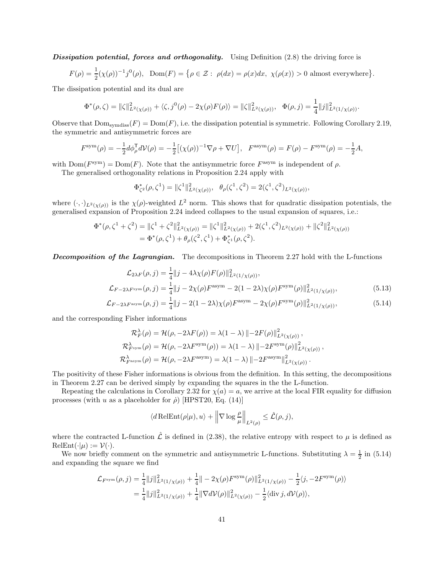Dissipation potential, forces and orthogonality. Using Definition  $(2.8)$  the driving force is

$$
F(\rho) = \frac{1}{2}(\chi(\rho))^{-1}j^{0}(\rho), \quad \text{Dom}(F) = \{ \rho \in \mathcal{Z} : \ \rho(dx) = \rho(x)dx, \ \chi(\rho(x)) > 0 \text{ almost everywhere} \}.
$$

The dissipation potential and its dual are

$$
\Phi^*(\rho,\zeta) = \|\zeta\|_{L^2(\chi(\rho))}^2 + \langle \zeta,j^0(\rho) - 2\chi(\rho)F(\rho) \rangle = \|\zeta\|_{L^2(\chi(\rho))}^2, \quad \Phi(\rho,j) = \frac{1}{4}\|j\|_{L^2(1/\chi(\rho))}^2.
$$

Observe that  $\text{Dom}_{symdiss}(F) = \text{Dom}(F)$ , i.e. the dissipation potential is symmetric. Following Corollary [2.19,](#page-15-0) the symmetric and antisymmetric forces are

$$
F^{\text{sym}}(\rho) = -\frac{1}{2}d\phi_{\rho}^{\mathsf{T}}d\mathcal{V}(\rho) = -\frac{1}{2}[(\chi(\rho))^{-1}\nabla\rho + \nabla U], \quad F^{\text{asym}}(\rho) = F(\rho) - F^{\text{sym}}(\rho) = -\frac{1}{2}A,
$$

with  $Dom(F<sup>sym</sup>) = Dom(F)$ . Note that the antisymmetric force  $F<sup>asym</sup>$  is independent of  $\rho$ .

The generalised orthogonality relations in Proposition [2.24](#page-18-1) apply with

$$
\Phi_{\zeta^2}^*(\rho,\zeta^1) = \|\zeta^1\|_{L^2(\chi(\rho))}^2, \ \ \theta_{\rho}(\zeta^1,\zeta^2) = 2(\zeta^1,\zeta^2)_{L^2(\chi(\rho))},
$$

where  $(\cdot, \cdot)_{L^2(\chi(\rho))}$  is the  $\chi(\rho)$ -weighted  $L^2$  norm. This shows that for quadratic dissipation potentials, the generalised expansion of Proposition [2.24](#page-18-1) indeed collapses to the usual expansion of squares, i.e.:

$$
\Phi^*(\rho, \zeta^1 + \zeta^2) = \|\zeta^1 + \zeta^2\|_{L^2(\chi(\rho))}^2 = \|\zeta^1\|_{L^2(\chi(\rho))}^2 + 2(\zeta^1, \zeta^2)_{L^2(\chi(\rho))} + \|\zeta^2\|_{L^2(\chi(\rho))}^2
$$
  
= 
$$
\Phi^*(\rho, \zeta^1) + \theta_\rho(\zeta^2, \zeta^1) + \Phi^*_{\zeta^1}(\rho, \zeta^2).
$$

**Decomposition of the Lagrangian.** The decompositions in Theorem [2.27](#page-19-0) hold with the L-functions

$$
\mathcal{L}_{2\lambda F}(\rho, j) = \frac{1}{4} ||j - 4\lambda \chi(\rho) F(\rho) ||_{L^2(1/\chi(\rho))}^2,
$$
  

$$
\mathcal{L}_{F-2\lambda F^{\text{sym}}}(\rho, j) = \frac{1}{4} ||j - 2\chi(\rho) F^{\text{asym}} - 2(1 - 2\lambda)\chi(\rho) F^{\text{sym}}(\rho) ||_{L^2(1/\chi(\rho))}^2,
$$
(5.13)

$$
\mathcal{L}_{F-2\lambda F^{\text{asym}}}(\rho, j) = \frac{1}{4} \|j - 2(1 - 2\lambda)\chi(\rho)F^{\text{asym}} - 2\chi(\rho)F^{\text{sym}}(\rho)\|_{L^2(1/\chi(\rho))}^2,
$$
(5.14)

and the corresponding Fisher informations

$$
\mathcal{R}_{F}^{\lambda}(\rho) = \mathcal{H}(\rho, -2\lambda F(\rho)) = \lambda(1 - \lambda) \| - 2F(\rho) \|_{L^{2}(\chi(\rho))}^{2},
$$
  

$$
\mathcal{R}_{F^{\text{sym}}}^{\lambda}(\rho) = \mathcal{H}(\rho, -2\lambda F^{\text{sym}}(\rho)) = \lambda(1 - \lambda) \| - 2F^{\text{sym}}(\rho) \|_{L^{2}(\chi(\rho))}^{2},
$$
  

$$
\mathcal{R}_{F^{\text{asym}}}^{\lambda}(\rho) = \mathcal{H}(\rho, -2\lambda F^{\text{asym}}) = \lambda(1 - \lambda) \| - 2F^{\text{asym}} \|_{L^{2}(\chi(\rho))}^{2}.
$$

The positivity of these Fisher informations is obvious from the definition. In this setting, the decompositions in Theorem [2.27](#page-19-0) can be derived simply by expanding the squares in the the L-function.

Repeating the calculations in Corollary [2.32](#page-21-0) for  $\chi(a) = a$ , we arrive at the local FIR equality for diffusion processes (with u as a placeholder for  $\dot{\rho}$ ) [\[HPST20,](#page-44-3) Eq. (14)]

<span id="page-40-0"></span>
$$
\langle d \text{RelEnt}(\rho|\mu), u \rangle + \left\| \nabla \log \frac{\rho}{\mu} \right\|_{L^2(\rho)} \leq \hat{\mathcal{L}}(\rho, j),
$$

where the contracted L-function  $\hat{\mathcal{L}}$  is defined in [\(2.38\)](#page-21-1), the relative entropy with respect to  $\mu$  is defined as  $\text{RelEnt}(\cdot|\mu) := \mathcal{V}(\cdot).$ 

We now briefly comment on the symmetric and antisymmetric L-functions. Substituting  $\lambda = \frac{1}{2}$  in [\(5.14\)](#page-40-0) and expanding the square we find

$$
\mathcal{L}_{F^{\text{sym}}}(\rho, j) = \frac{1}{4} ||j||_{L^{2}(1/\chi(\rho))}^{2} + \frac{1}{4} || - 2\chi(\rho) F^{\text{sym}}(\rho) ||_{L^{2}(1/\chi(\rho))}^{2} - \frac{1}{2} \langle j, -2F^{\text{sym}}(\rho) \rangle
$$
  
= 
$$
\frac{1}{4} ||j||_{L^{2}(1/\chi(\rho))}^{2} + \frac{1}{4} ||\nabla d\mathcal{V}(\rho)||_{L^{2}(\chi(\rho))}^{2} - \frac{1}{2} \langle \text{div } j, d\mathcal{V}(\rho) \rangle,
$$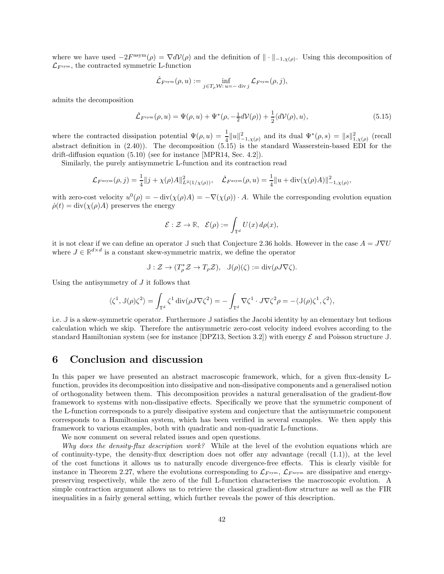where we have used  $-2F^{\text{asym}}(\rho) = \nabla d\mathcal{V}(\rho)$  and the definition of  $\|\cdot\|_{-1,\chi(\rho)}$ . Using this decomposition of  $\mathcal{L}_{F<sub>sym</sub>$ , the contracted symmetric L-function

$$
\hat{\mathcal{L}}_{F^{\mathrm{sym}}}(\rho,u):=\inf_{j\in T_{\rho}\mathcal{W}:\,u=-\text{ div }j}\mathcal{L}_{F^{\mathrm{sym}}}(\rho,j),
$$

admits the decomposition

<span id="page-41-1"></span>
$$
\hat{\mathcal{L}}_{F^{\text{sym}}}(\rho, u) = \Psi(\rho, u) + \Psi^*(\rho, -\frac{1}{2}dV(\rho)) + \frac{1}{2}\langle dV(\rho), u\rangle,
$$
\n(5.15)

where the contracted dissipation potential  $\Psi(\rho, u) = \frac{1}{4} ||u||^2_{-1, \chi(\rho)}$  and its dual  $\Psi^*(\rho, s) = ||s||^2_{1, \chi(\rho)}$  (recall abstract definition in [\(2.40\)](#page-22-1)). The decomposition [\(5.15\)](#page-41-1) is the standard Wasserstein-based EDI for the drift-diffusion equation [\(5.10\)](#page-38-1) (see for instance [\[MPR14,](#page-45-0) Sec. 4.2]).

Similarly, the purely antisymmetric L-function and its contraction read

$$
\mathcal{L}_{F^{\text{asym}}}(\rho, j) = \frac{1}{4} ||j + \chi(\rho)A||^2_{L^2(1/\chi(\rho))}, \quad \hat{\mathcal{L}}_{F^{\text{asym}}}(\rho, u) = \frac{1}{4} ||u + \text{div}(\chi(\rho)A)||^2_{-1, \chi(\rho)},
$$

with zero-cost velocity  $u^0(\rho) = -\operatorname{div}(\chi(\rho)A) = -\nabla(\chi(\rho)) \cdot A$ . While the corresponding evolution equation  $\dot{\rho}(t) = \text{div}(\chi(\rho)A)$  preserves the energy

$$
\mathcal{E}: \mathcal{Z} \to \mathbb{R}, \quad \mathcal{E}(\rho) := \int_{\mathbb{T}^d} U(x) \, d\rho(x),
$$

it is not clear if we can define an operator  $\mathbb{J}$  such that Conjecture [2.36](#page-23-2) holds. However in the case  $A = J\nabla U$ where  $J \in \mathbb{R}^{d \times d}$  is a constant skew-symmetric matrix, we define the operator

$$
\mathbb{J}:\mathcal{Z}\to (T_\rho^*\mathcal{Z}\to T_\rho\mathcal{Z}),\ \ \mathbb{J}(\rho)(\zeta):=\mathrm{div}\big(\rho J\nabla\zeta\big).
$$

Using the antisymmetry of  $J$  it follows that

$$
\langle \zeta^1, \mathbb{J}(\rho) \zeta^2 \rangle = \int_{\mathbb{T}^d} \zeta^1 \operatorname{div}(\rho J \nabla \zeta^2) = - \int_{\mathbb{T}^d} \nabla \zeta^1 \cdot J \nabla \zeta^2 \rho = - \langle \mathbb{J}(\rho) \zeta^1, \zeta^2 \rangle,
$$

i.e. **J** is a skew-symmetric operator. Furthermore **J** satisfies the Jacobi identity by an elementary but tedious calculation which we skip. Therefore the antisymmetric zero-cost velocity indeed evolves according to the standard Hamiltonian system (see for instance [\[DPZ13,](#page-44-10) Section 3.2]) with energy  $\mathcal E$  and Poisson structure  $\mathbb J$ .

## <span id="page-41-0"></span>6 Conclusion and discussion

In this paper we have presented an abstract macroscopic framework, which, for a given flux-density Lfunction, provides its decomposition into dissipative and non-dissipative components and a generalised notion of orthogonality between them. This decomposition provides a natural generalisation of the gradient-flow framework to systems with non-dissipative effects. Specifically we prove that the symmetric component of the L-function corresponds to a purely dissipative system and conjecture that the antisymmetric component corresponds to a Hamiltonian system, which has been verified in several examples. We then apply this framework to various examples, both with quadratic and non-quadratic L-functions.

We now comment on several related issues and open questions.

Why does the density-flux description work? While at the level of the evolution equations which are of continuity-type, the density-flux description does not offer any advantage (recall  $(1.1)$ ), at the level of the cost functions it allows us to naturally encode divergence-free effects. This is clearly visible for instance in Theorem [2.27,](#page-19-0) where the evolutions corresponding to  $\mathcal{L}_{F^{\text{sym}}}$ ,  $\mathcal{L}_{F^{\text{asym}}}$  are dissipative and energypreserving respectively, while the zero of the full L-function characterises the macroscopic evolution. A simple contraction argument allows us to retrieve the classical gradient-flow structure as well as the FIR inequalities in a fairly general setting, which further reveals the power of this description.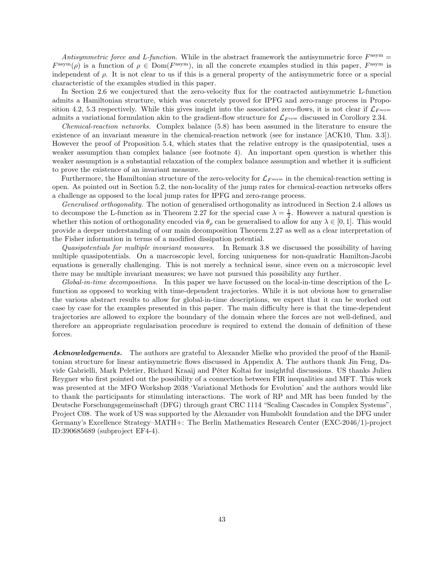Antisymmetric force and L-function. While in the abstract framework the antisymmetric force  $F^{\text{asym}} =$  $F^{\text{asym}}(\rho)$  is a function of  $\rho \in \text{Dom}(F^{\text{asym}})$ , in all the concrete examples studied in this paper,  $F^{\text{asym}}$  is independent of ρ. It is not clear to us if this is a general property of the antisymmetric force or a special characteristic of the examples studied in this paper.

In Section [2.6](#page-22-0) we conjectured that the zero-velocity flux for the contracted antisymmetric L-function admits a Hamiltonian structure, which was concretely proved for IPFG and zero-range process in Propo-sition [4.2,](#page-29-0) [5.3](#page-34-2) respectively. While this gives insight into the associated zero-flows, it is not clear if  $\mathcal{L}_{F^{asym}}$ admits a variational formulation akin to the gradient-flow structure for  $\mathcal{L}_{F^{sym}}$  discussed in Corollory [2.34.](#page-22-5)

Chemical-reaction networks. Complex balance [\(5.8\)](#page-36-3) has been assumed in the literature to ensure the existence of an invariant measure in the chemical-reaction network (see for instance [\[ACK10,](#page-44-20) Thm. 3.3]). However the proof of Proposition [5.4,](#page-36-5) which states that the relative entropy is the quasipotential, uses a weaker assumption than complex balance (see footnote [4\)](#page-36-2). An important open question is whether this weaker assumption is a substantial relaxation of the complex balance assumption and whether it is sufficient to prove the existence of an invariant measure.

Furthermore, the Hamiltonian structure of the zero-velocity for  $\mathcal{L}_{F^{asym}}$  in the chemical-reaction setting is open. As pointed out in Section [5.2,](#page-35-0) the non-locality of the jump rates for chemical-reaction networks offers a challenge as opposed to the local jump rates for IPFG and zero-range process.

Generalised orthogonality. The notion of generalised orthogonality as introduced in Section [2.4](#page-17-0) allows us to decompose the L-function as in Theorem [2.27](#page-19-0) for the special case  $\lambda = \frac{1}{2}$ . However a natural question is whether this notion of orthogonality encoded via  $\theta_{\rho}$  can be generalised to allow for any  $\lambda \in [0,1]$ . This would provide a deeper understanding of our main decomposition Theorem [2.27](#page-19-0) as well as a clear interpretation of the Fisher information in terms of a modified dissipation potential.

Quasipotentials for multiple invariant measures. In Remark [3.8](#page-27-4) we discussed the possibility of having multiple quasipotentials. On a macroscopic level, forcing uniqueness for non-quadratic Hamilton-Jacobi equations is generally challenging. This is not merely a technical issue, since even on a microscopic level there may be multiple invariant measures; we have not pursued this possibility any further.

Global-in-time decompositions. In this paper we have focussed on the local-in-time description of the Lfunction as opposed to working with time-dependent trajectories. While it is not obvious how to generalise the various abstract results to allow for global-in-time descriptions, we expect that it can be worked out case by case for the examples presented in this paper. The main difficulty here is that the time-dependent trajectories are allowed to explore the boundary of the domain where the forces are not well-defined, and therefore an appropriate regularisation procedure is required to extend the domain of definition of these forces.

Acknowledgements. The authors are grateful to Alexander Mielke who provided the proof of the Hamiltonian structure for linear antisymmetric flows discussed in Appendix [A.](#page-43-1) The authors thank Jin Feng, Davide Gabrielli, Mark Peletier, Richard Kraaij and P´eter Koltai for insightful discussions. US thanks Julien Reygner who first pointed out the possibility of a connection between FIR inequalities and MFT. This work was presented at the MFO Workshop 2038 'Variational Methods for Evolution' and the authors would like to thank the participants for stimulating interactions. The work of RP and MR has been funded by the Deutsche Forschungsgemeinschaft (DFG) through grant CRC 1114 "Scaling Cascades in Complex Systems", Project C08. The work of US was supported by the Alexander von Humboldt foundation and the DFG under Germany's Excellence Strategy–MATH+: The Berlin Mathematics Research Center (EXC-2046/1)-project ID:390685689 (subproject EF4-4).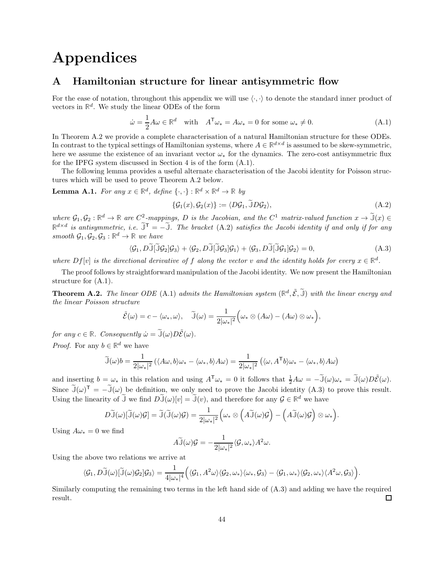# Appendices

## <span id="page-43-1"></span>A Hamiltonian structure for linear antisymmetric flow

For the ease of notation, throughout this appendix we will use  $\langle \cdot, \cdot \rangle$  to denote the standard inner product of vectors in  $\mathbb{R}^d$ . We study the linear ODEs of the form

<span id="page-43-3"></span>
$$
\dot{\omega} = \frac{1}{2} A \omega \in \mathbb{R}^d \quad \text{with} \quad A^{\mathsf{T}} \omega_* = A \omega_* = 0 \text{ for some } \omega_* \neq 0. \tag{A.1}
$$

In Theorem [A.2](#page-43-2) we provide a complete characterisation of a natural Hamiltonian structure for these ODEs. In contrast to the typical settings of Hamiltonian systems, where  $A \in \mathbb{R}^{d \times d}$  is assumed to be skew-symmetric, here we assume the existence of an invariant vector  $\omega_*$  for the dynamics. The zero-cost antisymmetric flux for the IPFG system discussed in Section [4](#page-28-0) is of the form [\(A.1\)](#page-43-3).

The following lemma provides a useful alternate characterisation of the Jacobi identity for Poisson structures which will be used to prove Theorem [A.2](#page-43-2) below.

<span id="page-43-0"></span>**Lemma A.1.** For any  $x \in \mathbb{R}^d$ , define  $\{\cdot, \cdot\} : \mathbb{R}^d \times \mathbb{R}^d \to \mathbb{R}$  by

<span id="page-43-4"></span>
$$
\{\mathcal{G}_1(x), \mathcal{G}_2(x)\} := \langle D\mathcal{G}_1, \tilde{\mathbb{J}} D\mathcal{G}_2 \rangle, \tag{A.2}
$$

where  $\mathcal{G}_1, \mathcal{G}_2 : \mathbb{R}^d \to \mathbb{R}$  are  $C^2$ -mappings, D is the Jacobian, and the  $C^1$  matrix-valued function  $x \to \tilde{\mathbb{J}}(x) \in$  $\mathbb{R}^{d \times d}$  is antisymmetric, i.e.  $\widetilde{\mathbb{J}}^{\mathsf{T}} = -\widetilde{\mathbb{J}}$ . The bracket [\(A.2\)](#page-43-4) satisfies the Jacobi identity if and only if for any smooth  $\mathcal{G}_1, \mathcal{G}_2, \mathcal{G}_3 : \mathbb{R}^d \to \mathbb{R}$  we have

<span id="page-43-5"></span>
$$
\langle \mathcal{G}_1, D\widetilde{\mathbb{J}}[\widetilde{\mathbb{J}}\mathcal{G}_2]\mathcal{G}_3 \rangle + \langle \mathcal{G}_2, D\widetilde{\mathbb{J}}[\widetilde{\mathbb{J}}\mathcal{G}_3]\mathcal{G}_1 \rangle + \langle \mathcal{G}_3, D\widetilde{\mathbb{J}}[\widetilde{\mathbb{J}}\mathcal{G}_1]\mathcal{G}_2 \rangle = 0, \tag{A.3}
$$

where  $Df[v]$  is the directional derivative of f along the vector v and the identity holds for every  $x \in \mathbb{R}^d$ .

The proof follows by straightforward manipulation of the Jacobi identity. We now present the Hamiltonian structure for [\(A.1\)](#page-43-3).

<span id="page-43-2"></span>**Theorem A.2.** The linear ODE [\(A.1\)](#page-43-3) admits the Hamiltonian system  $(\mathbb{R}^d, \tilde{\mathcal{E}}, \tilde{\mathbb{J}})$  with the linear energy and the linear Poisson structure

$$
\tilde{\mathcal{E}}(\omega) = c - \langle \omega_*, \omega \rangle, \quad \tilde{\mathbb{J}}(\omega) = \frac{1}{2|\omega_*|^2} \Big(\omega_* \otimes (A\omega) - (A\omega) \otimes \omega_*\Big),
$$

for any  $c \in \mathbb{R}$ . Consequently  $\dot{\omega} = \tilde{\mathbb{J}}(\omega)D\tilde{\mathcal{E}}(\omega)$ .

*Proof.* For any  $b \in \mathbb{R}^d$  we have

$$
\widetilde{\mathbb{J}}(\omega)b = \frac{1}{2|\omega_*|^2} \left( \langle A\omega, b \rangle \omega_* - \langle \omega_*, b \rangle A\omega \right) = \frac{1}{2|\omega_*|^2} \left( \langle \omega, A^{\mathsf{T}}b \rangle \omega_* - \langle \omega_*, b \rangle A\omega \right)
$$

and inserting  $b = \omega_*$  in this relation and using  $A^T \omega_* = 0$  it follows that  $\frac{1}{2}A\omega = -\tilde{\mathbb{J}}(\omega)\omega_* = \tilde{\mathbb{J}}(\omega)D\tilde{\mathcal{E}}(\omega)$ . Since  $\tilde{\mathbb{J}}(\omega)^\mathsf{T} = -\tilde{\mathbb{J}}(\omega)$  be definition, we only need to prove the Jacobi identity [\(A.3\)](#page-43-5) to prove this result. Using the linearity of  $\widetilde{J}$  we find  $D\widetilde{J}(\omega)[v] = \widetilde{J}(v)$ , and therefore for any  $\mathcal{G} \in \mathbb{R}^d$  we have

$$
D\widetilde{\mathbb{J}}(\omega)[\widetilde{\mathbb{J}}(\omega)\mathcal{G}] = \widetilde{\mathbb{J}}(\widetilde{\mathbb{J}}(\omega)\mathcal{G}) = \frac{1}{2|\omega_*|^2} \Big(\omega_* \otimes \Big(A\widetilde{\mathbb{J}}(\omega)\mathcal{G}\Big) - \Big(A\widetilde{\mathbb{J}}(\omega)\mathcal{G}\Big) \otimes \omega_*\Big).
$$

Using  $A\omega_* = 0$  we find

$$
A\widetilde{\mathbb{J}}(\omega)\mathcal{G} = -\frac{1}{2|\omega_*|^2} \langle \mathcal{G}, \omega_* \rangle A^2 \omega.
$$

Using the above two relations we arrive at

$$
\langle \mathcal{G}_1, D\widetilde{\mathbb{J}}(\omega)[\widetilde{\mathbb{J}}(\omega)\mathcal{G}_2]\mathcal{G}_3\rangle = \frac{1}{4|\omega_*|^4} \Big( \langle \mathcal{G}_1, A^2\omega \rangle \langle \mathcal{G}_2, \omega_* \rangle \langle \omega_*, \mathcal{G}_3 \rangle - \langle \mathcal{G}_1, \omega_* \rangle \langle \mathcal{G}_2, \omega_* \rangle \langle A^2\omega, \mathcal{G}_3 \rangle \Big).
$$

Similarly computing the remaining two terms in the left hand side of [\(A.3\)](#page-43-5) and adding we have the required result.  $\Box$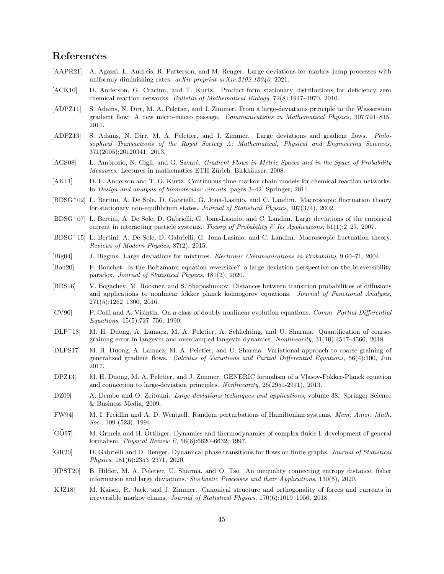## References

- <span id="page-44-13"></span>[AAPR21] A. Agazzi, L. Andreis, R. Patterson, and M. Renger. Large deviations for markov jump processes with uniformly diminishing rates.  $arXiv$  preprint  $arXiv:2102.13040$ , 2021.
- <span id="page-44-20"></span>[ACK10] D. Anderson, G. Craciun, and T. Kurtz. Product-form stationary distributions for deficiency zero chemical reaction networks. Bulletin of Mathematical Biology, 72(8):1947–1970, 2010.
- <span id="page-44-0"></span>[ADPZ11] S. Adams, N. Dirr, M. A. Peletier, and J. Zimmer. From a large-deviations principle to the Wasserstein gradient flow: A new micro-macro passage. Communications in Mathematical Physics, 307:791–815, 2011.
- <span id="page-44-1"></span>[ADPZ13] S. Adams, N. Dirr, M. A. Peletier, and J. Zimmer. Large deviations and gradient flows. Philosophical Transactions of the Royal Society A: Mathematical, Physical and Engineering Sciences, 371(2005):20120341, 2013.
- <span id="page-44-8"></span>[AGS08] L. Ambrosio, N. Gigli, and G. Savaré. Gradient Flows in Metric Spaces and in the Space of Probability Measures. Lectures in mathematics ETH Zürich. Birkhäuser, 2008.
- <span id="page-44-7"></span>[AK11] D. F. Anderson and T. G. Kurtz. Continuous time markov chain models for chemical reaction networks. In Design and analysis of biomolecular circuits, pages 3–42. Springer, 2011.
- <span id="page-44-16"></span>[BDSG<sup>+</sup>02] L. Bertini, A. De Sole, D. Gabrielli, G. Jona-Lasinio, and C. Landim. Macroscopic fluctuation theory for stationary non-equilibrium states. Journal of Statistical Physics, 107(3/4), 2002.
- <span id="page-44-21"></span>[BDSG<sup>+</sup>07] L. Bertini, A. De Sole, D. Gabrielli, G. Jona-Lasinio, and C. Landim. Large deviations of the empirical current in interacting particle systems. Theory of Probability & Its Applications,  $51(1):2-27$ , 2007.
- <span id="page-44-5"></span>[BDSG<sup>+</sup>15] L. Bertini, A. De Sole, D. Gabrielli, G. Jona-Lasinio, and C. Landim. Macroscopic fluctuation theory. Reviews of Modern Physics, 87(2), 2015.
- <span id="page-44-15"></span>[Big04] J. Biggins. Large deviations for mixtures. Electronic Communications in Probability, 9:60–71, 2004.
- <span id="page-44-17"></span>[Bou20] F. Bouchet. Is the Boltzmann equation reversible? a large deviation perspective on the irreversibility paradox. Journal of Statistical Physics, 181(2), 2020.
- <span id="page-44-14"></span>[BRS16] V. Bogachev, M. Röckner, and S. Shaposhnikov. Distances between transition probabilities of diffusions and applications to nonlinear fokker–planck–kolmogorov equations. Journal of Functional Analysis, 271(5):1262–1300, 2016.
- <span id="page-44-12"></span>[CV90] P. Colli and A. Visintin. On a class of doubly nonlinear evolution equations. Comm. Partial Differential Equations, 15(5):737–756, 1990.
- <span id="page-44-4"></span>[DLP<sup>+</sup>18] M. H. Duong, A. Lamacz, M. A. Peletier, A. Schlichting, and U. Sharma. Quantification of coarsegraining error in langevin and overdamped langevin dynamics. Nonlinearity, 31(10):4517–4566, 2018.
- <span id="page-44-2"></span>[DLPS17] M. H. Duong, A. Lamacz, M. A. Peletier, and U. Sharma. Variational approach to coarse-graining of generalized gradient flows. Calculus of Variations and Partial Differential Equations, 56(4):100, Jun 2017.
- <span id="page-44-10"></span>[DPZ13] M. H. Duong, M. A. Peletier, and J. Zimmer. GENERIC formalism of a Vlasov-Fokker-Planck equation and connection to large-deviation principles. Nonlinearity, 26(2951-2971), 2013.
- <span id="page-44-11"></span>[DZ09] A. Dembo and O. Zeitouni. Large deviations techniques and applications, volume 38. Springer Science & Business Media, 2009.
- <span id="page-44-18"></span>[FW94] M. I. Freidlin and A. D. Wentzell. Random perturbations of Hamiltonian systems. Mem. Amer. Math. Soc., 109 (523), 1994.
- <span id="page-44-9"></span>[GO97] M. Grmela and H. Ottinger. Dynamics and thermodynamics of complex fluids I: development of general formalism. Physical Review E, 56(6):6620–6632, 1997.
- <span id="page-44-19"></span>[GR20] D. Gabrielli and D. Renger. Dynamical phase transitions for flows on finite graphs. Journal of Statistical Physics, 181(6):2353–2371, 2020.
- <span id="page-44-3"></span>[HPST20] B. Hilder, M. A. Peletier, U. Sharma, and O. Tse. An inequality connecting entropy distance, fisher information and large deviations. Stochastic Processes and their Applications, 130(5), 2020.
- <span id="page-44-6"></span>[KJZ18] M. Kaiser, R. Jack, and J. Zimmer. Canonical structure and orthogonality of forces and currents in irreversible markov chains. Journal of Statistical Physics, 170(6):1019–1050, 2018.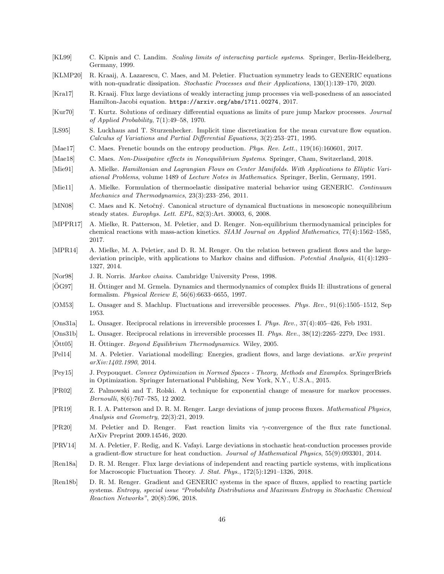- <span id="page-45-21"></span>[KL99] C. Kipnis and C. Landim. Scaling limits of interacting particle systems. Springer, Berlin-Heidelberg, Germany, 1999.
- <span id="page-45-11"></span>[KLMP20] R. Kraaij, A. Lazarescu, C. Maes, and M. Peletier. Fluctuation symmetry leads to GENERIC equations with non-quadratic dissipation. Stochastic Processes and their Applications, 130(1):139–170, 2020.
- <span id="page-45-13"></span>[Kra17] R. Kraaij. Flux large deviations of weakly interacting jump processes via well-posedness of an associated Hamilton-Jacobi equation. <https://arxiv.org/abs/1711.00274>, 2017.
- <span id="page-45-24"></span>[Kur70] T. Kurtz. Solutions of ordinary differential equations as limits of pure jump Markov processes. Journal of Applied Probability, 7(1):49–58, 1970.
- <span id="page-45-15"></span>[LS95] S. Luckhaus and T. Sturzenhecker. Implicit time discretization for the mean curvature flow equation. Calculus of Variations and Partial Differential Equations, 3(2):253–271, 1995.
- <span id="page-45-18"></span>[Mae17] C. Maes. Frenetic bounds on the entropy production. Phys. Rev. Lett., 119(16):160601, 2017.
- <span id="page-45-7"></span>[Mae18] C. Maes. Non-Dissipative effects in Nonequilibrium Systems. Springer, Cham, Switzerland, 2018.
- <span id="page-45-23"></span>[Mie91] A. Mielke. Hamiltonian and Lagrangian Flows on Center Manifolds. With Applications to Elliptic Variational Problems, volume 1489 of Lecture Notes in Mathematics. Springer, Berlin, Germany, 1991.
- <span id="page-45-16"></span>[Mie11] A. Mielke. Formulation of thermoelastic dissipative material behavior using GENERIC. Continuum Mechanics and Thermodynamics, 23(3):233–256, 2011.
- <span id="page-45-17"></span>[MN08] C. Maes and K. Netočný. Canonical structure of dynamical fluctuations in mesoscopic nonequilibrium steady states. Europhys. Lett. EPL, 82(3):Art. 30003, 6, 2008.
- <span id="page-45-6"></span>[MPPR17] A. Mielke, R. Patterson, M. Peletier, and D. Renger. Non-equilibrium thermodynamical principles for chemical reactions with mass-action kinetics. SIAM Journal on Applied Mathematics, 77(4):1562–1585, 2017.
- <span id="page-45-0"></span>[MPR14] A. Mielke, M. A. Peletier, and D. R. M. Renger. On the relation between gradient flows and the largedeviation principle, with applications to Markov chains and diffusion. Potential Analysis, 41(4):1293– 1327, 2014.
- <span id="page-45-19"></span>[Nor98] J. R. Norris. *Markov chains*. Cambridge University Press, 1998.
- <span id="page-45-9"></span>[OG97] H. Ottinger and M. Grmela. Dynamics and thermodynamics of complex fluids II: illustrations of general formalism. Physical Review E, 56(6):6633–6655, 1997.
- <span id="page-45-5"></span>[OM53] L. Onsager and S. Machlup. Fluctuations and irreversible processes. Phys. Rev., 91(6):1505–1512, Sep 1953.
- <span id="page-45-3"></span>[Ons31a] L. Onsager. Reciprocal relations in irreversible processes I. Phys. Rev., 37(4):405–426, Feb 1931.
- <span id="page-45-4"></span>[Ons31b] L. Onsager. Reciprocal relations in irreversible processes II. Phys. Rev., 38(12):2265–2279, Dec 1931.
- <span id="page-45-10"></span> $[Ött05]$  H. Öttinger. Beyond Equilibrium Thermodynamics. Wiley, 2005.
- <span id="page-45-25"></span>[Pel14] M. A. Peletier. Variational modelling: Energies, gradient flows, and large deviations. arXiv preprint arXiv:1402.1990, 2014.
- <span id="page-45-14"></span>[Pey15] J. Peypouquet. Convex Optimization in Normed Spaces - Theory, Methods and Examples. SpringerBriefs in Optimization. Springer International Publishing, New York, N.Y., U.S.A., 2015.
- <span id="page-45-22"></span>[PR02] Z. Palmowski and T. Rolski. A technique for exponential change of measure for markov processes. Bernoulli, 8(6):767–785, 12 2002.
- <span id="page-45-20"></span>[PR19] R. I. A. Patterson and D. R. M. Renger. Large deviations of jump process fluxes. Mathematical Physics, Analysis and Geometry, 22(3):21, 2019.
- <span id="page-45-2"></span>[PR20] M. Peletier and D. Renger. Fast reaction limits via γ-convergence of the flux rate functional. [ArXiv Preprint 2009.14546,](https://arxiv.org/abs/2009.14546) 2020.
- <span id="page-45-1"></span>[PRV14] M. A. Peletier, F. Redig, and K. Vafayi. Large deviations in stochastic heat-conduction processes provide a gradient-flow structure for heat conduction. Journal of Mathematical Physics, 55(9):093301, 2014.
- <span id="page-45-12"></span>[Ren18a] D. R. M. Renger. Flux large deviations of independent and reacting particle systems, with implications for Macroscopic Fluctuation Theory. J. Stat. Phys., 172(5):1291–1326, 2018.
- <span id="page-45-8"></span>[Ren18b] D. R. M. Renger. Gradient and GENERIC systems in the space of fluxes, applied to reacting particle systems. Entropy, special issue "Probability Distributions and Maximum Entropy in Stochastic Chemical Reaction Networks", 20(8):596, 2018.